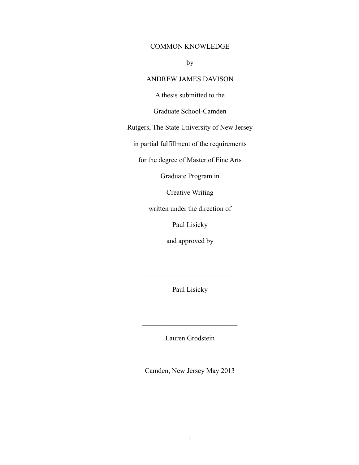# COMMON KNOWLEDGE

by

# ANDREW JAMES DAVISON

A thesis submitted to the

Graduate School-Camden

Rutgers, The State University of New Jersey

in partial fulfillment of the requirements

for the degree of Master of Fine Arts

Graduate Program in

Creative Writing

written under the direction of

Paul Lisicky

and approved by

Paul Lisicky

 $\mathcal{L}_\text{max}$  , where  $\mathcal{L}_\text{max}$  , we have the set of  $\mathcal{L}_\text{max}$ 

Lauren Grodstein

 $\mathcal{L}_\text{max}$  , where  $\mathcal{L}_\text{max}$  , we have the set of  $\mathcal{L}_\text{max}$ 

Camden, New Jersey May 2013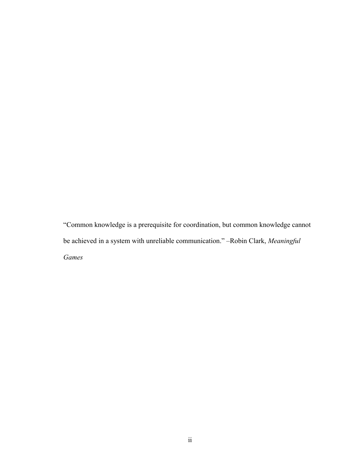"Common knowledge is a prerequisite for coordination, but common knowledge cannot be achieved in a system with unreliable communication." –Robin Clark, *Meaningful Games*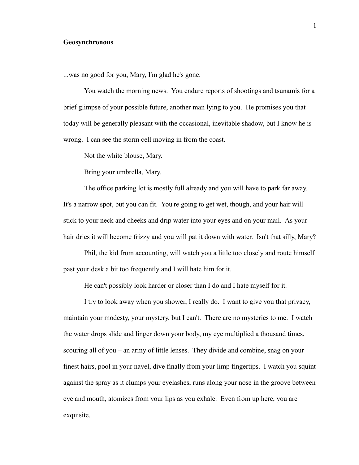### **Geosynchronous**

...was no good for you, Mary, I'm glad he's gone.

You watch the morning news. You endure reports of shootings and tsunamis for a brief glimpse of your possible future, another man lying to you. He promises you that today will be generally pleasant with the occasional, inevitable shadow, but I know he is wrong. I can see the storm cell moving in from the coast.

Not the white blouse, Mary.

Bring your umbrella, Mary.

The office parking lot is mostly full already and you will have to park far away. It's a narrow spot, but you can fit. You're going to get wet, though, and your hair will stick to your neck and cheeks and drip water into your eyes and on your mail. As your hair dries it will become frizzy and you will pat it down with water. Isn't that silly, Mary?

Phil, the kid from accounting, will watch you a little too closely and route himself past your desk a bit too frequently and I will hate him for it.

He can't possibly look harder or closer than I do and I hate myself for it.

I try to look away when you shower, I really do. I want to give you that privacy, maintain your modesty, your mystery, but I can't. There are no mysteries to me. I watch the water drops slide and linger down your body, my eye multiplied a thousand times, scouring all of you – an army of little lenses. They divide and combine, snag on your finest hairs, pool in your navel, dive finally from your limp fingertips. I watch you squint against the spray as it clumps your eyelashes, runs along your nose in the groove between eye and mouth, atomizes from your lips as you exhale. Even from up here, you are exquisite.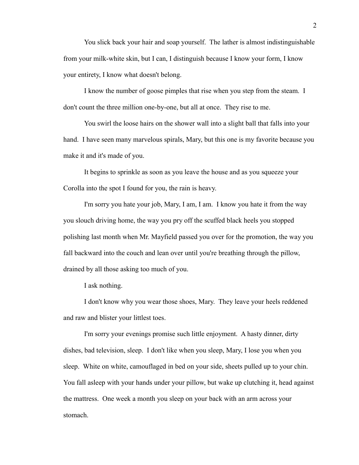You slick back your hair and soap yourself. The lather is almost indistinguishable from your milk-white skin, but I can, I distinguish because I know your form, I know your entirety, I know what doesn't belong.

I know the number of goose pimples that rise when you step from the steam. I don't count the three million one-by-one, but all at once. They rise to me.

You swirl the loose hairs on the shower wall into a slight ball that falls into your hand. I have seen many marvelous spirals, Mary, but this one is my favorite because you make it and it's made of you.

It begins to sprinkle as soon as you leave the house and as you squeeze your Corolla into the spot I found for you, the rain is heavy.

I'm sorry you hate your job, Mary, I am, I am. I know you hate it from the way you slouch driving home, the way you pry off the scuffed black heels you stopped polishing last month when Mr. Mayfield passed you over for the promotion, the way you fall backward into the couch and lean over until you're breathing through the pillow, drained by all those asking too much of you.

I ask nothing.

I don't know why you wear those shoes, Mary. They leave your heels reddened and raw and blister your littlest toes.

I'm sorry your evenings promise such little enjoyment. A hasty dinner, dirty dishes, bad television, sleep. I don't like when you sleep, Mary, I lose you when you sleep. White on white, camouflaged in bed on your side, sheets pulled up to your chin. You fall asleep with your hands under your pillow, but wake up clutching it, head against the mattress. One week a month you sleep on your back with an arm across your stomach.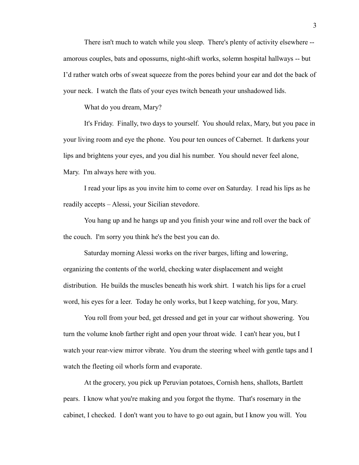There isn't much to watch while you sleep. There's plenty of activity elsewhere - amorous couples, bats and opossums, night-shift works, solemn hospital hallways -- but I'd rather watch orbs of sweat squeeze from the pores behind your ear and dot the back of your neck. I watch the flats of your eyes twitch beneath your unshadowed lids.

What do you dream, Mary?

It's Friday. Finally, two days to yourself. You should relax, Mary, but you pace in your living room and eye the phone. You pour ten ounces of Cabernet. It darkens your lips and brightens your eyes, and you dial his number. You should never feel alone, Mary. I'm always here with you.

I read your lips as you invite him to come over on Saturday. I read his lips as he readily accepts – Alessi, your Sicilian stevedore.

You hang up and he hangs up and you finish your wine and roll over the back of the couch. I'm sorry you think he's the best you can do.

Saturday morning Alessi works on the river barges, lifting and lowering, organizing the contents of the world, checking water displacement and weight distribution. He builds the muscles beneath his work shirt. I watch his lips for a cruel word, his eyes for a leer. Today he only works, but I keep watching, for you, Mary.

You roll from your bed, get dressed and get in your car without showering. You turn the volume knob farther right and open your throat wide. I can't hear you, but I watch your rear-view mirror vibrate. You drum the steering wheel with gentle taps and I watch the fleeting oil whorls form and evaporate.

At the grocery, you pick up Peruvian potatoes, Cornish hens, shallots, Bartlett pears. I know what you're making and you forgot the thyme. That's rosemary in the cabinet, I checked. I don't want you to have to go out again, but I know you will. You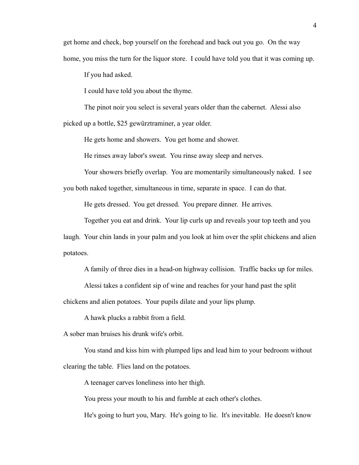get home and check, bop yourself on the forehead and back out you go. On the way home, you miss the turn for the liquor store. I could have told you that it was coming up.

If you had asked.

I could have told you about the thyme.

The pinot noir you select is several years older than the cabernet. Alessi also picked up a bottle, \$25 gewürztraminer, a year older.

He gets home and showers. You get home and shower.

He rinses away labor's sweat. You rinse away sleep and nerves.

Your showers briefly overlap. You are momentarily simultaneously naked. I see

you both naked together, simultaneous in time, separate in space. I can do that.

He gets dressed. You get dressed. You prepare dinner. He arrives.

Together you eat and drink. Your lip curls up and reveals your top teeth and you

laugh. Your chin lands in your palm and you look at him over the split chickens and alien potatoes.

A family of three dies in a head-on highway collision. Traffic backs up for miles.

Alessi takes a confident sip of wine and reaches for your hand past the split chickens and alien potatoes. Your pupils dilate and your lips plump.

A hawk plucks a rabbit from a field.

A sober man bruises his drunk wife's orbit.

You stand and kiss him with plumped lips and lead him to your bedroom without clearing the table. Flies land on the potatoes.

A teenager carves loneliness into her thigh.

You press your mouth to his and fumble at each other's clothes.

He's going to hurt you, Mary. He's going to lie. It's inevitable. He doesn't know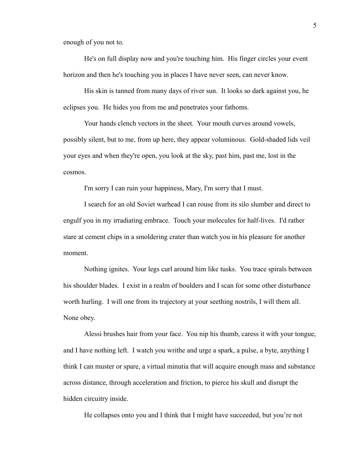enough of you not to.

He's on full display now and you're touching him. His finger circles your event horizon and then he's touching you in places I have never seen, can never know.

His skin is tanned from many days of river sun. It looks so dark against you, he eclipses you. He hides you from me and penetrates your fathoms.

Your hands clench vectors in the sheet. Your mouth curves around vowels, possibly silent, but to me, from up here, they appear voluminous. Gold-shaded lids veil your eyes and when they're open, you look at the sky, past him, past me, lost in the cosmos.

I'm sorry I can ruin your happiness, Mary, I'm sorry that I must.

I search for an old Soviet warhead I can rouse from its silo slumber and direct to engulf you in my irradiating embrace. Touch your molecules for half-lives. I'd rather stare at cement chips in a smoldering crater than watch you in his pleasure for another moment.

Nothing ignites. Your legs curl around him like tusks. You trace spirals between his shoulder blades. I exist in a realm of boulders and I scan for some other disturbance worth hurling. I will one from its trajectory at your seething nostrils, I will them all. None obey.

Alessi brushes hair from your face. You nip his thumb, caress it with your tongue, and I have nothing left. I watch you writhe and urge a spark, a pulse, a byte, anything I think I can muster or spare, a virtual minutia that will acquire enough mass and substance across distance, through acceleration and friction, to pierce his skull and disrupt the hidden circuitry inside.

He collapses onto you and I think that I might have succeeded, but you're not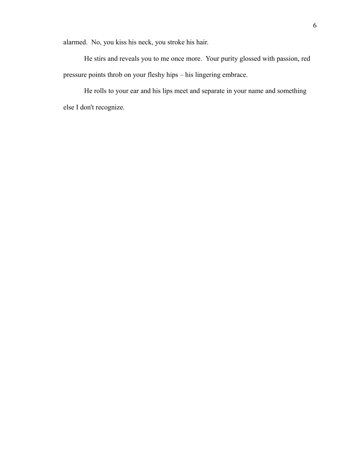alarmed. No, you kiss his neck, you stroke his hair.

He stirs and reveals you to me once more. Your purity glossed with passion, red pressure points throb on your fleshy hips – his lingering embrace.

He rolls to your ear and his lips meet and separate in your name and something else I don't recognize.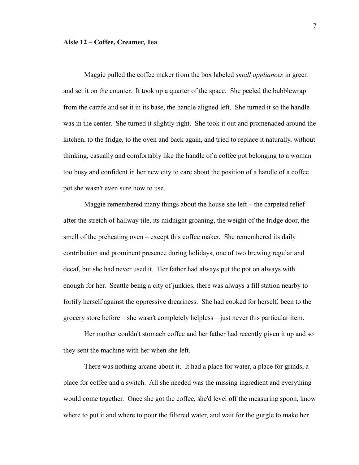#### **Aisle 12 – Coffee, Creamer, Tea**

Maggie pulled the coffee maker from the box labeled *small appliances* in green and set it on the counter. It took up a quarter of the space. She peeled the bubblewrap from the carafe and set it in its base, the handle aligned left. She turned it so the handle was in the center. She turned it slightly right. She took it out and promenaded around the kitchen, to the fridge, to the oven and back again, and tried to replace it naturally, without thinking, casually and comfortably like the handle of a coffee pot belonging to a woman too busy and confident in her new city to care about the position of a handle of a coffee pot she wasn't even sure how to use.

Maggie remembered many things about the house she left – the carpeted relief after the stretch of hallway tile, its midnight groaning, the weight of the fridge door, the smell of the preheating oven – except this coffee maker. She remembered its daily contribution and prominent presence during holidays, one of two brewing regular and decaf, but she had never used it. Her father had always put the pot on always with enough for her. Seattle being a city of junkies, there was always a fill station nearby to fortify herself against the oppressive dreariness. She had cooked for herself, been to the grocery store before – she wasn't completely helpless – just never this particular item.

Her mother couldn't stomach coffee and her father had recently given it up and so they sent the machine with her when she left.

There was nothing arcane about it. It had a place for water, a place for grinds, a place for coffee and a switch. All she needed was the missing ingredient and everything would come together. Once she got the coffee, she'd level off the measuring spoon, know where to put it and where to pour the filtered water, and wait for the gurgle to make her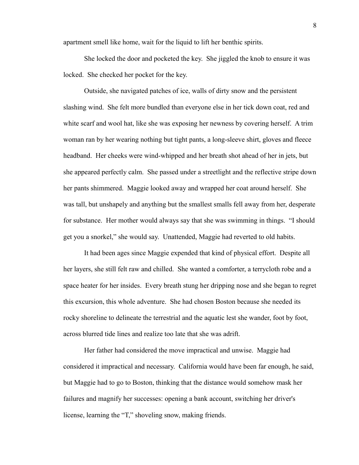apartment smell like home, wait for the liquid to lift her benthic spirits.

She locked the door and pocketed the key. She jiggled the knob to ensure it was locked. She checked her pocket for the key.

Outside, she navigated patches of ice, walls of dirty snow and the persistent slashing wind. She felt more bundled than everyone else in her tick down coat, red and white scarf and wool hat, like she was exposing her newness by covering herself. A trim woman ran by her wearing nothing but tight pants, a long-sleeve shirt, gloves and fleece headband. Her cheeks were wind-whipped and her breath shot ahead of her in jets, but she appeared perfectly calm. She passed under a streetlight and the reflective stripe down her pants shimmered. Maggie looked away and wrapped her coat around herself. She was tall, but unshapely and anything but the smallest smalls fell away from her, desperate for substance. Her mother would always say that she was swimming in things. "I should get you a snorkel," she would say. Unattended, Maggie had reverted to old habits.

It had been ages since Maggie expended that kind of physical effort. Despite all her layers, she still felt raw and chilled. She wanted a comforter, a terrycloth robe and a space heater for her insides. Every breath stung her dripping nose and she began to regret this excursion, this whole adventure. She had chosen Boston because she needed its rocky shoreline to delineate the terrestrial and the aquatic lest she wander, foot by foot, across blurred tide lines and realize too late that she was adrift.

Her father had considered the move impractical and unwise. Maggie had considered it impractical and necessary. California would have been far enough, he said, but Maggie had to go to Boston, thinking that the distance would somehow mask her failures and magnify her successes: opening a bank account, switching her driver's license, learning the "T," shoveling snow, making friends.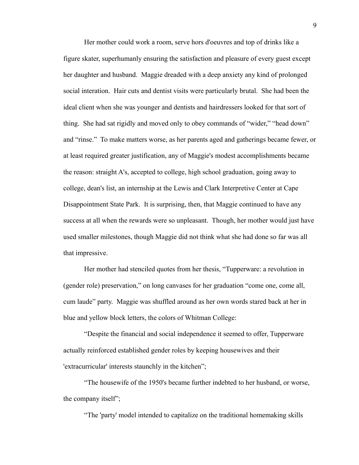Her mother could work a room, serve hors d'oeuvres and top of drinks like a figure skater, superhumanly ensuring the satisfaction and pleasure of every guest except her daughter and husband. Maggie dreaded with a deep anxiety any kind of prolonged social interation. Hair cuts and dentist visits were particularly brutal. She had been the ideal client when she was younger and dentists and hairdressers looked for that sort of thing. She had sat rigidly and moved only to obey commands of "wider," "head down" and "rinse." To make matters worse, as her parents aged and gatherings became fewer, or at least required greater justification, any of Maggie's modest accomplishments became the reason: straight A's, accepted to college, high school graduation, going away to college, dean's list, an internship at the Lewis and Clark Interpretive Center at Cape Disappointment State Park. It is surprising, then, that Maggie continued to have any success at all when the rewards were so unpleasant. Though, her mother would just have used smaller milestones, though Maggie did not think what she had done so far was all that impressive.

Her mother had stenciled quotes from her thesis, "Tupperware: a revolution in (gender role) preservation," on long canvases for her graduation "come one, come all, cum laude" party. Maggie was shuffled around as her own words stared back at her in blue and yellow block letters, the colors of Whitman College:

"Despite the financial and social independence it seemed to offer, Tupperware actually reinforced established gender roles by keeping housewives and their 'extracurricular' interests staunchly in the kitchen";

"The housewife of the 1950's became further indebted to her husband, or worse, the company itself";

"The 'party' model intended to capitalize on the traditional homemaking skills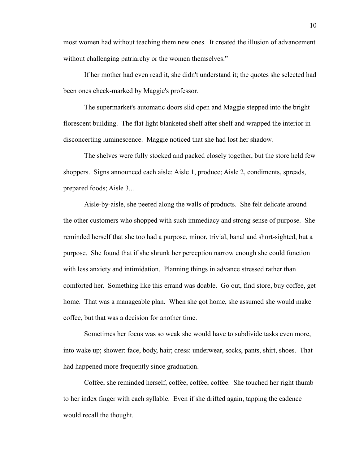most women had without teaching them new ones. It created the illusion of advancement without challenging patriarchy or the women themselves."

If her mother had even read it, she didn't understand it; the quotes she selected had been ones check-marked by Maggie's professor.

The supermarket's automatic doors slid open and Maggie stepped into the bright florescent building. The flat light blanketed shelf after shelf and wrapped the interior in disconcerting luminescence. Maggie noticed that she had lost her shadow.

The shelves were fully stocked and packed closely together, but the store held few shoppers. Signs announced each aisle: Aisle 1, produce; Aisle 2, condiments, spreads, prepared foods; Aisle 3...

Aisle-by-aisle, she peered along the walls of products. She felt delicate around the other customers who shopped with such immediacy and strong sense of purpose. She reminded herself that she too had a purpose, minor, trivial, banal and short-sighted, but a purpose. She found that if she shrunk her perception narrow enough she could function with less anxiety and intimidation. Planning things in advance stressed rather than comforted her. Something like this errand was doable. Go out, find store, buy coffee, get home. That was a manageable plan. When she got home, she assumed she would make coffee, but that was a decision for another time.

Sometimes her focus was so weak she would have to subdivide tasks even more, into wake up; shower: face, body, hair; dress: underwear, socks, pants, shirt, shoes. That had happened more frequently since graduation.

Coffee, she reminded herself, coffee, coffee, coffee. She touched her right thumb to her index finger with each syllable. Even if she drifted again, tapping the cadence would recall the thought.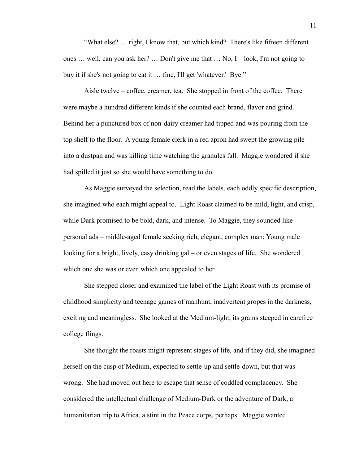"What else? … right, I know that, but which kind? There's like fifteen different ones … well, can you ask her? … Don't give me that … No, I – look, I'm not going to buy it if she's not going to eat it … fine, I'll get 'whatever.' Bye."

Aisle twelve – coffee, creamer, tea. She stopped in front of the coffee. There were maybe a hundred different kinds if she counted each brand, flavor and grind. Behind her a punctured box of non-dairy creamer had tipped and was pouring from the top shelf to the floor. A young female clerk in a red apron had swept the growing pile into a dustpan and was killing time watching the granules fall. Maggie wondered if she had spilled it just so she would have something to do.

As Maggie surveyed the selection, read the labels, each oddly specific description, she imagined who each might appeal to. Light Roast claimed to be mild, light, and crisp, while Dark promised to be bold, dark, and intense. To Maggie, they sounded like personal ads – middle-aged female seeking rich, elegant, complex man; Young male looking for a bright, lively, easy drinking gal – or even stages of life. She wondered which one she was or even which one appealed to her.

She stepped closer and examined the label of the Light Roast with its promise of childhood simplicity and teenage games of manhunt, inadvertent gropes in the darkness, exciting and meaningless. She looked at the Medium-light, its grains steeped in carefree college flings.

She thought the roasts might represent stages of life, and if they did, she imagined herself on the cusp of Medium, expected to settle-up and settle-down, but that was wrong. She had moved out here to escape that sense of coddled complacency. She considered the intellectual challenge of Medium-Dark or the adventure of Dark, a humanitarian trip to Africa, a stint in the Peace corps, perhaps. Maggie wanted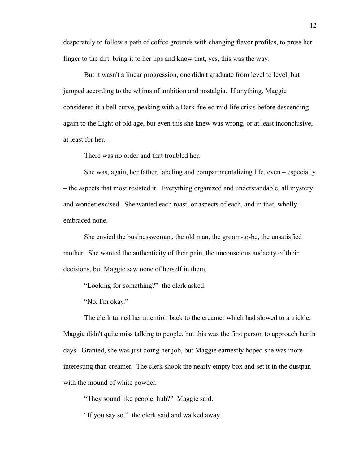desperately to follow a path of coffee grounds with changing flavor profiles, to press her finger to the dirt, bring it to her lips and know that, yes, this was the way.

But it wasn't a linear progression, one didn't graduate from level to level, but jumped according to the whims of ambition and nostalgia. If anything, Maggie considered it a bell curve, peaking with a Dark-fueled mid-life crisis before descending again to the Light of old age, but even this she knew was wrong, or at least inconclusive, at least for her.

There was no order and that troubled her.

She was, again, her father, labeling and compartmentalizing life, even – especially – the aspects that most resisted it. Everything organized and understandable, all mystery and wonder excised. She wanted each roast, or aspects of each, and in that, wholly embraced none.

She envied the businesswoman, the old man, the groom-to-be, the unsatisfied mother. She wanted the authenticity of their pain, the unconscious audacity of their decisions, but Maggie saw none of herself in them.

"Looking for something?" the clerk asked.

"No, I'm okay."

The clerk turned her attention back to the creamer which had slowed to a trickle. Maggie didn't quite miss talking to people, but this was the first person to approach her in days. Granted, she was just doing her job, but Maggie earnestly hoped she was more interesting than creamer. The clerk shook the nearly empty box and set it in the dustpan with the mound of white powder.

"They sound like people, huh?" Maggie said.

"If you say so." the clerk said and walked away.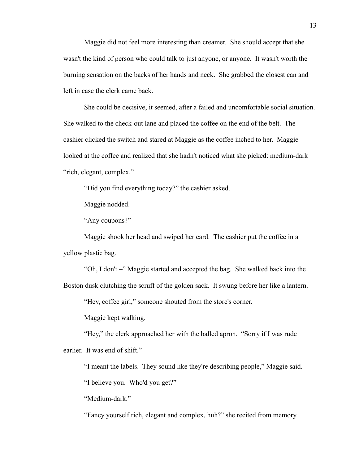Maggie did not feel more interesting than creamer. She should accept that she wasn't the kind of person who could talk to just anyone, or anyone. It wasn't worth the burning sensation on the backs of her hands and neck. She grabbed the closest can and left in case the clerk came back.

She could be decisive, it seemed, after a failed and uncomfortable social situation. She walked to the check-out lane and placed the coffee on the end of the belt. The cashier clicked the switch and stared at Maggie as the coffee inched to her. Maggie looked at the coffee and realized that she hadn't noticed what she picked: medium-dark – "rich, elegant, complex."

"Did you find everything today?" the cashier asked.

Maggie nodded.

"Any coupons?"

Maggie shook her head and swiped her card. The cashier put the coffee in a yellow plastic bag.

"Oh, I don't –" Maggie started and accepted the bag. She walked back into the Boston dusk clutching the scruff of the golden sack. It swung before her like a lantern.

"Hey, coffee girl," someone shouted from the store's corner.

Maggie kept walking.

"Hey," the clerk approached her with the balled apron. "Sorry if I was rude earlier. It was end of shift."

"I meant the labels. They sound like they're describing people," Maggie said.

"I believe you. Who'd you get?"

"Medium-dark."

"Fancy yourself rich, elegant and complex, huh?" she recited from memory.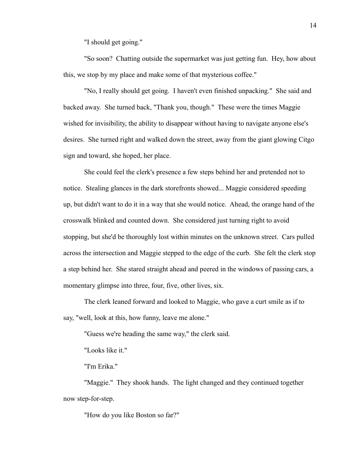"I should get going."

"So soon? Chatting outside the supermarket was just getting fun. Hey, how about this, we stop by my place and make some of that mysterious coffee."

"No, I really should get going. I haven't even finished unpacking." She said and backed away. She turned back, "Thank you, though." These were the times Maggie wished for invisibility, the ability to disappear without having to navigate anyone else's desires. She turned right and walked down the street, away from the giant glowing Citgo sign and toward, she hoped, her place.

She could feel the clerk's presence a few steps behind her and pretended not to notice. Stealing glances in the dark storefronts showed... Maggie considered speeding up, but didn't want to do it in a way that she would notice. Ahead, the orange hand of the crosswalk blinked and counted down. She considered just turning right to avoid stopping, but she'd be thoroughly lost within minutes on the unknown street. Cars pulled across the intersection and Maggie stepped to the edge of the curb. She felt the clerk stop a step behind her. She stared straight ahead and peered in the windows of passing cars, a momentary glimpse into three, four, five, other lives, six.

The clerk leaned forward and looked to Maggie, who gave a curt smile as if to say, "well, look at this, how funny, leave me alone."

"Guess we're heading the same way," the clerk said.

"Looks like it."

"I'm Erika."

"Maggie." They shook hands. The light changed and they continued together now step-for-step.

"How do you like Boston so far?"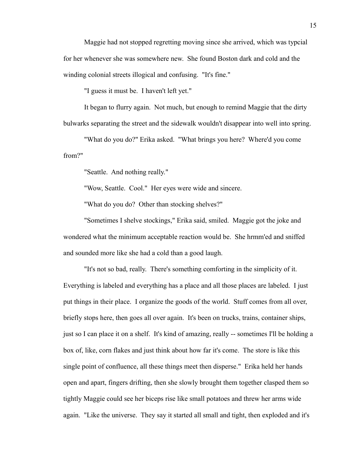Maggie had not stopped regretting moving since she arrived, which was typcial for her whenever she was somewhere new. She found Boston dark and cold and the winding colonial streets illogical and confusing. "It's fine."

"I guess it must be. I haven't left yet."

It began to flurry again. Not much, but enough to remind Maggie that the dirty bulwarks separating the street and the sidewalk wouldn't disappear into well into spring.

"What do you do?" Erika asked. "What brings you here? Where'd you come from?"

"Seattle. And nothing really."

"Wow, Seattle. Cool." Her eyes were wide and sincere.

"What do you do? Other than stocking shelves?"

"Sometimes I shelve stockings," Erika said, smiled. Maggie got the joke and wondered what the minimum acceptable reaction would be. She hrmm'ed and sniffed and sounded more like she had a cold than a good laugh.

"It's not so bad, really. There's something comforting in the simplicity of it. Everything is labeled and everything has a place and all those places are labeled. I just put things in their place. I organize the goods of the world. Stuff comes from all over, briefly stops here, then goes all over again. It's been on trucks, trains, container ships, just so I can place it on a shelf. It's kind of amazing, really -- sometimes I'll be holding a box of, like, corn flakes and just think about how far it's come. The store is like this single point of confluence, all these things meet then disperse." Erika held her hands open and apart, fingers drifting, then she slowly brought them together clasped them so tightly Maggie could see her biceps rise like small potatoes and threw her arms wide again. "Like the universe. They say it started all small and tight, then exploded and it's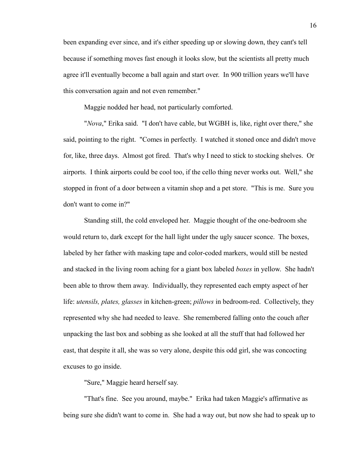been expanding ever since, and it's either speeding up or slowing down, they cant's tell because if something moves fast enough it looks slow, but the scientists all pretty much agree it'll eventually become a ball again and start over. In 900 trillion years we'll have this conversation again and not even remember."

Maggie nodded her head, not particularly comforted.

"*Nova*," Erika said. "I don't have cable, but WGBH is, like, right over there," she said, pointing to the right. "Comes in perfectly. I watched it stoned once and didn't move for, like, three days. Almost got fired. That's why I need to stick to stocking shelves. Or airports. I think airports could be cool too, if the cello thing never works out. Well," she stopped in front of a door between a vitamin shop and a pet store. "This is me. Sure you don't want to come in?"

Standing still, the cold enveloped her. Maggie thought of the one-bedroom she would return to, dark except for the hall light under the ugly saucer sconce. The boxes, labeled by her father with masking tape and color-coded markers, would still be nested and stacked in the living room aching for a giant box labeled *boxes* in yellow. She hadn't been able to throw them away. Individually, they represented each empty aspect of her life: *utensils, plates, glasses* in kitchen-green; *pillows* in bedroom-red. Collectively, they represented why she had needed to leave. She remembered falling onto the couch after unpacking the last box and sobbing as she looked at all the stuff that had followed her east, that despite it all, she was so very alone, despite this odd girl, she was concocting excuses to go inside.

"Sure," Maggie heard herself say.

"That's fine. See you around, maybe." Erika had taken Maggie's affirmative as being sure she didn't want to come in. She had a way out, but now she had to speak up to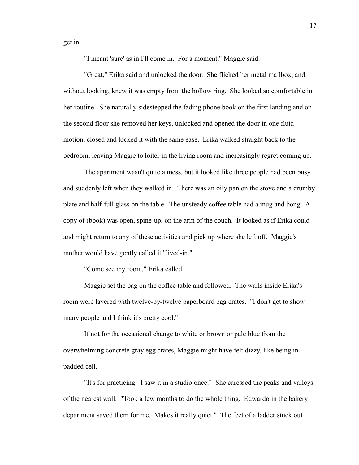get in.

"I meant 'sure' as in I'll come in. For a moment," Maggie said.

"Great," Erika said and unlocked the door. She flicked her metal mailbox, and without looking, knew it was empty from the hollow ring. She looked so comfortable in her routine. She naturally sidestepped the fading phone book on the first landing and on the second floor she removed her keys, unlocked and opened the door in one fluid motion, closed and locked it with the same ease. Erika walked straight back to the bedroom, leaving Maggie to loiter in the living room and increasingly regret coming up.

The apartment wasn't quite a mess, but it looked like three people had been busy and suddenly left when they walked in. There was an oily pan on the stove and a crumby plate and half-full glass on the table. The unsteady coffee table had a mug and bong. A copy of (book) was open, spine-up, on the arm of the couch. It looked as if Erika could and might return to any of these activities and pick up where she left off. Maggie's mother would have gently called it "lived-in."

"Come see my room," Erika called.

Maggie set the bag on the coffee table and followed. The walls inside Erika's room were layered with twelve-by-twelve paperboard egg crates. "I don't get to show many people and I think it's pretty cool."

If not for the occasional change to white or brown or pale blue from the overwhelming concrete gray egg crates, Maggie might have felt dizzy, like being in padded cell.

"It's for practicing. I saw it in a studio once." She caressed the peaks and valleys of the nearest wall. "Took a few months to do the whole thing. Edwardo in the bakery department saved them for me. Makes it really quiet." The feet of a ladder stuck out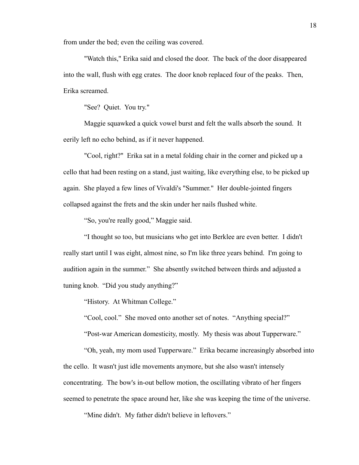from under the bed; even the ceiling was covered.

"Watch this," Erika said and closed the door. The back of the door disappeared into the wall, flush with egg crates. The door knob replaced four of the peaks. Then, Erika screamed.

"See? Quiet. You try."

Maggie squawked a quick vowel burst and felt the walls absorb the sound. It eerily left no echo behind, as if it never happened.

"Cool, right?" Erika sat in a metal folding chair in the corner and picked up a cello that had been resting on a stand, just waiting, like everything else, to be picked up again. She played a few lines of Vivaldi's "Summer." Her double-jointed fingers collapsed against the frets and the skin under her nails flushed white.

"So, you're really good," Maggie said.

"I thought so too, but musicians who get into Berklee are even better. I didn't really start until I was eight, almost nine, so I'm like three years behind. I'm going to audition again in the summer." She absently switched between thirds and adjusted a tuning knob. "Did you study anything?"

"History. At Whitman College."

"Cool, cool." She moved onto another set of notes. "Anything special?"

"Post-war American domesticity, mostly. My thesis was about Tupperware."

"Oh, yeah, my mom used Tupperware." Erika became increasingly absorbed into the cello. It wasn't just idle movements anymore, but she also wasn't intensely concentrating. The bow's in-out bellow motion, the oscillating vibrato of her fingers seemed to penetrate the space around her, like she was keeping the time of the universe.

"Mine didn't. My father didn't believe in leftovers."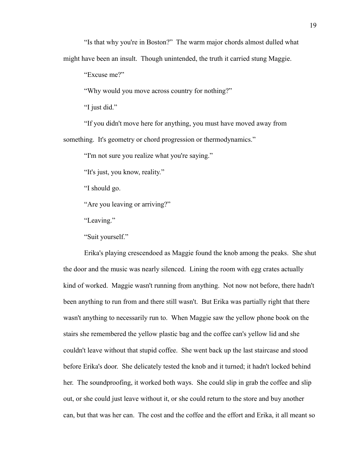"Excuse me?"

"Why would you move across country for nothing?"

"I just did."

"If you didn't move here for anything, you must have moved away from something. It's geometry or chord progression or thermodynamics."

"I'm not sure you realize what you're saying."

"It's just, you know, reality."

"I should go.

"Are you leaving or arriving?"

"Leaving."

"Suit yourself."

Erika's playing crescendoed as Maggie found the knob among the peaks. She shut the door and the music was nearly silenced. Lining the room with egg crates actually kind of worked. Maggie wasn't running from anything. Not now not before, there hadn't been anything to run from and there still wasn't. But Erika was partially right that there wasn't anything to necessarily run to. When Maggie saw the yellow phone book on the stairs she remembered the yellow plastic bag and the coffee can's yellow lid and she couldn't leave without that stupid coffee. She went back up the last staircase and stood before Erika's door. She delicately tested the knob and it turned; it hadn't locked behind her. The soundproofing, it worked both ways. She could slip in grab the coffee and slip out, or she could just leave without it, or she could return to the store and buy another can, but that was her can. The cost and the coffee and the effort and Erika, it all meant so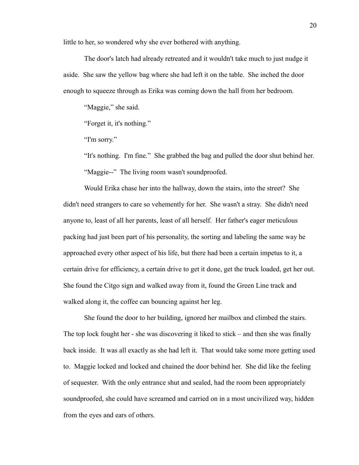little to her, so wondered why she ever bothered with anything.

The door's latch had already retreated and it wouldn't take much to just nudge it aside. She saw the yellow bag where she had left it on the table. She inched the door enough to squeeze through as Erika was coming down the hall from her bedroom.

"Maggie," she said.

"Forget it, it's nothing."

"I'm sorry."

"It's nothing. I'm fine." She grabbed the bag and pulled the door shut behind her. "Maggie--" The living room wasn't soundproofed.

Would Erika chase her into the hallway, down the stairs, into the street? She didn't need strangers to care so vehemently for her. She wasn't a stray. She didn't need anyone to, least of all her parents, least of all herself. Her father's eager meticulous packing had just been part of his personality, the sorting and labeling the same way he approached every other aspect of his life, but there had been a certain impetus to it, a certain drive for efficiency, a certain drive to get it done, get the truck loaded, get her out. She found the Citgo sign and walked away from it, found the Green Line track and walked along it, the coffee can bouncing against her leg.

She found the door to her building, ignored her mailbox and climbed the stairs. The top lock fought her - she was discovering it liked to stick – and then she was finally back inside. It was all exactly as she had left it. That would take some more getting used to. Maggie locked and locked and chained the door behind her. She did like the feeling of sequester. With the only entrance shut and sealed, had the room been appropriately soundproofed, she could have screamed and carried on in a most uncivilized way, hidden from the eyes and ears of others.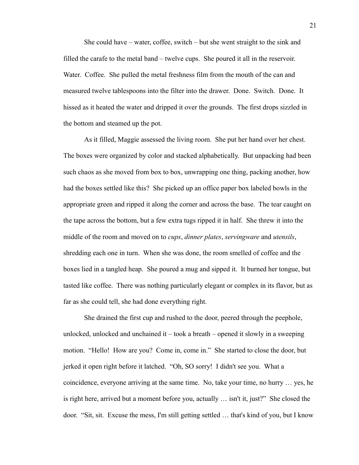She could have – water, coffee, switch – but she went straight to the sink and filled the carafe to the metal band – twelve cups. She poured it all in the reservoir. Water. Coffee. She pulled the metal freshness film from the mouth of the can and measured twelve tablespoons into the filter into the drawer. Done. Switch. Done. It hissed as it heated the water and dripped it over the grounds. The first drops sizzled in the bottom and steamed up the pot.

As it filled, Maggie assessed the living room. She put her hand over her chest. The boxes were organized by color and stacked alphabetically. But unpacking had been such chaos as she moved from box to box, unwrapping one thing, packing another, how had the boxes settled like this? She picked up an office paper box labeled bowls in the appropriate green and ripped it along the corner and across the base. The tear caught on the tape across the bottom, but a few extra tugs ripped it in half. She threw it into the middle of the room and moved on to *cups*, *dinner plates*, *servingware* and *utensils*, shredding each one in turn. When she was done, the room smelled of coffee and the boxes lied in a tangled heap. She poured a mug and sipped it. It burned her tongue, but tasted like coffee. There was nothing particularly elegant or complex in its flavor, but as far as she could tell, she had done everything right.

She drained the first cup and rushed to the door, peered through the peephole, unlocked, unlocked and unchained it – took a breath – opened it slowly in a sweeping motion. "Hello! How are you? Come in, come in." She started to close the door, but jerked it open right before it latched. "Oh, SO sorry! I didn't see you. What a coincidence, everyone arriving at the same time. No, take your time, no hurry … yes, he is right here, arrived but a moment before you, actually … isn't it, just?" She closed the door. "Sit, sit. Excuse the mess, I'm still getting settled … that's kind of you, but I know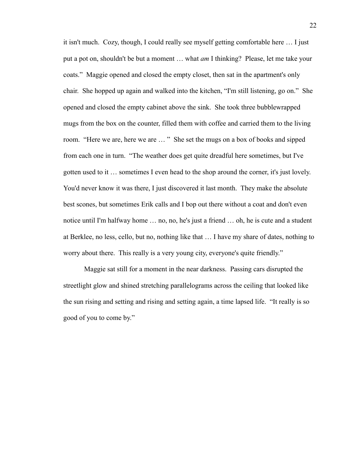it isn't much. Cozy, though, I could really see myself getting comfortable here … I just put a pot on, shouldn't be but a moment … what *am* I thinking? Please, let me take your coats." Maggie opened and closed the empty closet, then sat in the apartment's only chair. She hopped up again and walked into the kitchen, "I'm still listening, go on." She opened and closed the empty cabinet above the sink. She took three bubblewrapped mugs from the box on the counter, filled them with coffee and carried them to the living room. "Here we are, here we are … " She set the mugs on a box of books and sipped from each one in turn. "The weather does get quite dreadful here sometimes, but I've gotten used to it … sometimes I even head to the shop around the corner, it's just lovely. You'd never know it was there, I just discovered it last month. They make the absolute best scones, but sometimes Erik calls and I bop out there without a coat and don't even notice until I'm halfway home … no, no, he's just a friend … oh, he is cute and a student at Berklee, no less, cello, but no, nothing like that … I have my share of dates, nothing to worry about there. This really is a very young city, everyone's quite friendly."

Maggie sat still for a moment in the near darkness. Passing cars disrupted the streetlight glow and shined stretching parallelograms across the ceiling that looked like the sun rising and setting and rising and setting again, a time lapsed life. "It really is so good of you to come by."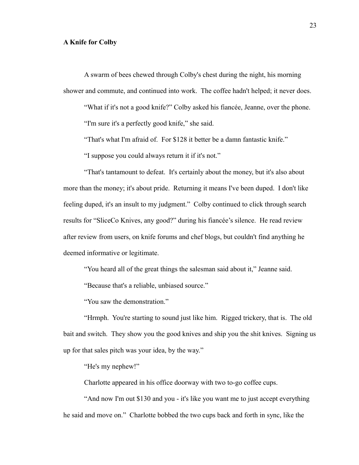### **A Knife for Colby**

A swarm of bees chewed through Colby's chest during the night, his morning shower and commute, and continued into work. The coffee hadn't helped; it never does.

"What if it's not a good knife?" Colby asked his fiancée, Jeanne, over the phone.

"I'm sure it's a perfectly good knife," she said.

"That's what I'm afraid of. For \$128 it better be a damn fantastic knife."

"I suppose you could always return it if it's not."

"That's tantamount to defeat. It's certainly about the money, but it's also about more than the money; it's about pride. Returning it means I've been duped. I don't like feeling duped, it's an insult to my judgment." Colby continued to click through search results for "SliceCo Knives, any good?" during his fiancée's silence. He read review after review from users, on knife forums and chef blogs, but couldn't find anything he deemed informative or legitimate.

"You heard all of the great things the salesman said about it," Jeanne said.

"Because that's a reliable, unbiased source."

"You saw the demonstration."

"Hrmph. You're starting to sound just like him. Rigged trickery, that is. The old bait and switch. They show you the good knives and ship you the shit knives. Signing us up for that sales pitch was your idea, by the way."

"He's my nephew!"

Charlotte appeared in his office doorway with two to-go coffee cups.

"And now I'm out \$130 and you - it's like you want me to just accept everything he said and move on." Charlotte bobbed the two cups back and forth in sync, like the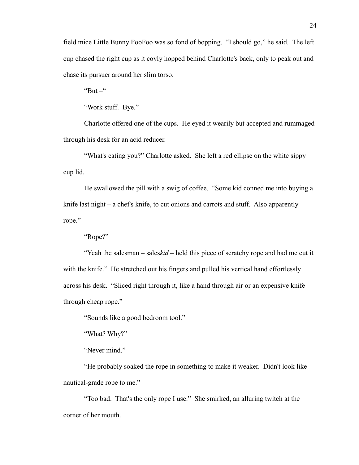field mice Little Bunny FooFoo was so fond of bopping. "I should go," he said. The left cup chased the right cup as it coyly hopped behind Charlotte's back, only to peak out and chase its pursuer around her slim torso.

" $But -$ "

"Work stuff. Bye."

Charlotte offered one of the cups. He eyed it wearily but accepted and rummaged through his desk for an acid reducer.

"What's eating you?" Charlotte asked. She left a red ellipse on the white sippy cup lid.

He swallowed the pill with a swig of coffee. "Some kid conned me into buying a knife last night – a chef's knife, to cut onions and carrots and stuff. Also apparently rope."

"Rope?"

"Yeah the salesman – sales*kid* – held this piece of scratchy rope and had me cut it with the knife." He stretched out his fingers and pulled his vertical hand effortlessly across his desk. "Sliced right through it, like a hand through air or an expensive knife through cheap rope."

"Sounds like a good bedroom tool."

"What? Why?"

"Never mind."

"He probably soaked the rope in something to make it weaker. Didn't look like nautical-grade rope to me."

"Too bad. That's the only rope I use." She smirked, an alluring twitch at the corner of her mouth.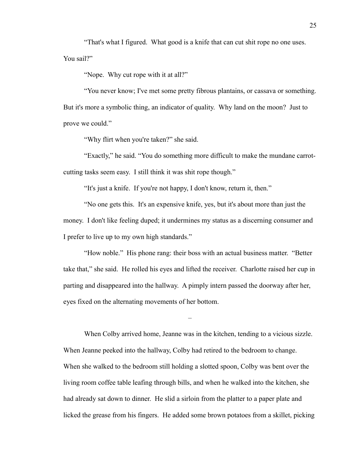"That's what I figured. What good is a knife that can cut shit rope no one uses. You sail?"

"Nope. Why cut rope with it at all?"

"You never know; I've met some pretty fibrous plantains, or cassava or something. But it's more a symbolic thing, an indicator of quality. Why land on the moon? Just to prove we could."

"Why flirt when you're taken?" she said.

"Exactly," he said. "You do something more difficult to make the mundane carrotcutting tasks seem easy. I still think it was shit rope though."

"It's just a knife. If you're not happy, I don't know, return it, then."

"No one gets this. It's an expensive knife, yes, but it's about more than just the money. I don't like feeling duped; it undermines my status as a discerning consumer and I prefer to live up to my own high standards."

"How noble." His phone rang: their boss with an actual business matter. "Better take that," she said. He rolled his eyes and lifted the receiver. Charlotte raised her cup in parting and disappeared into the hallway. A pimply intern passed the doorway after her, eyes fixed on the alternating movements of her bottom.

–

When Colby arrived home, Jeanne was in the kitchen, tending to a vicious sizzle. When Jeanne peeked into the hallway, Colby had retired to the bedroom to change. When she walked to the bedroom still holding a slotted spoon, Colby was bent over the living room coffee table leafing through bills, and when he walked into the kitchen, she had already sat down to dinner. He slid a sirloin from the platter to a paper plate and licked the grease from his fingers. He added some brown potatoes from a skillet, picking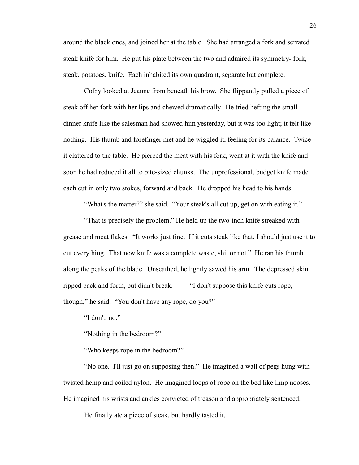around the black ones, and joined her at the table. She had arranged a fork and serrated steak knife for him. He put his plate between the two and admired its symmetry- fork, steak, potatoes, knife. Each inhabited its own quadrant, separate but complete.

Colby looked at Jeanne from beneath his brow. She flippantly pulled a piece of steak off her fork with her lips and chewed dramatically. He tried hefting the small dinner knife like the salesman had showed him yesterday, but it was too light; it felt like nothing. His thumb and forefinger met and he wiggled it, feeling for its balance. Twice it clattered to the table. He pierced the meat with his fork, went at it with the knife and soon he had reduced it all to bite-sized chunks. The unprofessional, budget knife made each cut in only two stokes, forward and back. He dropped his head to his hands.

"What's the matter?" she said. "Your steak's all cut up, get on with eating it."

"That is precisely the problem." He held up the two-inch knife streaked with grease and meat flakes. "It works just fine. If it cuts steak like that, I should just use it to cut everything. That new knife was a complete waste, shit or not." He ran his thumb along the peaks of the blade. Unscathed, he lightly sawed his arm. The depressed skin ripped back and forth, but didn't break. "I don't suppose this knife cuts rope, though," he said. "You don't have any rope, do you?"

"I don't, no."

"Nothing in the bedroom?"

"Who keeps rope in the bedroom?"

"No one. I'll just go on supposing then." He imagined a wall of pegs hung with twisted hemp and coiled nylon. He imagined loops of rope on the bed like limp nooses. He imagined his wrists and ankles convicted of treason and appropriately sentenced.

He finally ate a piece of steak, but hardly tasted it.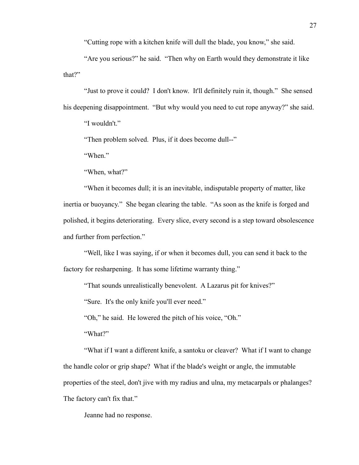"Cutting rope with a kitchen knife will dull the blade, you know," she said.

"Are you serious?" he said. "Then why on Earth would they demonstrate it like that?"

"Just to prove it could? I don't know. It'll definitely ruin it, though." She sensed his deepening disappointment. "But why would you need to cut rope anyway?" she said.

"I wouldn't."

"Then problem solved. Plus, if it does become dull--"

"When."

"When, what?"

"When it becomes dull; it is an inevitable, indisputable property of matter, like inertia or buoyancy." She began clearing the table. "As soon as the knife is forged and polished, it begins deteriorating. Every slice, every second is a step toward obsolescence and further from perfection."

"Well, like I was saying, if or when it becomes dull, you can send it back to the factory for resharpening. It has some lifetime warranty thing."

"That sounds unrealistically benevolent. A Lazarus pit for knives?"

"Sure. It's the only knife you'll ever need."

"Oh," he said. He lowered the pitch of his voice, "Oh."

"What?"

"What if I want a different knife, a santoku or cleaver? What if I want to change the handle color or grip shape? What if the blade's weight or angle, the immutable properties of the steel, don't jive with my radius and ulna, my metacarpals or phalanges? The factory can't fix that."

Jeanne had no response.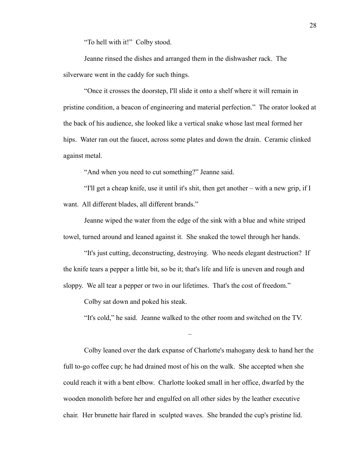"To hell with it!" Colby stood.

Jeanne rinsed the dishes and arranged them in the dishwasher rack. The silverware went in the caddy for such things.

"Once it crosses the doorstep, I'll slide it onto a shelf where it will remain in pristine condition, a beacon of engineering and material perfection." The orator looked at the back of his audience, she looked like a vertical snake whose last meal formed her hips. Water ran out the faucet, across some plates and down the drain. Ceramic clinked against metal.

"And when you need to cut something?" Jeanne said.

"I'll get a cheap knife, use it until it's shit, then get another – with a new grip, if I want. All different blades, all different brands."

Jeanne wiped the water from the edge of the sink with a blue and white striped towel, turned around and leaned against it. She snaked the towel through her hands.

"It's just cutting, deconstructing, destroying. Who needs elegant destruction? If the knife tears a pepper a little bit, so be it; that's life and life is uneven and rough and sloppy. We all tear a pepper or two in our lifetimes. That's the cost of freedom."

Colby sat down and poked his steak.

"It's cold," he said. Jeanne walked to the other room and switched on the TV.

–

Colby leaned over the dark expanse of Charlotte's mahogany desk to hand her the full to-go coffee cup; he had drained most of his on the walk. She accepted when she could reach it with a bent elbow. Charlotte looked small in her office, dwarfed by the wooden monolith before her and engulfed on all other sides by the leather executive chair. Her brunette hair flared in sculpted waves. She branded the cup's pristine lid.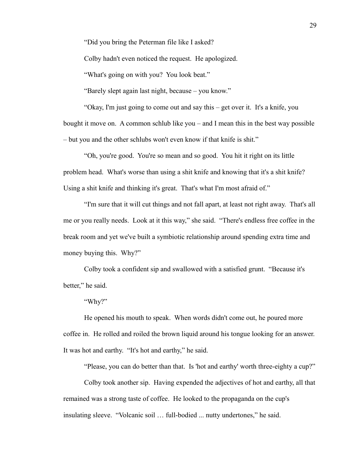"Did you bring the Peterman file like I asked?

Colby hadn't even noticed the request. He apologized.

"What's going on with you? You look beat."

"Barely slept again last night, because – you know."

"Okay, I'm just going to come out and say this – get over it. It's a knife, you bought it move on. A common schlub like you – and I mean this in the best way possible – but you and the other schlubs won't even know if that knife is shit."

"Oh, you're good. You're so mean and so good. You hit it right on its little problem head. What's worse than using a shit knife and knowing that it's a shit knife? Using a shit knife and thinking it's great. That's what I'm most afraid of."

"I'm sure that it will cut things and not fall apart, at least not right away. That's all me or you really needs. Look at it this way," she said. "There's endless free coffee in the break room and yet we've built a symbiotic relationship around spending extra time and money buying this. Why?"

Colby took a confident sip and swallowed with a satisfied grunt. "Because it's better," he said.

"Why?"

He opened his mouth to speak. When words didn't come out, he poured more coffee in. He rolled and roiled the brown liquid around his tongue looking for an answer. It was hot and earthy. "It's hot and earthy," he said.

"Please, you can do better than that. Is 'hot and earthy' worth three-eighty a cup?"

Colby took another sip. Having expended the adjectives of hot and earthy, all that remained was a strong taste of coffee. He looked to the propaganda on the cup's insulating sleeve. "Volcanic soil … full-bodied ... nutty undertones," he said.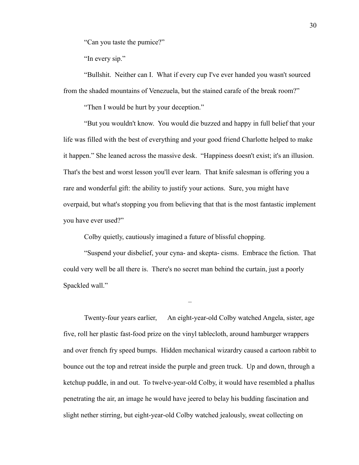"Can you taste the pumice?"

"In every sip."

"Bullshit. Neither can I. What if every cup I've ever handed you wasn't sourced from the shaded mountains of Venezuela, but the stained carafe of the break room?"

"Then I would be hurt by your deception."

"But you wouldn't know. You would die buzzed and happy in full belief that your life was filled with the best of everything and your good friend Charlotte helped to make it happen." She leaned across the massive desk. "Happiness doesn't exist; it's an illusion. That's the best and worst lesson you'll ever learn. That knife salesman is offering you a rare and wonderful gift: the ability to justify your actions. Sure, you might have overpaid, but what's stopping you from believing that that is the most fantastic implement you have ever used?"

Colby quietly, cautiously imagined a future of blissful chopping.

"Suspend your disbelief, your cyna- and skepta- cisms. Embrace the fiction. That could very well be all there is. There's no secret man behind the curtain, just a poorly Spackled wall."

–

Twenty-four years earlier, An eight-year-old Colby watched Angela, sister, age five, roll her plastic fast-food prize on the vinyl tablecloth, around hamburger wrappers and over french fry speed bumps. Hidden mechanical wizardry caused a cartoon rabbit to bounce out the top and retreat inside the purple and green truck. Up and down, through a ketchup puddle, in and out. To twelve-year-old Colby, it would have resembled a phallus penetrating the air, an image he would have jeered to belay his budding fascination and slight nether stirring, but eight-year-old Colby watched jealously, sweat collecting on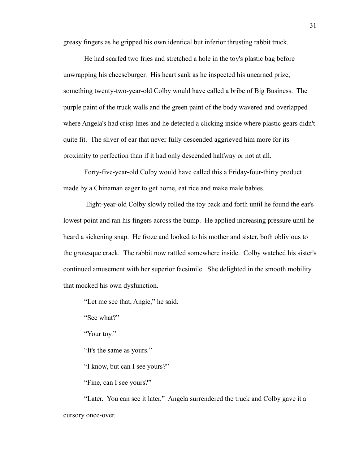greasy fingers as he gripped his own identical but inferior thrusting rabbit truck.

He had scarfed two fries and stretched a hole in the toy's plastic bag before unwrapping his cheeseburger. His heart sank as he inspected his unearned prize, something twenty-two-year-old Colby would have called a bribe of Big Business. The purple paint of the truck walls and the green paint of the body wavered and overlapped where Angela's had crisp lines and he detected a clicking inside where plastic gears didn't quite fit. The sliver of ear that never fully descended aggrieved him more for its proximity to perfection than if it had only descended halfway or not at all.

Forty-five-year-old Colby would have called this a Friday-four-thirty product made by a Chinaman eager to get home, eat rice and make male babies.

 Eight-year-old Colby slowly rolled the toy back and forth until he found the ear's lowest point and ran his fingers across the bump. He applied increasing pressure until he heard a sickening snap. He froze and looked to his mother and sister, both oblivious to the grotesque crack. The rabbit now rattled somewhere inside. Colby watched his sister's continued amusement with her superior facsimile. She delighted in the smooth mobility that mocked his own dysfunction.

"Let me see that, Angie," he said.

"See what?"

"Your toy."

"It's the same as yours."

"I know, but can I see yours?"

"Fine, can I see yours?"

"Later. You can see it later." Angela surrendered the truck and Colby gave it a cursory once-over.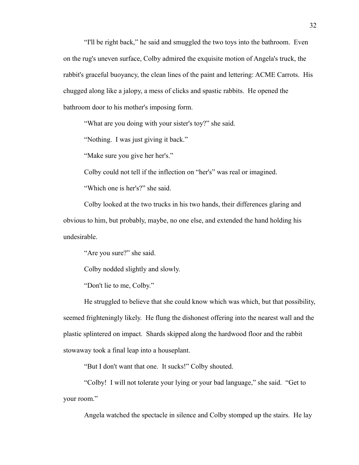"I'll be right back," he said and smuggled the two toys into the bathroom. Even on the rug's uneven surface, Colby admired the exquisite motion of Angela's truck, the rabbit's graceful buoyancy, the clean lines of the paint and lettering: ACME Carrots. His chugged along like a jalopy, a mess of clicks and spastic rabbits. He opened the bathroom door to his mother's imposing form.

"What are you doing with your sister's toy?" she said.

"Nothing. I was just giving it back."

"Make sure you give her her's."

Colby could not tell if the inflection on "her's" was real or imagined.

"Which one is her's?" she said.

Colby looked at the two trucks in his two hands, their differences glaring and obvious to him, but probably, maybe, no one else, and extended the hand holding his undesirable.

"Are you sure?" she said.

Colby nodded slightly and slowly.

"Don't lie to me, Colby."

He struggled to believe that she could know which was which, but that possibility, seemed frighteningly likely. He flung the dishonest offering into the nearest wall and the plastic splintered on impact. Shards skipped along the hardwood floor and the rabbit stowaway took a final leap into a houseplant.

"But I don't want that one. It sucks!" Colby shouted.

"Colby! I will not tolerate your lying or your bad language," she said. "Get to your room."

Angela watched the spectacle in silence and Colby stomped up the stairs. He lay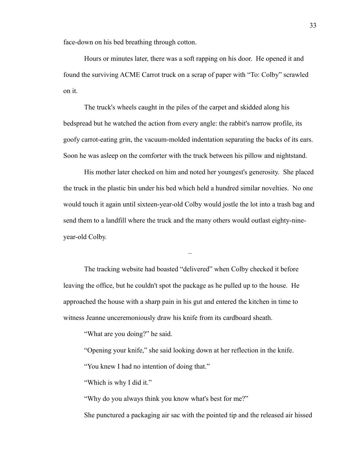face-down on his bed breathing through cotton.

Hours or minutes later, there was a soft rapping on his door. He opened it and found the surviving ACME Carrot truck on a scrap of paper with "To: Colby" scrawled on it.

The truck's wheels caught in the piles of the carpet and skidded along his bedspread but he watched the action from every angle: the rabbit's narrow profile, its goofy carrot-eating grin, the vacuum-molded indentation separating the backs of its ears. Soon he was asleep on the comforter with the truck between his pillow and nightstand.

His mother later checked on him and noted her youngest's generosity. She placed the truck in the plastic bin under his bed which held a hundred similar novelties. No one would touch it again until sixteen-year-old Colby would jostle the lot into a trash bag and send them to a landfill where the truck and the many others would outlast eighty-nineyear-old Colby.

–

The tracking website had boasted "delivered" when Colby checked it before leaving the office, but he couldn't spot the package as he pulled up to the house. He approached the house with a sharp pain in his gut and entered the kitchen in time to witness Jeanne unceremoniously draw his knife from its cardboard sheath.

"What are you doing?" he said.

"Opening your knife," she said looking down at her reflection in the knife.

"You knew I had no intention of doing that."

"Which is why I did it."

"Why do you always think you know what's best for me?"

She punctured a packaging air sac with the pointed tip and the released air hissed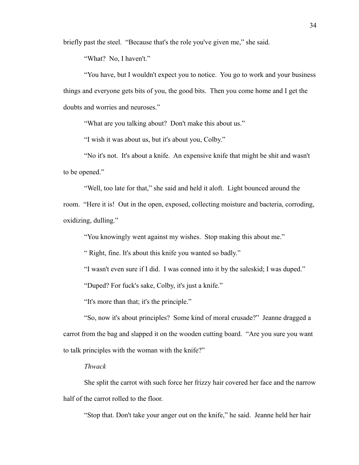briefly past the steel. "Because that's the role you've given me," she said.

"What? No, I haven't."

"You have, but I wouldn't expect you to notice. You go to work and your business things and everyone gets bits of you, the good bits. Then you come home and I get the doubts and worries and neuroses."

"What are you talking about? Don't make this about us."

"I wish it was about us, but it's about you, Colby."

"No it's not. It's about a knife. An expensive knife that might be shit and wasn't to be opened."

"Well, too late for that," she said and held it aloft. Light bounced around the room. "Here it is! Out in the open, exposed, collecting moisture and bacteria, corroding, oxidizing, dulling."

"You knowingly went against my wishes. Stop making this about me."

" Right, fine. It's about this knife you wanted so badly."

"I wasn't even sure if I did. I was conned into it by the saleskid; I was duped."

"Duped? For fuck's sake, Colby, it's just a knife."

"It's more than that; it's the principle."

"So, now it's about principles? Some kind of moral crusade?" Jeanne dragged a carrot from the bag and slapped it on the wooden cutting board. "Are you sure you want to talk principles with the woman with the knife?"

## *Thwack*

She split the carrot with such force her frizzy hair covered her face and the narrow half of the carrot rolled to the floor.

"Stop that. Don't take your anger out on the knife," he said. Jeanne held her hair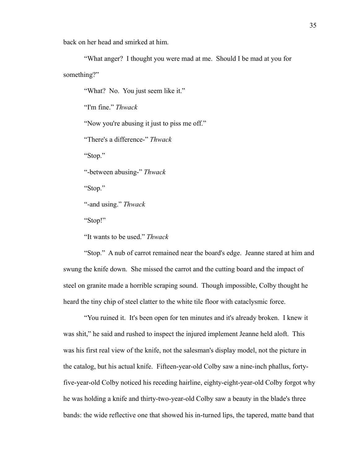back on her head and smirked at him.

"What anger? I thought you were mad at me. Should I be mad at you for something?"

"What? No. You just seem like it."

"I'm fine." *Thwack*

"Now you're abusing it just to piss me off."

"There's a difference-" *Thwack* 

"Stop."

"-between abusing-" *Thwack*

"Stop."

"-and using." *Thwack*

"Stop!"

"It wants to be used." *Thwack*

"Stop." A nub of carrot remained near the board's edge. Jeanne stared at him and swung the knife down. She missed the carrot and the cutting board and the impact of steel on granite made a horrible scraping sound. Though impossible, Colby thought he heard the tiny chip of steel clatter to the white tile floor with cataclysmic force.

"You ruined it. It's been open for ten minutes and it's already broken. I knew it was shit," he said and rushed to inspect the injured implement Jeanne held aloft. This was his first real view of the knife, not the salesman's display model, not the picture in the catalog, but his actual knife. Fifteen-year-old Colby saw a nine-inch phallus, fortyfive-year-old Colby noticed his receding hairline, eighty-eight-year-old Colby forgot why he was holding a knife and thirty-two-year-old Colby saw a beauty in the blade's three bands: the wide reflective one that showed his in-turned lips, the tapered, matte band that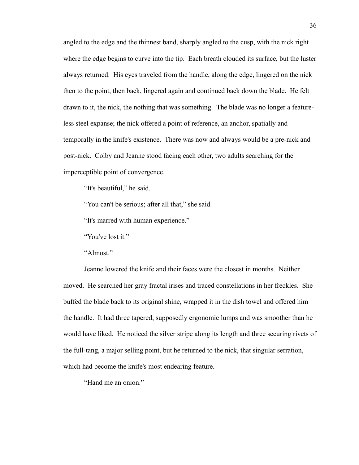angled to the edge and the thinnest band, sharply angled to the cusp, with the nick right where the edge begins to curve into the tip. Each breath clouded its surface, but the luster always returned. His eyes traveled from the handle, along the edge, lingered on the nick then to the point, then back, lingered again and continued back down the blade. He felt drawn to it, the nick, the nothing that was something. The blade was no longer a featureless steel expanse; the nick offered a point of reference, an anchor, spatially and temporally in the knife's existence. There was now and always would be a pre-nick and post-nick. Colby and Jeanne stood facing each other, two adults searching for the imperceptible point of convergence.

"It's beautiful," he said.

"You can't be serious; after all that," she said.

"It's marred with human experience."

"You've lost it."

"Almost."

Jeanne lowered the knife and their faces were the closest in months. Neither moved. He searched her gray fractal irises and traced constellations in her freckles. She buffed the blade back to its original shine, wrapped it in the dish towel and offered him the handle. It had three tapered, supposedly ergonomic lumps and was smoother than he would have liked. He noticed the silver stripe along its length and three securing rivets of the full-tang, a major selling point, but he returned to the nick, that singular serration, which had become the knife's most endearing feature.

"Hand me an onion."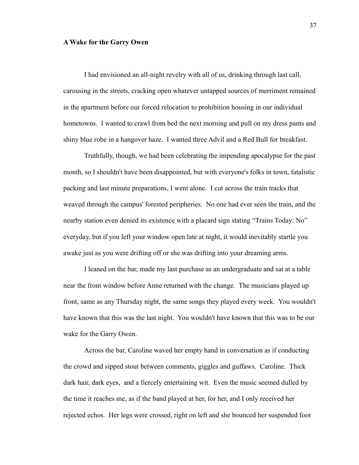## **A Wake for the Garry Owen**

I had envisioned an all-night revelry with all of us, drinking through last call, carousing in the streets, cracking open whatever untapped sources of merriment remained in the apartment before our forced relocation to prohibition housing in our individual hometowns. I wanted to crawl from bed the next morning and pull on my dress pants and shiny blue robe in a hangover haze. I wanted three Advil and a Red Bull for breakfast.

Truthfully, though, we had been celebrating the impending apocalypse for the past month, so I shouldn't have been disappointed, but with everyone's folks in town, fatalistic packing and last minute preparations, I went alone. I cut across the train tracks that weaved through the campus' forested peripheries. No one had ever seen the train, and the nearby station even denied its existence with a placard sign stating "Trains Today: No" everyday, but if you left your window open late at night, it would inevitably startle you awake just as you were drifting off or she was drifting into your dreaming arms.

I leaned on the bar, made my last purchase as an undergraduate and sat at a table near the front window before Anne returned with the change. The musicians played up front, same as any Thursday night, the same songs they played every week. You wouldn't have known that this was the last night. You wouldn't have known that this was to be our wake for the Garry Owen.

Across the bar, Caroline waved her empty hand in conversation as if conducting the crowd and sipped stout between comments, giggles and guffaws. Caroline. Thick dark hair, dark eyes, and a fiercely entertaining wit. Even the music seemed dulled by the time it reaches me, as if the band played at her, for her, and I only received her rejected echos. Her legs were crossed, right on left and she bounced her suspended foot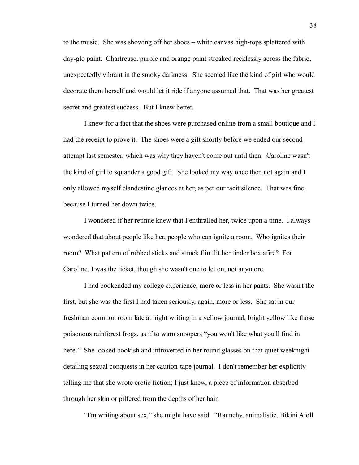to the music. She was showing off her shoes – white canvas high-tops splattered with day-glo paint. Chartreuse, purple and orange paint streaked recklessly across the fabric, unexpectedly vibrant in the smoky darkness. She seemed like the kind of girl who would decorate them herself and would let it ride if anyone assumed that. That was her greatest secret and greatest success. But I knew better.

I knew for a fact that the shoes were purchased online from a small boutique and I had the receipt to prove it. The shoes were a gift shortly before we ended our second attempt last semester, which was why they haven't come out until then. Caroline wasn't the kind of girl to squander a good gift. She looked my way once then not again and I only allowed myself clandestine glances at her, as per our tacit silence. That was fine, because I turned her down twice.

I wondered if her retinue knew that I enthralled her, twice upon a time. I always wondered that about people like her, people who can ignite a room. Who ignites their room? What pattern of rubbed sticks and struck flint lit her tinder box afire? For Caroline, I was the ticket, though she wasn't one to let on, not anymore.

I had bookended my college experience, more or less in her pants. She wasn't the first, but she was the first I had taken seriously, again, more or less. She sat in our freshman common room late at night writing in a yellow journal, bright yellow like those poisonous rainforest frogs, as if to warn snoopers "you won't like what you'll find in here." She looked bookish and introverted in her round glasses on that quiet weeknight detailing sexual conquests in her caution-tape journal. I don't remember her explicitly telling me that she wrote erotic fiction; I just knew, a piece of information absorbed through her skin or pilfered from the depths of her hair.

"I'm writing about sex," she might have said. "Raunchy, animalistic, Bikini Atoll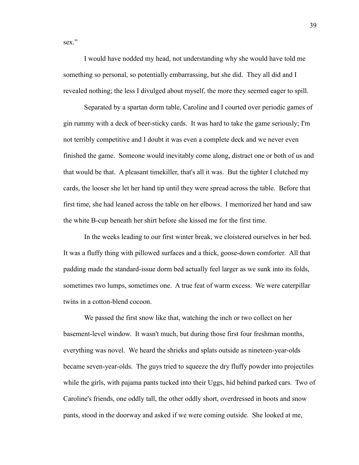sex"

I would have nodded my head, not understanding why she would have told me something so personal, so potentially embarrassing, but she did. They all did and I revealed nothing; the less I divulged about myself, the more they seemed eager to spill.

Separated by a spartan dorm table, Caroline and I courted over periodic games of gin rummy with a deck of beer-sticky cards. It was hard to take the game seriously; I'm not terribly competitive and I doubt it was even a complete deck and we never even finished the game. Someone would inevitably come along, distract one or both of us and that would be that. A pleasant timekiller, that's all it was. But the tighter I clutched my cards, the looser she let her hand tip until they were spread across the table. Before that first time, she had leaned across the table on her elbows. I memorized her hand and saw the white B-cup beneath her shirt before she kissed me for the first time.

In the weeks leading to our first winter break, we cloistered ourselves in her bed. It was a fluffy thing with pillowed surfaces and a thick, goose-down comforter. All that padding made the standard-issue dorm bed actually feel larger as we sunk into its folds, sometimes two lumps, sometimes one. A true feat of warm excess. We were caterpillar twins in a cotton-blend cocoon.

We passed the first snow like that, watching the inch or two collect on her basement-level window. It wasn't much, but during those first four freshman months, everything was novel. We heard the shrieks and splats outside as nineteen-year-olds became seven-year-olds. The guys tried to squeeze the dry fluffy powder into projectiles while the girls, with pajama pants tucked into their Uggs, hid behind parked cars. Two of Caroline's friends, one oddly tall, the other oddly short, overdressed in boots and snow pants, stood in the doorway and asked if we were coming outside. She looked at me,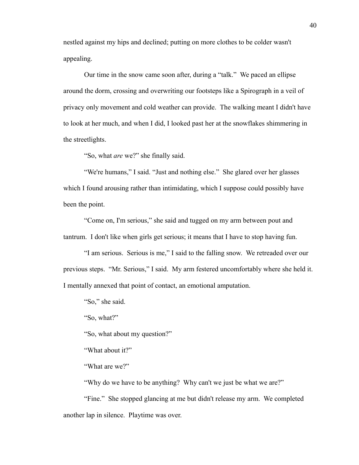nestled against my hips and declined; putting on more clothes to be colder wasn't appealing.

Our time in the snow came soon after, during a "talk." We paced an ellipse around the dorm, crossing and overwriting our footsteps like a Spirograph in a veil of privacy only movement and cold weather can provide. The walking meant I didn't have to look at her much, and when I did, I looked past her at the snowflakes shimmering in the streetlights.

"So, what *are* we?" she finally said.

"We're humans," I said. "Just and nothing else." She glared over her glasses which I found arousing rather than intimidating, which I suppose could possibly have been the point.

"Come on, I'm serious," she said and tugged on my arm between pout and tantrum. I don't like when girls get serious; it means that I have to stop having fun.

"I am serious. Serious is me," I said to the falling snow. We retreaded over our previous steps. "Mr. Serious," I said. My arm festered uncomfortably where she held it. I mentally annexed that point of contact, an emotional amputation.

"So," she said.

"So, what?"

"So, what about my question?"

"What about it?"

"What are we?"

"Why do we have to be anything? Why can't we just be what we are?"

"Fine." She stopped glancing at me but didn't release my arm. We completed another lap in silence. Playtime was over.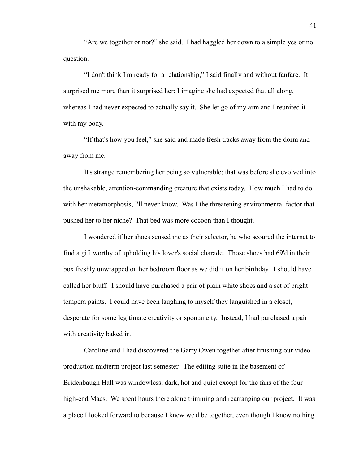"Are we together or not?" she said. I had haggled her down to a simple yes or no question.

"I don't think I'm ready for a relationship," I said finally and without fanfare. It surprised me more than it surprised her; I imagine she had expected that all along, whereas I had never expected to actually say it. She let go of my arm and I reunited it with my body.

"If that's how you feel," she said and made fresh tracks away from the dorm and away from me.

It's strange remembering her being so vulnerable; that was before she evolved into the unshakable, attention-commanding creature that exists today. How much I had to do with her metamorphosis, I'll never know. Was I the threatening environmental factor that pushed her to her niche? That bed was more cocoon than I thought.

I wondered if her shoes sensed me as their selector, he who scoured the internet to find a gift worthy of upholding his lover's social charade. Those shoes had 69'd in their box freshly unwrapped on her bedroom floor as we did it on her birthday. I should have called her bluff. I should have purchased a pair of plain white shoes and a set of bright tempera paints. I could have been laughing to myself they languished in a closet, desperate for some legitimate creativity or spontaneity. Instead, I had purchased a pair with creativity baked in.

Caroline and I had discovered the Garry Owen together after finishing our video production midterm project last semester. The editing suite in the basement of Bridenbaugh Hall was windowless, dark, hot and quiet except for the fans of the four high-end Macs. We spent hours there alone trimming and rearranging our project. It was a place I looked forward to because I knew we'd be together, even though I knew nothing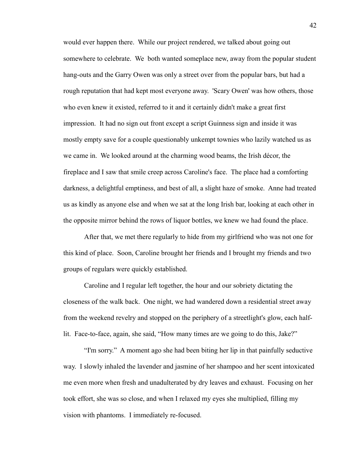would ever happen there. While our project rendered, we talked about going out somewhere to celebrate. We both wanted someplace new, away from the popular student hang-outs and the Garry Owen was only a street over from the popular bars, but had a rough reputation that had kept most everyone away. 'Scary Owen' was how others, those who even knew it existed, referred to it and it certainly didn't make a great first impression. It had no sign out front except a script Guinness sign and inside it was mostly empty save for a couple questionably unkempt townies who lazily watched us as we came in. We looked around at the charming wood beams, the Irish décor, the fireplace and I saw that smile creep across Caroline's face. The place had a comforting darkness, a delightful emptiness, and best of all, a slight haze of smoke. Anne had treated us as kindly as anyone else and when we sat at the long Irish bar, looking at each other in the opposite mirror behind the rows of liquor bottles, we knew we had found the place.

After that, we met there regularly to hide from my girlfriend who was not one for this kind of place. Soon, Caroline brought her friends and I brought my friends and two groups of regulars were quickly established.

Caroline and I regular left together, the hour and our sobriety dictating the closeness of the walk back. One night, we had wandered down a residential street away from the weekend revelry and stopped on the periphery of a streetlight's glow, each halflit. Face-to-face, again, she said, "How many times are we going to do this, Jake?"

"I'm sorry." A moment ago she had been biting her lip in that painfully seductive way. I slowly inhaled the lavender and jasmine of her shampoo and her scent intoxicated me even more when fresh and unadulterated by dry leaves and exhaust. Focusing on her took effort, she was so close, and when I relaxed my eyes she multiplied, filling my vision with phantoms. I immediately re-focused.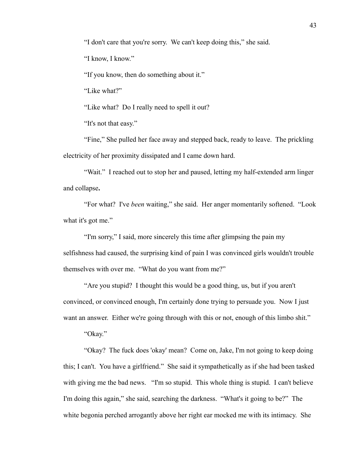"I don't care that you're sorry. We can't keep doing this," she said.

"I know, I know."

"If you know, then do something about it."

"Like what?"

"Like what? Do I really need to spell it out?

"It's not that easy."

"Fine," She pulled her face away and stepped back, ready to leave. The prickling electricity of her proximity dissipated and I came down hard.

"Wait." I reached out to stop her and paused, letting my half-extended arm linger and collapse**.**

"For what? I've *been* waiting," she said. Her anger momentarily softened. "Look what it's got me."

"I'm sorry," I said, more sincerely this time after glimpsing the pain my selfishness had caused, the surprising kind of pain I was convinced girls wouldn't trouble themselves with over me. "What do you want from me?"

"Are you stupid? I thought this would be a good thing, us, but if you aren't convinced, or convinced enough, I'm certainly done trying to persuade you. Now I just want an answer. Either we're going through with this or not, enough of this limbo shit."

"Okay."

"Okay? The fuck does 'okay' mean? Come on, Jake, I'm not going to keep doing this; I can't. You have a girlfriend." She said it sympathetically as if she had been tasked with giving me the bad news. "I'm so stupid. This whole thing is stupid. I can't believe I'm doing this again," she said, searching the darkness. "What's it going to be?" The white begonia perched arrogantly above her right ear mocked me with its intimacy. She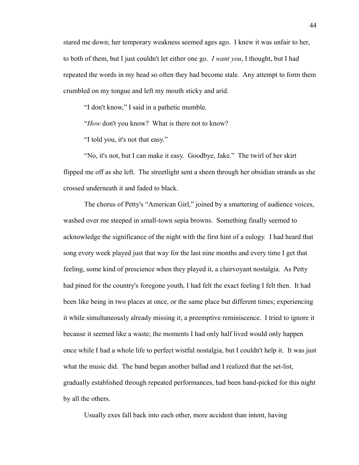stared me down; her temporary weakness seemed ages ago. I knew it was unfair to her, to both of them, but I just couldn't let either one go. *I want you*, I thought, but I had repeated the words in my head so often they had become stale. Any attempt to form them crumbled on my tongue and left my mouth sticky and arid.

"I don't know," I said in a pathetic mumble.

"*How* don't you know? What is there not to know?

"I told you, it's not that easy."

"No, it's not, but I can make it easy. Goodbye, Jake." The twirl of her skirt flipped me off as she left. The streetlight sent a sheen through her obsidian strands as she crossed underneath it and faded to black.

The chorus of Petty's "American Girl," joined by a smattering of audience voices, washed over me steeped in small-town sepia browns. Something finally seemed to acknowledge the significance of the night with the first hint of a eulogy. I had heard that song every week played just that way for the last nine months and every time I get that feeling, some kind of prescience when they played it, a clairvoyant nostalgia. As Petty had pined for the country's foregone youth, I had felt the exact feeling I felt then. It had been like being in two places at once, or the same place but different times; experiencing it while simultaneously already missing it, a preemptive reminiscence. I tried to ignore it because it seemed like a waste; the moments I had only half lived would only happen once while I had a whole life to perfect wistful nostalgia, but I couldn't help it. It was just what the music did. The band began another ballad and I realized that the set-list, gradually established through repeated performances, had been hand-picked for this night by all the others.

Usually exes fall back into each other, more accident than intent, having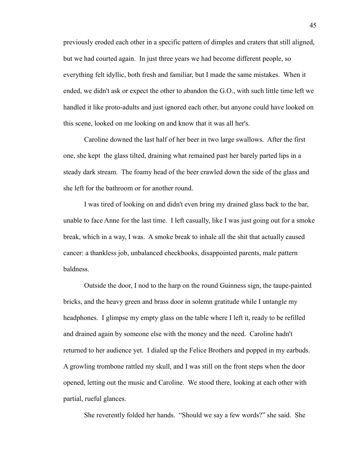previously eroded each other in a specific pattern of dimples and craters that still aligned, but we had courted again. In just three years we had become different people, so everything felt idyllic, both fresh and familiar, but I made the same mistakes. When it ended, we didn't ask or expect the other to abandon the G.O., with such little time left we handled it like proto-adults and just ignored each other, but anyone could have looked on this scene, looked on me looking on and know that it was all her's.

Caroline downed the last half of her beer in two large swallows. After the first one, she kept the glass tilted, draining what remained past her barely parted lips in a steady dark stream. The foamy head of the beer crawled down the side of the glass and she left for the bathroom or for another round.

I was tired of looking on and didn't even bring my drained glass back to the bar, unable to face Anne for the last time. I left casually, like I was just going out for a smoke break, which in a way, I was. A smoke break to inhale all the shit that actually caused cancer: a thankless job, unbalanced checkbooks, disappointed parents, male pattern baldness.

Outside the door, I nod to the harp on the round Guinness sign, the taupe-painted bricks, and the heavy green and brass door in solemn gratitude while I untangle my headphones. I glimpse my empty glass on the table where I left it, ready to be refilled and drained again by someone else with the money and the need. Caroline hadn't returned to her audience yet. I dialed up the Felice Brothers and popped in my earbuds. A growling trombone rattled my skull, and I was still on the front steps when the door opened, letting out the music and Caroline. We stood there, looking at each other with partial, rueful glances.

She reverently folded her hands. "Should we say a few words?" she said. She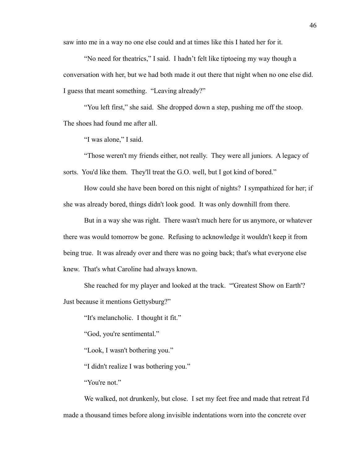saw into me in a way no one else could and at times like this I hated her for it.

"No need for theatrics," I said. I hadn't felt like tiptoeing my way though a conversation with her, but we had both made it out there that night when no one else did. I guess that meant something. "Leaving already?"

"You left first," she said. She dropped down a step, pushing me off the stoop. The shoes had found me after all.

"I was alone," I said.

"Those weren't my friends either, not really. They were all juniors. A legacy of sorts. You'd like them. They'll treat the G.O. well, but I got kind of bored."

How could she have been bored on this night of nights? I sympathized for her; if she was already bored, things didn't look good. It was only downhill from there.

But in a way she was right. There wasn't much here for us anymore, or whatever there was would tomorrow be gone. Refusing to acknowledge it wouldn't keep it from being true. It was already over and there was no going back; that's what everyone else knew. That's what Caroline had always known.

She reached for my player and looked at the track. "'Greatest Show on Earth'? Just because it mentions Gettysburg?"

"It's melancholic. I thought it fit."

"God, you're sentimental."

"Look, I wasn't bothering you."

"I didn't realize I was bothering you."

"You're not."

We walked, not drunkenly, but close. I set my feet free and made that retreat I'd made a thousand times before along invisible indentations worn into the concrete over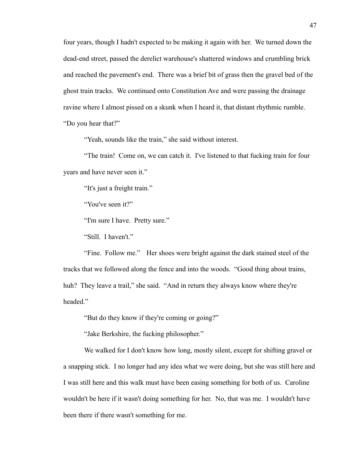four years, though I hadn't expected to be making it again with her. We turned down the dead-end street, passed the derelict warehouse's shattered windows and crumbling brick and reached the pavement's end. There was a brief bit of grass then the gravel bed of the ghost train tracks. We continued onto Constitution Ave and were passing the drainage ravine where I almost pissed on a skunk when I heard it, that distant rhythmic rumble. "Do you hear that?"

"Yeah, sounds like the train," she said without interest.

"The train! Come on, we can catch it. I've listened to that fucking train for four years and have never seen it."

"It's just a freight train."

"You've seen it?"

"I'm sure I have. Pretty sure."

"Still. I haven't."

"Fine. Follow me." Her shoes were bright against the dark stained steel of the tracks that we followed along the fence and into the woods. "Good thing about trains, huh? They leave a trail," she said. "And in return they always know where they're headed."

"But do they know if they're coming or going?"

"Jake Berkshire, the fucking philosopher."

We walked for I don't know how long, mostly silent, except for shifting gravel or a snapping stick. I no longer had any idea what we were doing, but she was still here and I was still here and this walk must have been easing something for both of us. Caroline wouldn't be here if it wasn't doing something for her. No, that was me. I wouldn't have been there if there wasn't something for me.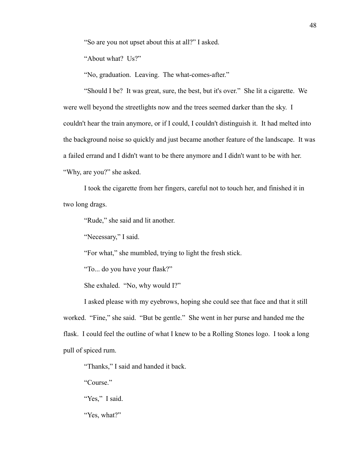"So are you not upset about this at all?" I asked.

"About what? Us?"

"No, graduation. Leaving. The what-comes-after."

"Should I be? It was great, sure, the best, but it's over." She lit a cigarette. We were well beyond the streetlights now and the trees seemed darker than the sky. I couldn't hear the train anymore, or if I could, I couldn't distinguish it. It had melted into the background noise so quickly and just became another feature of the landscape. It was a failed errand and I didn't want to be there anymore and I didn't want to be with her. "Why, are you?" she asked.

I took the cigarette from her fingers, careful not to touch her, and finished it in two long drags.

"Rude," she said and lit another.

"Necessary," I said.

"For what," she mumbled, trying to light the fresh stick.

"To... do you have your flask?"

She exhaled. "No, why would I?"

I asked please with my eyebrows, hoping she could see that face and that it still worked. "Fine," she said. "But be gentle." She went in her purse and handed me the flask. I could feel the outline of what I knew to be a Rolling Stones logo. I took a long pull of spiced rum.

"Thanks," I said and handed it back.

"Course."

"Yes," I said.

"Yes, what?"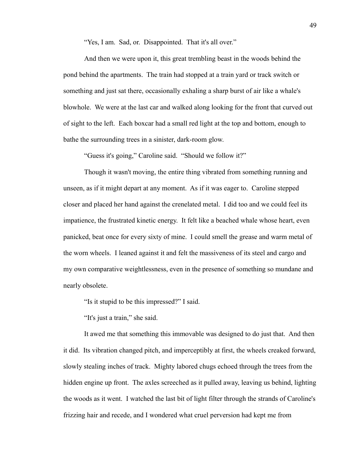"Yes, I am. Sad, or. Disappointed. That it's all over."

And then we were upon it, this great trembling beast in the woods behind the pond behind the apartments. The train had stopped at a train yard or track switch or something and just sat there, occasionally exhaling a sharp burst of air like a whale's blowhole. We were at the last car and walked along looking for the front that curved out of sight to the left. Each boxcar had a small red light at the top and bottom, enough to bathe the surrounding trees in a sinister, dark-room glow.

"Guess it's going," Caroline said. "Should we follow it?"

Though it wasn't moving, the entire thing vibrated from something running and unseen, as if it might depart at any moment. As if it was eager to. Caroline stepped closer and placed her hand against the crenelated metal. I did too and we could feel its impatience, the frustrated kinetic energy. It felt like a beached whale whose heart, even panicked, beat once for every sixty of mine. I could smell the grease and warm metal of the worn wheels. I leaned against it and felt the massiveness of its steel and cargo and my own comparative weightlessness, even in the presence of something so mundane and nearly obsolete.

"Is it stupid to be this impressed?" I said.

"It's just a train," she said.

It awed me that something this immovable was designed to do just that. And then it did. Its vibration changed pitch, and imperceptibly at first, the wheels creaked forward, slowly stealing inches of track. Mighty labored chugs echoed through the trees from the hidden engine up front. The axles screeched as it pulled away, leaving us behind, lighting the woods as it went. I watched the last bit of light filter through the strands of Caroline's frizzing hair and recede, and I wondered what cruel perversion had kept me from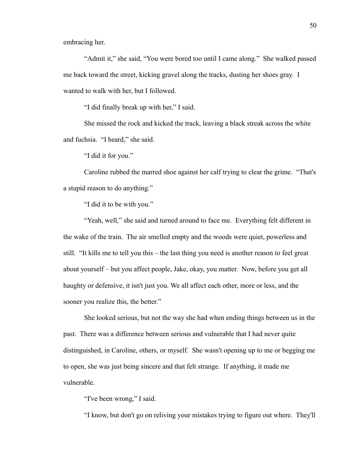embracing her.

"Admit it," she said, "You were bored too until I came along." She walked passed me back toward the street, kicking gravel along the tracks, dusting her shoes gray. I wanted to walk with her, but I followed.

"I did finally break up with her," I said.

She missed the rock and kicked the track, leaving a black streak across the white and fuchsia. "I heard," she said.

"I did it for you."

Caroline rubbed the marred shoe against her calf trying to clear the grime. "That's a stupid reason to do anything."

"I did it to be with you."

"Yeah, well," she said and turned around to face me. Everything felt different in the wake of the train. The air smelled empty and the woods were quiet, powerless and still. "It kills me to tell you this – the last thing you need is another reason to feel great about yourself – but you affect people, Jake, okay, you matter. Now, before you get all haughty or defensive, it isn't just you. We all affect each other, more or less, and the sooner you realize this, the better."

She looked serious, but not the way she had when ending things between us in the past. There was a difference between serious and vulnerable that I had never quite distinguished, in Caroline, others, or myself. She wasn't opening up to me or begging me to open, she was just being sincere and that felt strange. If anything, it made me vulnerable.

"I've been wrong," I said.

"I know, but don't go on reliving your mistakes trying to figure out where. They'll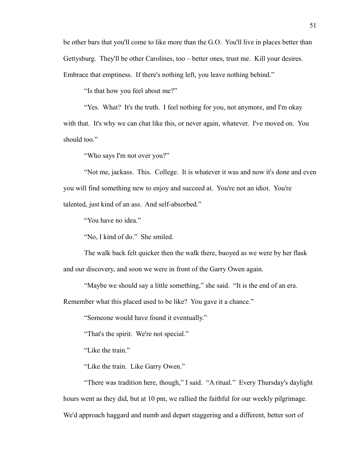be other bars that you'll come to like more than the G.O. You'll live in places better than Gettysburg. They'll be other Carolines, too – better ones, trust me. Kill your desires. Embrace that emptiness. If there's nothing left, you leave nothing behind."

"Is that how you feel about me?"

"Yes. What? It's the truth. I feel nothing for you, not anymore, and I'm okay with that. It's why we can chat like this, or never again, whatever. I've moved on. You should too."

"Who says I'm not over you?"

"Not me, jackass. This. College. It is whatever it was and now it's done and even you will find something new to enjoy and succeed at. You're not an idiot. You're talented, just kind of an ass. And self-absorbed."

"You have no idea."

"No, I kind of do." She smiled.

The walk back felt quicker then the walk there, buoyed as we were by her flask and our discovery, and soon we were in front of the Garry Owen again.

"Maybe we should say a little something," she said. "It is the end of an era.

Remember what this placed used to be like? You gave it a chance."

"Someone would have found it eventually."

"That's the spirit. We're not special."

"Like the train."

"Like the train. Like Garry Owen."

"There was tradition here, though," I said. "A ritual." Every Thursday's daylight hours went as they did, but at 10 pm, we rallied the faithful for our weekly pilgrimage. We'd approach haggard and numb and depart staggering and a different, better sort of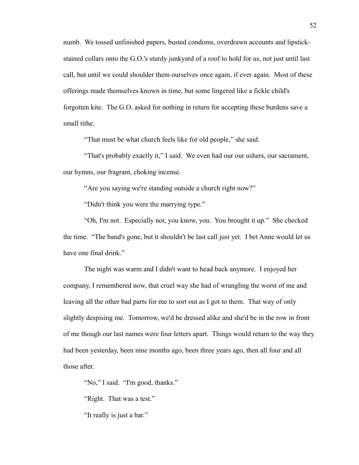numb. We tossed unfinished papers, busted condoms, overdrawn accounts and lipstickstained collars onto the G.O.'s sturdy junkyard of a roof to hold for us, not just until last call, but until we could shoulder them ourselves once again, if ever again. Most of these offerings made themselves known in time, but some lingered like a fickle child's forgotten kite. The G.O. asked for nothing in return for accepting these burdens save a small tithe.

"That must be what church feels like for old people," she said.

"That's probably exactly it," I said. We even had our our ushers, our sacrament, our hymns, our fragrant, choking incense.

"Are you saying we're standing outside a church right now?"

"Didn't think you were the marrying type."

"Oh, I'm not. Especially not, you know, you. You brought it up." She checked the time. "The band's gone, but it shouldn't be last call just yet. I bet Anne would let us have one final drink."

The night was warm and I didn't want to head back anymore. I enjoyed her company, I remembered now, that cruel way she had of wrangling the worst of me and leaving all the other bad parts for me to sort out as I got to them. That way of only slightly despising me. Tomorrow, we'd be dressed alike and she'd be in the row in front of me though our last names were four letters apart. Things would return to the way they had been yesterday, been nine months ago, been three years ago, then all four and all those after.

"No," I said. "I'm good, thanks."

"Right. That was a test."

"It really is just a bar."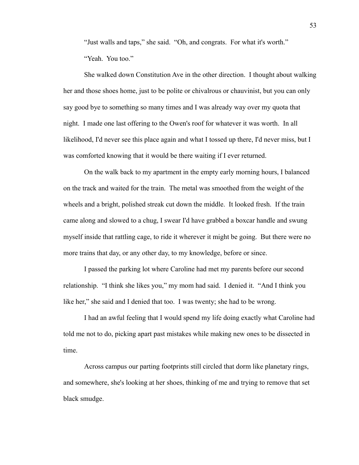"Just walls and taps," she said. "Oh, and congrats. For what it's worth." "Yeah. You too."

She walked down Constitution Ave in the other direction. I thought about walking her and those shoes home, just to be polite or chivalrous or chauvinist, but you can only say good bye to something so many times and I was already way over my quota that night. I made one last offering to the Owen's roof for whatever it was worth. In all likelihood, I'd never see this place again and what I tossed up there, I'd never miss, but I was comforted knowing that it would be there waiting if I ever returned.

On the walk back to my apartment in the empty early morning hours, I balanced on the track and waited for the train. The metal was smoothed from the weight of the wheels and a bright, polished streak cut down the middle. It looked fresh. If the train came along and slowed to a chug, I swear I'd have grabbed a boxcar handle and swung myself inside that rattling cage, to ride it wherever it might be going. But there were no more trains that day, or any other day, to my knowledge, before or since.

I passed the parking lot where Caroline had met my parents before our second relationship. "I think she likes you," my mom had said. I denied it. "And I think you like her," she said and I denied that too. I was twenty; she had to be wrong.

I had an awful feeling that I would spend my life doing exactly what Caroline had told me not to do, picking apart past mistakes while making new ones to be dissected in time.

Across campus our parting footprints still circled that dorm like planetary rings, and somewhere, she's looking at her shoes, thinking of me and trying to remove that set black smudge.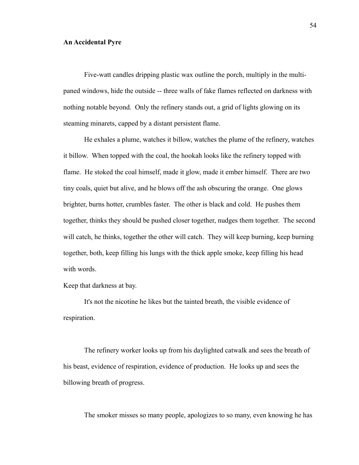## **An Accidental Pyre**

Five-watt candles dripping plastic wax outline the porch, multiply in the multipaned windows, hide the outside -- three walls of fake flames reflected on darkness with nothing notable beyond. Only the refinery stands out, a grid of lights glowing on its steaming minarets, capped by a distant persistent flame.

He exhales a plume, watches it billow, watches the plume of the refinery, watches it billow. When topped with the coal, the hookah looks like the refinery topped with flame. He stoked the coal himself, made it glow, made it ember himself. There are two tiny coals, quiet but alive, and he blows off the ash obscuring the orange. One glows brighter, burns hotter, crumbles faster. The other is black and cold. He pushes them together, thinks they should be pushed closer together, nudges them together. The second will catch, he thinks, together the other will catch. They will keep burning, keep burning together, both, keep filling his lungs with the thick apple smoke, keep filling his head with words.

Keep that darkness at bay.

It's not the nicotine he likes but the tainted breath, the visible evidence of respiration.

The refinery worker looks up from his daylighted catwalk and sees the breath of his beast, evidence of respiration, evidence of production. He looks up and sees the billowing breath of progress.

The smoker misses so many people, apologizes to so many, even knowing he has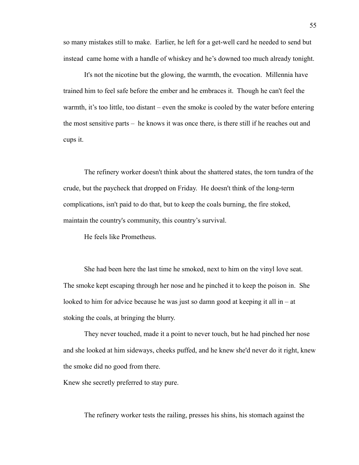so many mistakes still to make. Earlier, he left for a get-well card he needed to send but instead came home with a handle of whiskey and he's downed too much already tonight.

It's not the nicotine but the glowing, the warmth, the evocation. Millennia have trained him to feel safe before the ember and he embraces it. Though he can't feel the warmth, it's too little, too distant – even the smoke is cooled by the water before entering the most sensitive parts – he knows it was once there, is there still if he reaches out and cups it.

The refinery worker doesn't think about the shattered states, the torn tundra of the crude, but the paycheck that dropped on Friday. He doesn't think of the long-term complications, isn't paid to do that, but to keep the coals burning, the fire stoked, maintain the country's community, this country's survival.

He feels like Prometheus.

She had been here the last time he smoked, next to him on the vinyl love seat. The smoke kept escaping through her nose and he pinched it to keep the poison in. She looked to him for advice because he was just so damn good at keeping it all in – at stoking the coals, at bringing the blurry.

They never touched, made it a point to never touch, but he had pinched her nose and she looked at him sideways, cheeks puffed, and he knew she'd never do it right, knew the smoke did no good from there.

Knew she secretly preferred to stay pure.

The refinery worker tests the railing, presses his shins, his stomach against the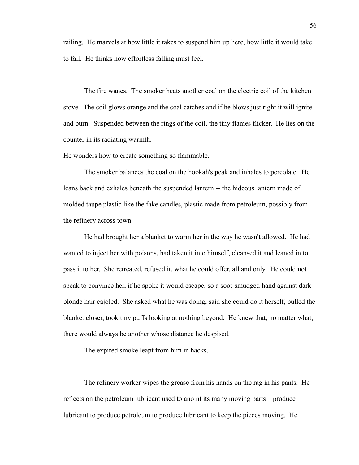railing. He marvels at how little it takes to suspend him up here, how little it would take to fail. He thinks how effortless falling must feel.

The fire wanes. The smoker heats another coal on the electric coil of the kitchen stove. The coil glows orange and the coal catches and if he blows just right it will ignite and burn. Suspended between the rings of the coil, the tiny flames flicker. He lies on the counter in its radiating warmth.

He wonders how to create something so flammable.

The smoker balances the coal on the hookah's peak and inhales to percolate. He leans back and exhales beneath the suspended lantern -- the hideous lantern made of molded taupe plastic like the fake candles, plastic made from petroleum, possibly from the refinery across town.

He had brought her a blanket to warm her in the way he wasn't allowed. He had wanted to inject her with poisons, had taken it into himself, cleansed it and leaned in to pass it to her. She retreated, refused it, what he could offer, all and only. He could not speak to convince her, if he spoke it would escape, so a soot-smudged hand against dark blonde hair cajoled. She asked what he was doing, said she could do it herself, pulled the blanket closer, took tiny puffs looking at nothing beyond. He knew that, no matter what, there would always be another whose distance he despised.

The expired smoke leapt from him in hacks.

The refinery worker wipes the grease from his hands on the rag in his pants. He reflects on the petroleum lubricant used to anoint its many moving parts – produce lubricant to produce petroleum to produce lubricant to keep the pieces moving. He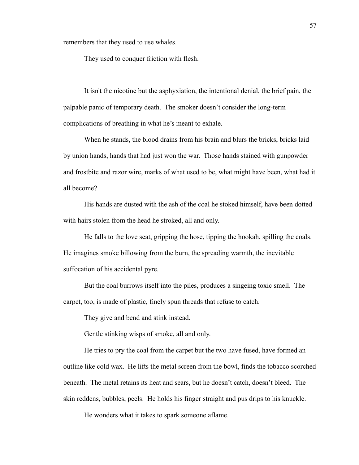remembers that they used to use whales.

They used to conquer friction with flesh.

It isn't the nicotine but the asphyxiation, the intentional denial, the brief pain, the palpable panic of temporary death. The smoker doesn't consider the long-term complications of breathing in what he's meant to exhale.

When he stands, the blood drains from his brain and blurs the bricks, bricks laid by union hands, hands that had just won the war. Those hands stained with gunpowder and frostbite and razor wire, marks of what used to be, what might have been, what had it all become?

His hands are dusted with the ash of the coal he stoked himself, have been dotted with hairs stolen from the head he stroked, all and only.

He falls to the love seat, gripping the hose, tipping the hookah, spilling the coals. He imagines smoke billowing from the burn, the spreading warmth, the inevitable suffocation of his accidental pyre.

But the coal burrows itself into the piles, produces a singeing toxic smell. The carpet, too, is made of plastic, finely spun threads that refuse to catch.

They give and bend and stink instead.

Gentle stinking wisps of smoke, all and only.

He tries to pry the coal from the carpet but the two have fused, have formed an outline like cold wax. He lifts the metal screen from the bowl, finds the tobacco scorched beneath. The metal retains its heat and sears, but he doesn't catch, doesn't bleed. The skin reddens, bubbles, peels. He holds his finger straight and pus drips to his knuckle.

He wonders what it takes to spark someone aflame.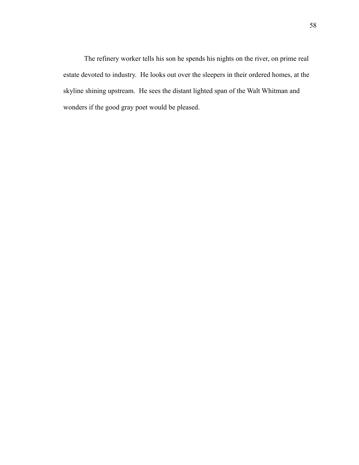The refinery worker tells his son he spends his nights on the river, on prime real estate devoted to industry. He looks out over the sleepers in their ordered homes, at the skyline shining upstream. He sees the distant lighted span of the Walt Whitman and wonders if the good gray poet would be pleased.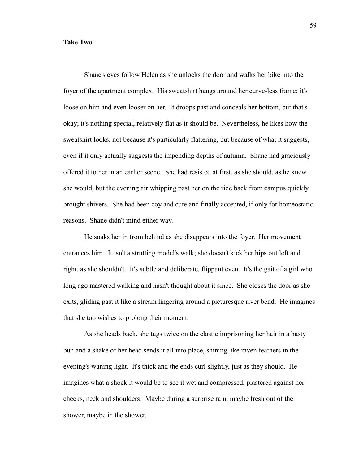## **Take Two**

Shane's eyes follow Helen as she unlocks the door and walks her bike into the foyer of the apartment complex. His sweatshirt hangs around her curve-less frame; it's loose on him and even looser on her. It droops past and conceals her bottom, but that's okay; it's nothing special, relatively flat as it should be. Nevertheless, he likes how the sweatshirt looks, not because it's particularly flattering, but because of what it suggests, even if it only actually suggests the impending depths of autumn. Shane had graciously offered it to her in an earlier scene. She had resisted at first, as she should, as he knew she would, but the evening air whipping past her on the ride back from campus quickly brought shivers. She had been coy and cute and finally accepted, if only for homeostatic reasons. Shane didn't mind either way.

He soaks her in from behind as she disappears into the foyer. Her movement entrances him. It isn't a strutting model's walk; she doesn't kick her hips out left and right, as she shouldn't. It's subtle and deliberate, flippant even. It's the gait of a girl who long ago mastered walking and hasn't thought about it since. She closes the door as she exits, gliding past it like a stream lingering around a picturesque river bend. He imagines that she too wishes to prolong their moment.

As she heads back, she tugs twice on the elastic imprisoning her hair in a hasty bun and a shake of her head sends it all into place, shining like raven feathers in the evening's waning light. It's thick and the ends curl slightly, just as they should. He imagines what a shock it would be to see it wet and compressed, plastered against her cheeks, neck and shoulders. Maybe during a surprise rain, maybe fresh out of the shower, maybe in the shower.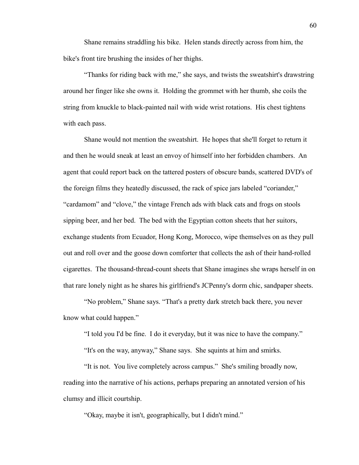Shane remains straddling his bike. Helen stands directly across from him, the bike's front tire brushing the insides of her thighs.

"Thanks for riding back with me," she says, and twists the sweatshirt's drawstring around her finger like she owns it. Holding the grommet with her thumb, she coils the string from knuckle to black-painted nail with wide wrist rotations. His chest tightens with each pass.

Shane would not mention the sweatshirt. He hopes that she'll forget to return it and then he would sneak at least an envoy of himself into her forbidden chambers. An agent that could report back on the tattered posters of obscure bands, scattered DVD's of the foreign films they heatedly discussed, the rack of spice jars labeled "coriander," "cardamom" and "clove," the vintage French ads with black cats and frogs on stools sipping beer, and her bed. The bed with the Egyptian cotton sheets that her suitors, exchange students from Ecuador, Hong Kong, Morocco, wipe themselves on as they pull out and roll over and the goose down comforter that collects the ash of their hand-rolled cigarettes. The thousand-thread-count sheets that Shane imagines she wraps herself in on that rare lonely night as he shares his girlfriend's JCPenny's dorm chic, sandpaper sheets.

"No problem," Shane says. "That's a pretty dark stretch back there, you never know what could happen."

"I told you I'd be fine. I do it everyday, but it was nice to have the company."

"It's on the way, anyway," Shane says. She squints at him and smirks.

"It is not. You live completely across campus." She's smiling broadly now, reading into the narrative of his actions, perhaps preparing an annotated version of his clumsy and illicit courtship.

"Okay, maybe it isn't, geographically, but I didn't mind."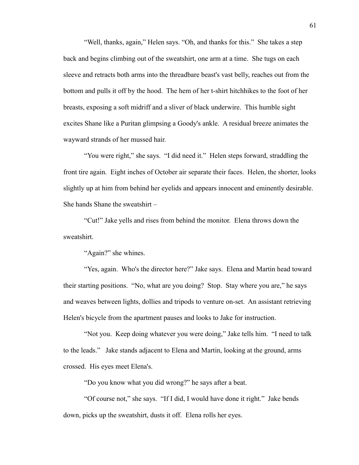"Well, thanks, again," Helen says. "Oh, and thanks for this." She takes a step back and begins climbing out of the sweatshirt, one arm at a time. She tugs on each sleeve and retracts both arms into the threadbare beast's vast belly, reaches out from the bottom and pulls it off by the hood. The hem of her t-shirt hitchhikes to the foot of her breasts, exposing a soft midriff and a sliver of black underwire. This humble sight excites Shane like a Puritan glimpsing a Goody's ankle. A residual breeze animates the wayward strands of her mussed hair.

"You were right," she says. "I did need it." Helen steps forward, straddling the front tire again. Eight inches of October air separate their faces. Helen, the shorter, looks slightly up at him from behind her eyelids and appears innocent and eminently desirable. She hands Shane the sweatshirt –

"Cut!" Jake yells and rises from behind the monitor. Elena throws down the sweatshirt.

"Again?" she whines.

"Yes, again. Who's the director here?" Jake says. Elena and Martin head toward their starting positions. "No, what are you doing? Stop. Stay where you are," he says and weaves between lights, dollies and tripods to venture on-set. An assistant retrieving Helen's bicycle from the apartment pauses and looks to Jake for instruction.

"Not you. Keep doing whatever you were doing," Jake tells him. "I need to talk to the leads." Jake stands adjacent to Elena and Martin, looking at the ground, arms crossed. His eyes meet Elena's.

"Do you know what you did wrong?" he says after a beat.

"Of course not," she says. "If I did, I would have done it right." Jake bends down, picks up the sweatshirt, dusts it off. Elena rolls her eyes.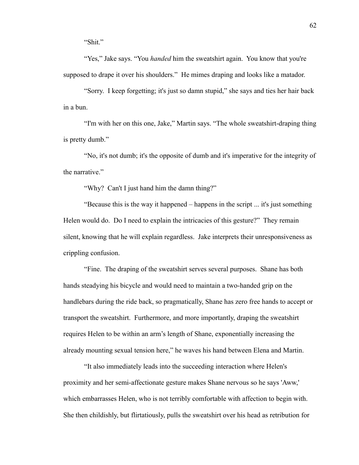"Shit."

"Yes," Jake says. "You *handed* him the sweatshirt again. You know that you're supposed to drape it over his shoulders." He mimes draping and looks like a matador.

"Sorry. I keep forgetting; it's just so damn stupid," she says and ties her hair back in a bun.

"I'm with her on this one, Jake," Martin says. "The whole sweatshirt-draping thing is pretty dumb."

"No, it's not dumb; it's the opposite of dumb and it's imperative for the integrity of the narrative."

"Why? Can't I just hand him the damn thing?"

"Because this is the way it happened – happens in the script ... it's just something Helen would do. Do I need to explain the intricacies of this gesture?" They remain silent, knowing that he will explain regardless. Jake interprets their unresponsiveness as crippling confusion.

"Fine. The draping of the sweatshirt serves several purposes. Shane has both hands steadying his bicycle and would need to maintain a two-handed grip on the handlebars during the ride back, so pragmatically, Shane has zero free hands to accept or transport the sweatshirt. Furthermore, and more importantly, draping the sweatshirt requires Helen to be within an arm's length of Shane, exponentially increasing the already mounting sexual tension here," he waves his hand between Elena and Martin.

"It also immediately leads into the succeeding interaction where Helen's proximity and her semi-affectionate gesture makes Shane nervous so he says 'Aww,' which embarrasses Helen, who is not terribly comfortable with affection to begin with. She then childishly, but flirtatiously, pulls the sweatshirt over his head as retribution for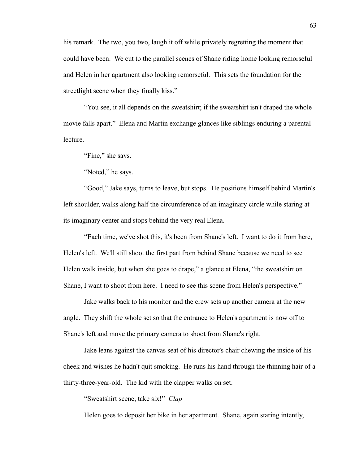his remark. The two, you two, laugh it off while privately regretting the moment that could have been. We cut to the parallel scenes of Shane riding home looking remorseful and Helen in her apartment also looking remorseful. This sets the foundation for the streetlight scene when they finally kiss."

"You see, it all depends on the sweatshirt; if the sweatshirt isn't draped the whole movie falls apart." Elena and Martin exchange glances like siblings enduring a parental lecture.

"Fine," she says.

"Noted," he says.

"Good," Jake says, turns to leave, but stops. He positions himself behind Martin's left shoulder, walks along half the circumference of an imaginary circle while staring at its imaginary center and stops behind the very real Elena.

"Each time, we've shot this, it's been from Shane's left. I want to do it from here, Helen's left. We'll still shoot the first part from behind Shane because we need to see Helen walk inside, but when she goes to drape," a glance at Elena, "the sweatshirt on Shane, I want to shoot from here. I need to see this scene from Helen's perspective."

Jake walks back to his monitor and the crew sets up another camera at the new angle. They shift the whole set so that the entrance to Helen's apartment is now off to Shane's left and move the primary camera to shoot from Shane's right.

Jake leans against the canvas seat of his director's chair chewing the inside of his cheek and wishes he hadn't quit smoking. He runs his hand through the thinning hair of a thirty-three-year-old. The kid with the clapper walks on set.

"Sweatshirt scene, take six!" *Clap*

Helen goes to deposit her bike in her apartment. Shane, again staring intently,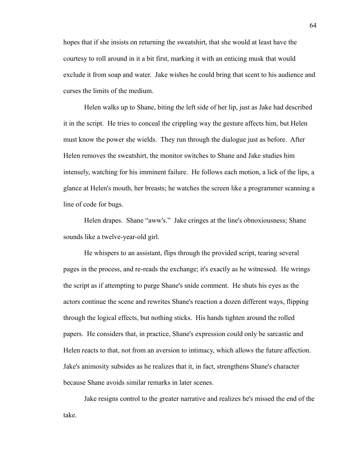hopes that if she insists on returning the sweatshirt, that she would at least have the courtesy to roll around in it a bit first, marking it with an enticing musk that would exclude it from soap and water. Jake wishes he could bring that scent to his audience and curses the limits of the medium.

Helen walks up to Shane, biting the left side of her lip, just as Jake had described it in the script. He tries to conceal the crippling way the gesture affects him, but Helen must know the power she wields. They run through the dialogue just as before. After Helen removes the sweatshirt, the monitor switches to Shane and Jake studies him intensely, watching for his imminent failure. He follows each motion, a lick of the lips, a glance at Helen's mouth, her breasts; he watches the screen like a programmer scanning a line of code for bugs.

Helen drapes. Shane "aww's." Jake cringes at the line's obnoxiousness; Shane sounds like a twelve-year-old girl.

He whispers to an assistant, flips through the provided script, tearing several pages in the process, and re-reads the exchange; it's exactly as he witnessed. He wrings the script as if attempting to purge Shane's snide comment. He shuts his eyes as the actors continue the scene and rewrites Shane's reaction a dozen different ways, flipping through the logical effects, but nothing sticks. His hands tighten around the rolled papers. He considers that, in practice, Shane's expression could only be sarcastic and Helen reacts to that, not from an aversion to intimacy, which allows the future affection. Jake's animosity subsides as he realizes that it, in fact, strengthens Shane's character because Shane avoids similar remarks in later scenes.

Jake resigns control to the greater narrative and realizes he's missed the end of the take.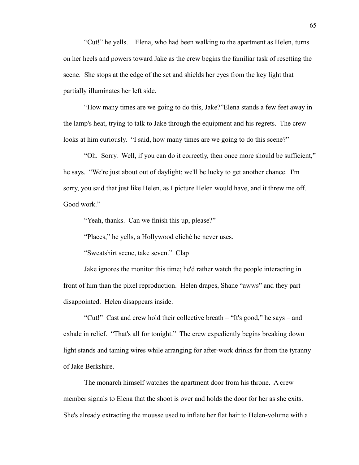"Cut!" he yells. Elena, who had been walking to the apartment as Helen, turns on her heels and powers toward Jake as the crew begins the familiar task of resetting the scene. She stops at the edge of the set and shields her eyes from the key light that partially illuminates her left side.

"How many times are we going to do this, Jake?"Elena stands a few feet away in the lamp's heat, trying to talk to Jake through the equipment and his regrets. The crew looks at him curiously. "I said, how many times are we going to do this scene?"

"Oh. Sorry. Well, if you can do it correctly, then once more should be sufficient," he says. "We're just about out of daylight; we'll be lucky to get another chance. I'm sorry, you said that just like Helen, as I picture Helen would have, and it threw me off. Good work."

"Yeah, thanks. Can we finish this up, please?"

"Places," he yells, a Hollywood cliché he never uses.

"Sweatshirt scene, take seven." Clap

Jake ignores the monitor this time; he'd rather watch the people interacting in front of him than the pixel reproduction. Helen drapes, Shane "awws" and they part disappointed. Helen disappears inside.

"Cut!" Cast and crew hold their collective breath – "It's good," he says – and exhale in relief. "That's all for tonight." The crew expediently begins breaking down light stands and taming wires while arranging for after-work drinks far from the tyranny of Jake Berkshire.

The monarch himself watches the apartment door from his throne. A crew member signals to Elena that the shoot is over and holds the door for her as she exits. She's already extracting the mousse used to inflate her flat hair to Helen-volume with a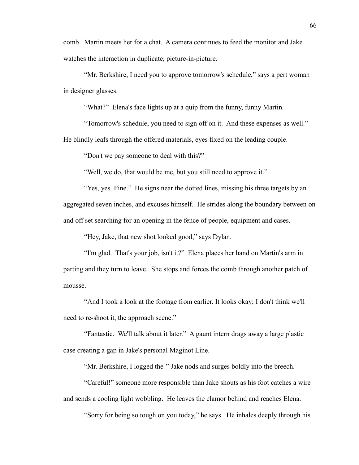comb. Martin meets her for a chat. A camera continues to feed the monitor and Jake watches the interaction in duplicate, picture-in-picture.

"Mr. Berkshire, I need you to approve tomorrow's schedule," says a pert woman in designer glasses.

"What?" Elena's face lights up at a quip from the funny, funny Martin.

"Tomorrow's schedule, you need to sign off on it. And these expenses as well."

He blindly leafs through the offered materials, eyes fixed on the leading couple.

"Don't we pay someone to deal with this?"

"Well, we do, that would be me, but you still need to approve it."

"Yes, yes. Fine." He signs near the dotted lines, missing his three targets by an aggregated seven inches, and excuses himself. He strides along the boundary between on and off set searching for an opening in the fence of people, equipment and cases.

"Hey, Jake, that new shot looked good," says Dylan.

"I'm glad. That's your job, isn't it?" Elena places her hand on Martin's arm in parting and they turn to leave. She stops and forces the comb through another patch of mousse.

"And I took a look at the footage from earlier. It looks okay; I don't think we'll need to re-shoot it, the approach scene."

"Fantastic. We'll talk about it later." A gaunt intern drags away a large plastic case creating a gap in Jake's personal Maginot Line.

"Mr. Berkshire, I logged the-" Jake nods and surges boldly into the breech.

"Careful!" someone more responsible than Jake shouts as his foot catches a wire and sends a cooling light wobbling. He leaves the clamor behind and reaches Elena.

"Sorry for being so tough on you today," he says. He inhales deeply through his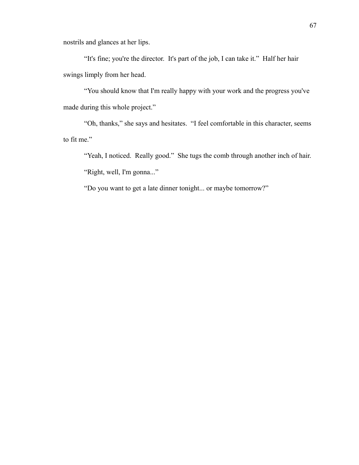nostrils and glances at her lips.

"It's fine; you're the director. It's part of the job, I can take it." Half her hair swings limply from her head.

"You should know that I'm really happy with your work and the progress you've made during this whole project."

"Oh, thanks," she says and hesitates. "I feel comfortable in this character, seems to fit me."

"Yeah, I noticed. Really good." She tugs the comb through another inch of hair. "Right, well, I'm gonna..."

"Do you want to get a late dinner tonight... or maybe tomorrow?"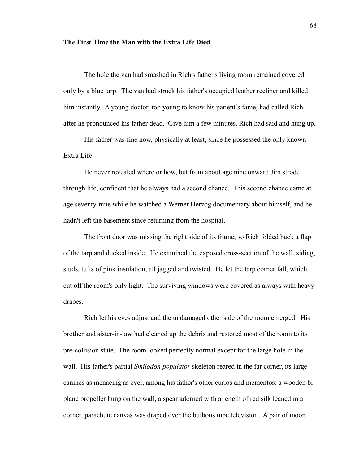## **The First Time the Man with the Extra Life Died**

The hole the van had smashed in Rich's father's living room remained covered only by a blue tarp. The van had struck his father's occupied leather recliner and killed him instantly. A young doctor, too young to know his patient's fame, had called Rich after he pronounced his father dead. Give him a few minutes, Rich had said and hung up.

His father was fine now, physically at least, since he possessed the only known Extra Life.

He never revealed where or how, but from about age nine onward Jim strode through life, confident that he always had a second chance. This second chance came at age seventy-nine while he watched a Werner Herzog documentary about himself, and he hadn't left the basement since returning from the hospital.

The front door was missing the right side of its frame, so Rich folded back a flap of the tarp and ducked inside. He examined the exposed cross-section of the wall, siding, studs, tufts of pink insulation, all jagged and twisted. He let the tarp corner fall, which cut off the room's only light. The surviving windows were covered as always with heavy drapes.

Rich let his eyes adjust and the undamaged other side of the room emerged. His brother and sister-in-law had cleaned up the debris and restored most of the room to its pre-collision state. The room looked perfectly normal except for the large hole in the wall. His father's partial *Smilodon populator* skeleton reared in the far corner, its large canines as menacing as ever, among his father's other curios and mementos: a wooden biplane propeller hung on the wall, a spear adorned with a length of red silk leaned in a corner, parachute canvas was draped over the bulbous tube television. A pair of moon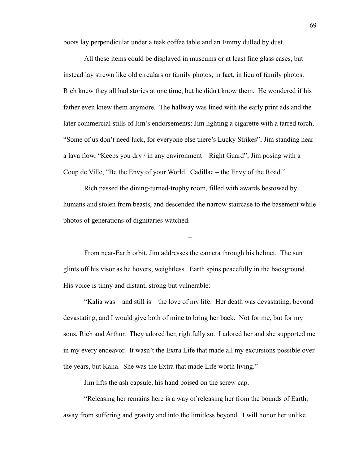boots lay perpendicular under a teak coffee table and an Emmy dulled by dust.

All these items could be displayed in museums or at least fine glass cases, but instead lay strewn like old circulars or family photos; in fact, in lieu of family photos. Rich knew they all had stories at one time, but he didn't know them. He wondered if his father even knew them anymore. The hallway was lined with the early print ads and the later commercial stills of Jim's endorsements: Jim lighting a cigarette with a tarred torch, "Some of us don't need luck, for everyone else there's Lucky Strikes"; Jim standing near a lava flow, "Keeps you dry / in any environment – Right Guard"; Jim posing with a Coup de Ville, "Be the Envy of your World. Cadillac – the Envy of the Road."

Rich passed the dining-turned-trophy room, filled with awards bestowed by humans and stolen from beasts, and descended the narrow staircase to the basement while photos of generations of dignitaries watched.

–

From near-Earth orbit, Jim addresses the camera through his helmet. The sun glints off his visor as he hovers, weightless. Earth spins peacefully in the background. His voice is tinny and distant, strong but vulnerable:

"Kalia was – and still is – the love of my life. Her death was devastating, beyond devastating, and I would give both of mine to bring her back. Not for me, but for my sons, Rich and Arthur. They adored her, rightfully so. I adored her and she supported me in my every endeavor. It wasn't the Extra Life that made all my excursions possible over the years, but Kalia. She was the Extra that made Life worth living."

Jim lifts the ash capsule, his hand poised on the screw cap.

"Releasing her remains here is a way of releasing her from the bounds of Earth, away from suffering and gravity and into the limitless beyond. I will honor her unlike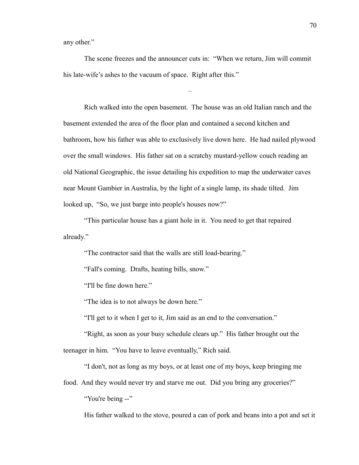any other."

The scene freezes and the announcer cuts in: "When we return, Jim will commit his late-wife's ashes to the vacuum of space. Right after this."

–

Rich walked into the open basement. The house was an old Italian ranch and the basement extended the area of the floor plan and contained a second kitchen and bathroom, how his father was able to exclusively live down here. He had nailed plywood over the small windows. His father sat on a scratchy mustard-yellow couch reading an old National Geographic, the issue detailing his expedition to map the underwater caves near Mount Gambier in Australia, by the light of a single lamp, its shade tilted. Jim looked up. "So, we just barge into people's houses now?"

"This particular house has a giant hole in it. You need to get that repaired already."

"The contractor said that the walls are still load-bearing."

"Fall's coming. Drafts, heating bills, snow."

"I'll be fine down here."

"The idea is to not always be down here."

"I'll get to it when I get to it, Jim said as an end to the conversation."

"Right, as soon as your busy schedule clears up." His father brought out the teenager in him. "You have to leave eventually," Rich said.

"I don't, not as long as my boys, or at least one of my boys, keep bringing me

food. And they would never try and starve me out. Did you bring any groceries?"

"You're being --"

His father walked to the stove, poured a can of pork and beans into a pot and set it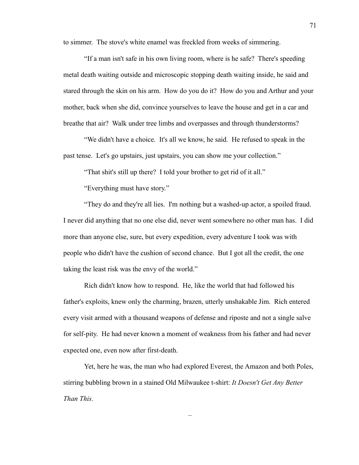to simmer. The stove's white enamel was freckled from weeks of simmering.

"If a man isn't safe in his own living room, where is he safe? There's speeding metal death waiting outside and microscopic stopping death waiting inside, he said and stared through the skin on his arm. How do you do it? How do you and Arthur and your mother, back when she did, convince yourselves to leave the house and get in a car and breathe that air? Walk under tree limbs and overpasses and through thunderstorms?

"We didn't have a choice. It's all we know, he said. He refused to speak in the past tense. Let's go upstairs, just upstairs, you can show me your collection."

"That shit's still up there? I told your brother to get rid of it all."

"Everything must have story."

"They do and they're all lies. I'm nothing but a washed-up actor, a spoiled fraud. I never did anything that no one else did, never went somewhere no other man has. I did more than anyone else, sure, but every expedition, every adventure I took was with people who didn't have the cushion of second chance. But I got all the credit, the one taking the least risk was the envy of the world."

Rich didn't know how to respond. He, like the world that had followed his father's exploits, knew only the charming, brazen, utterly unshakable Jim. Rich entered every visit armed with a thousand weapons of defense and riposte and not a single salve for self-pity. He had never known a moment of weakness from his father and had never expected one, even now after first-death.

Yet, here he was, the man who had explored Everest, the Amazon and both Poles, stirring bubbling brown in a stained Old Milwaukee t-shirt: *It Doesn't Get Any Better Than This.*

–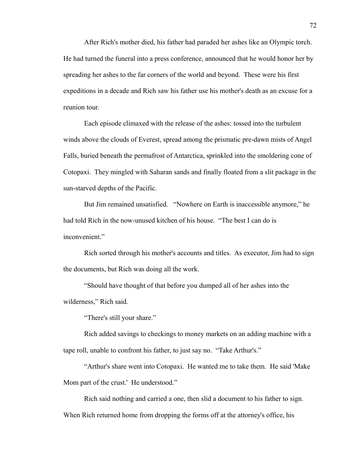After Rich's mother died, his father had paraded her ashes like an Olympic torch. He had turned the funeral into a press conference, announced that he would honor her by spreading her ashes to the far corners of the world and beyond. These were his first expeditions in a decade and Rich saw his father use his mother's death as an excuse for a reunion tour.

Each episode climaxed with the release of the ashes: tossed into the turbulent winds above the clouds of Everest, spread among the prismatic pre-dawn mists of Angel Falls, buried beneath the permafrost of Antarctica, sprinkled into the smoldering cone of Cotopaxi. They mingled with Saharan sands and finally floated from a slit package in the sun-starved depths of the Pacific.

But Jim remained unsatisfied. "Nowhere on Earth is inaccessible anymore," he had told Rich in the now-unused kitchen of his house. "The best I can do is inconvenient."

Rich sorted through his mother's accounts and titles. As executor, Jim had to sign the documents, but Rich was doing all the work.

"Should have thought of that before you dumped all of her ashes into the wilderness," Rich said.

"There's still your share."

Rich added savings to checkings to money markets on an adding machine with a tape roll, unable to confront his father, to just say no. "Take Arthur's."

"Arthur's share went into Cotopaxi. He wanted me to take them. He said 'Make Mom part of the crust.' He understood."

Rich said nothing and carried a one, then slid a document to his father to sign. When Rich returned home from dropping the forms off at the attorney's office, his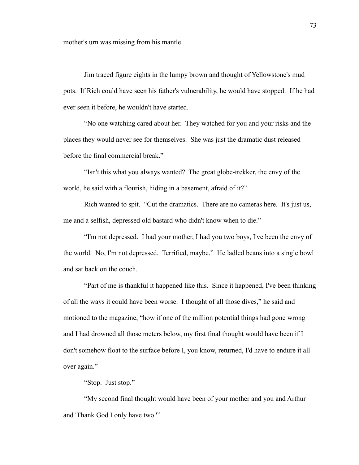mother's urn was missing from his mantle.

Jim traced figure eights in the lumpy brown and thought of Yellowstone's mud pots. If Rich could have seen his father's vulnerability, he would have stopped. If he had ever seen it before, he wouldn't have started.

–

"No one watching cared about her. They watched for you and your risks and the places they would never see for themselves. She was just the dramatic dust released before the final commercial break."

"Isn't this what you always wanted? The great globe-trekker, the envy of the world, he said with a flourish, hiding in a basement, afraid of it?"

Rich wanted to spit. "Cut the dramatics. There are no cameras here. It's just us, me and a selfish, depressed old bastard who didn't know when to die."

"I'm not depressed. I had your mother, I had you two boys, I've been the envy of the world. No, I'm not depressed. Terrified, maybe." He ladled beans into a single bowl and sat back on the couch.

"Part of me is thankful it happened like this. Since it happened, I've been thinking of all the ways it could have been worse. I thought of all those dives," he said and motioned to the magazine, "how if one of the million potential things had gone wrong and I had drowned all those meters below, my first final thought would have been if I don't somehow float to the surface before I, you know, returned, I'd have to endure it all over again."

"Stop. Just stop."

"My second final thought would have been of your mother and you and Arthur and 'Thank God I only have two.'"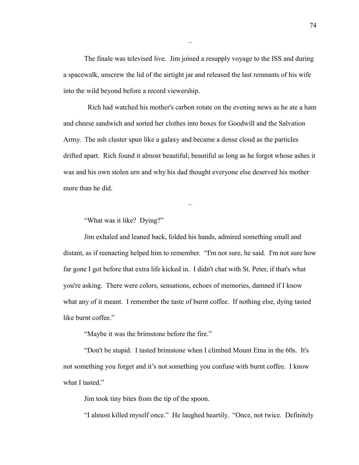The finale was televised live. Jim joined a resupply voyage to the ISS and during a spacewalk, unscrew the lid of the airtight jar and released the last remnants of his wife into the wild beyond before a record viewership.

–

 Rich had watched his mother's carbon rotate on the evening news as he ate a ham and cheese sandwich and sorted her clothes into boxes for Goodwill and the Salvation Army. The ash cluster spun like a galaxy and became a dense cloud as the particles drifted apart. Rich found it almost beautiful; beautiful as long as he forgot whose ashes it was and his own stolen urn and why his dad thought everyone else deserved his mother more than he did.

–

"What was it like? Dying?"

Jim exhaled and leaned back, folded his hands, admired something small and distant, as if reenacting helped him to remember. "I'm not sure, he said. I'm not sure how far gone I got before that extra life kicked in. I didn't chat with St. Peter, if that's what you're asking. There were colors, sensations, echoes of memories, damned if I know what any of it meant. I remember the taste of burnt coffee. If nothing else, dying tasted like burnt coffee."

"Maybe it was the brimstone before the fire."

"Don't be stupid. I tasted brimstone when I climbed Mount Etna in the 60s. It's not something you forget and it's not something you confuse with burnt coffee. I know what I tasted."

Jim took tiny bites from the tip of the spoon.

"I almost killed myself once." He laughed heartily. "Once, not twice. Definitely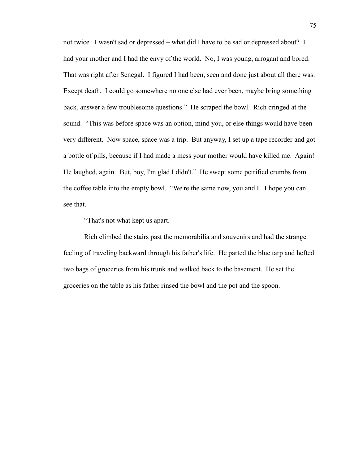not twice. I wasn't sad or depressed – what did I have to be sad or depressed about? I had your mother and I had the envy of the world. No, I was young, arrogant and bored. That was right after Senegal. I figured I had been, seen and done just about all there was. Except death. I could go somewhere no one else had ever been, maybe bring something back, answer a few troublesome questions." He scraped the bowl. Rich cringed at the sound. "This was before space was an option, mind you, or else things would have been very different. Now space, space was a trip. But anyway, I set up a tape recorder and got a bottle of pills, because if I had made a mess your mother would have killed me. Again! He laughed, again. But, boy, I'm glad I didn't." He swept some petrified crumbs from the coffee table into the empty bowl. "We're the same now, you and I. I hope you can see that.

"That's not what kept us apart.

Rich climbed the stairs past the memorabilia and souvenirs and had the strange feeling of traveling backward through his father's life. He parted the blue tarp and hefted two bags of groceries from his trunk and walked back to the basement. He set the groceries on the table as his father rinsed the bowl and the pot and the spoon.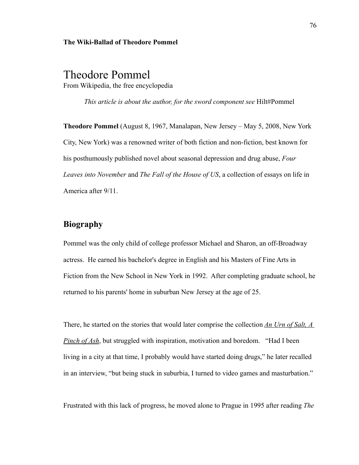#### **The Wiki-Ballad of Theodore Pommel**

# Theodore Pommel From Wikipedia, the free encyclopedia

*This article is about the author, for the sword component see* Hilt#Pommel

**Theodore Pommel** (August 8, 1967, Manalapan, New Jersey – May 5, 2008, New York City, New York) was a renowned writer of both fiction and non-fiction, best known for his posthumously published novel about seasonal depression and drug abuse, *Four Leaves into November* and *The Fall of the House of US*, a collection of essays on life in America after 9/11.

# **Biography**

Pommel was the only child of college professor Michael and Sharon, an off-Broadway actress. He earned his bachelor's degree in English and his Masters of Fine Arts in Fiction from the New School in New York in 1992. After completing graduate school, he returned to his parents' home in suburban New Jersey at the age of 25.

There, he started on the stories that would later comprise the collection *An Urn of Salt, A Pinch of Ash*, but struggled with inspiration, motivation and boredom. "Had I been living in a city at that time, I probably would have started doing drugs," he later recalled in an interview, "but being stuck in suburbia, I turned to video games and masturbation."

Frustrated with this lack of progress, he moved alone to Prague in 1995 after reading *The*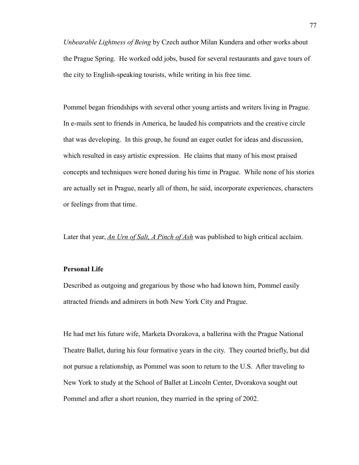*Unbearable Lightness of Being* by Czech author Milan Kundera and other works about the Prague Spring. He worked odd jobs, bused for several restaurants and gave tours of the city to English-speaking tourists, while writing in his free time.

Pommel began friendships with several other young artists and writers living in Prague. In e-mails sent to friends in America, he lauded his compatriots and the creative circle that was developing. In this group, he found an eager outlet for ideas and discussion, which resulted in easy artistic expression. He claims that many of his most praised concepts and techniques were honed during his time in Prague. While none of his stories are actually set in Prague, nearly all of them, he said, incorporate experiences, characters or feelings from that time.

Later that year, *An Urn of Salt, A Pinch of Ash* was published to high critical acclaim.

### **Personal Life**

Described as outgoing and gregarious by those who had known him, Pommel easily attracted friends and admirers in both New York City and Prague.

He had met his future wife, Marketa Dvorakova, a ballerina with the Prague National Theatre Ballet, during his four formative years in the city. They courted briefly, but did not pursue a relationship, as Pommel was soon to return to the U.S. After traveling to New York to study at the School of Ballet at Lincoln Center, Dvorakova sought out Pommel and after a short reunion, they married in the spring of 2002.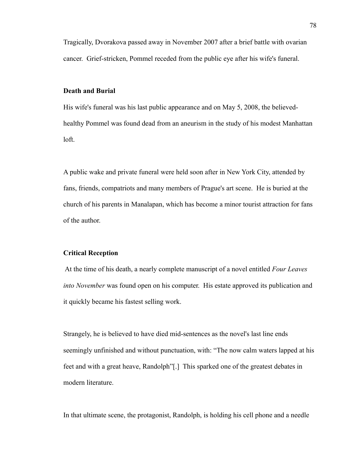Tragically, Dvorakova passed away in November 2007 after a brief battle with ovarian cancer. Grief-stricken, Pommel receded from the public eye after his wife's funeral.

#### **Death and Burial**

His wife's funeral was his last public appearance and on May 5, 2008, the believedhealthy Pommel was found dead from an aneurism in the study of his modest Manhattan loft.

A public wake and private funeral were held soon after in New York City, attended by fans, friends, compatriots and many members of Prague's art scene. He is buried at the church of his parents in Manalapan, which has become a minor tourist attraction for fans of the author.

### **Critical Reception**

 At the time of his death, a nearly complete manuscript of a novel entitled *Four Leaves into November* was found open on his computer. His estate approved its publication and it quickly became his fastest selling work.

Strangely, he is believed to have died mid-sentences as the novel's last line ends seemingly unfinished and without punctuation, with: "The now calm waters lapped at his feet and with a great heave, Randolph"[.] This sparked one of the greatest debates in modern literature.

In that ultimate scene, the protagonist, Randolph, is holding his cell phone and a needle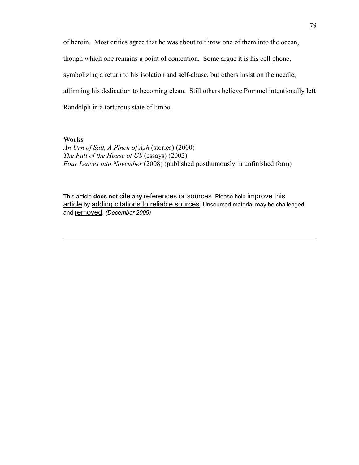of heroin. Most critics agree that he was about to throw one of them into the ocean, though which one remains a point of contention. Some argue it is his cell phone, symbolizing a return to his isolation and self-abuse, but others insist on the needle, affirming his dedication to becoming clean. Still others believe Pommel intentionally left Randolph in a torturous state of limbo.

## **Works**

*An Urn of Salt, A Pinch of Ash* (stories) (2000) *The Fall of the House of US* (essays) (2002) *Four Leaves into November* (2008) (published posthumously in unfinished form)

This article **does not** [cite](http://en.wikipedia.org/wiki/Wikipedia:Citing_sources) any [references or sources](http://en.wikipedia.org/wiki/Wikipedia:Verifiability). Please help improve this [article](http://en.wikipedia.org/w/index.php?title=Daid%C5%8Dji_Y%C5%ABzan&action=edit) by [adding citations to reliable sources](http://en.wikipedia.org/wiki/Help:Introduction_to_referencing/1). Unsourced material may be challenged and [removed](http://en.wikipedia.org/wiki/Wikipedia:Verifiability#Burden_of_evidence). *(December 2009)*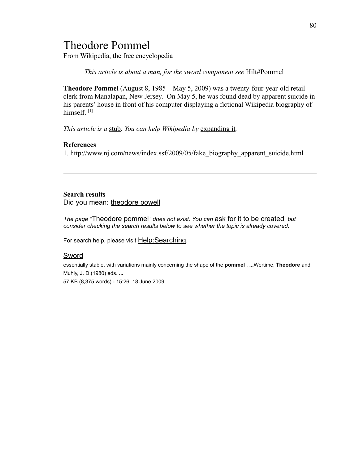# Theodore Pommel

From Wikipedia, the free encyclopedia

*This article is about a man, for the sword component see* Hilt#Pommel

**Theodore Pommel** (August 8, 1985 – May 5, 2009) was a twenty-four-year-old retail clerk from Manalapan, New Jersey. On May 5, he was found dead by apparent suicide in his parents' house in front of his computer displaying a fictional Wikipedia biography of himself.<sup>[1]</sup>

*This article is a* [stub](http://en.wikipedia.org/wiki/Wikipedia:Stub)*. You can help Wikipedia by* [expanding it](http://en.wikipedia.org/w/index.php?title=Angelo_Roccadirame&action=edit)*.*

### **References**

1. http://www.nj.com/news/index.ssf/2009/05/fake\_biography\_apparent\_suicide.html

# **Search results**

Did you mean: [theodore powell](http://en.wikipedia.org/w/index.php?title=Special:Search&search=theodore+powell&redirs=1&profile=default)

*The page "*[Theodore pommel](http://en.wikipedia.org/w/index.php?title=Theodore_pommel&action=edit&redlink=1)*" does not exist. You can* [ask for it to be created](http://en.wikipedia.org/wiki/Wikipedia:Articles_for_creation)*, but consider checking the search results below to see whether the topic is already covered.*

For search help, please visit Help: Searching.

#### [Sword](http://en.wikipedia.org/wiki/Sword)

essentially stable, with variations mainly concerning the shape of the **pommel** . **...**Wertime, **Theodore** and Muhly, J. D.(1980) eds. **...** 57 KB (8,375 words) - 15:26, 18 June 2009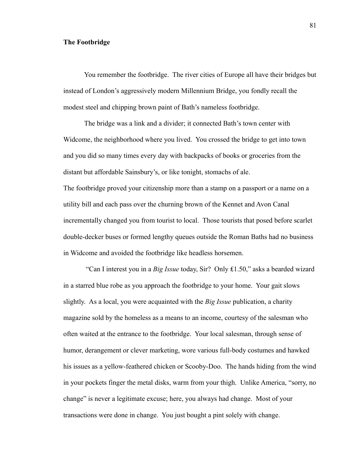### **The Footbridge**

You remember the footbridge. The river cities of Europe all have their bridges but instead of London's aggressively modern Millennium Bridge, you fondly recall the modest steel and chipping brown paint of Bath's nameless footbridge.

The bridge was a link and a divider; it connected Bath's town center with Widcome, the neighborhood where you lived. You crossed the bridge to get into town and you did so many times every day with backpacks of books or groceries from the distant but affordable Sainsbury's, or like tonight, stomachs of ale. The footbridge proved your citizenship more than a stamp on a passport or a name on a utility bill and each pass over the churning brown of the Kennet and Avon Canal incrementally changed you from tourist to local. Those tourists that posed before scarlet double-decker buses or formed lengthy queues outside the Roman Baths had no business in Widcome and avoided the footbridge like headless horsemen.

 "Can I interest you in a *Big Issue* today, Sir? Only ₤1.50," asks a bearded wizard in a starred blue robe as you approach the footbridge to your home. Your gait slows slightly. As a local, you were acquainted with the *Big Issue* publication, a charity magazine sold by the homeless as a means to an income, courtesy of the salesman who often waited at the entrance to the footbridge. Your local salesman, through sense of humor, derangement or clever marketing, wore various full-body costumes and hawked his issues as a yellow-feathered chicken or Scooby-Doo. The hands hiding from the wind in your pockets finger the metal disks, warm from your thigh. Unlike America, "sorry, no change" is never a legitimate excuse; here, you always had change. Most of your transactions were done in change. You just bought a pint solely with change.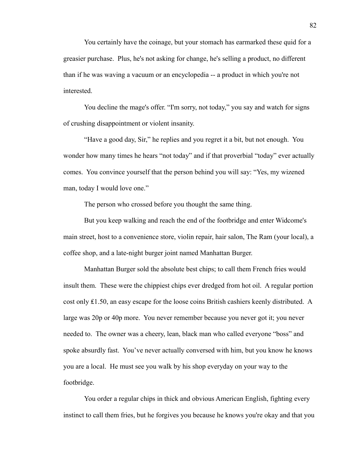You certainly have the coinage, but your stomach has earmarked these quid for a greasier purchase. Plus, he's not asking for change, he's selling a product, no different than if he was waving a vacuum or an encyclopedia -- a product in which you're not interested.

You decline the mage's offer. "I'm sorry, not today," you say and watch for signs of crushing disappointment or violent insanity.

"Have a good day, Sir," he replies and you regret it a bit, but not enough. You wonder how many times he hears "not today" and if that proverbial "today" ever actually comes. You convince yourself that the person behind you will say: "Yes, my wizened man, today I would love one."

The person who crossed before you thought the same thing.

But you keep walking and reach the end of the footbridge and enter Widcome's main street, host to a convenience store, violin repair, hair salon, The Ram (your local), a coffee shop, and a late-night burger joint named Manhattan Burger.

Manhattan Burger sold the absolute best chips; to call them French fries would insult them. These were the chippiest chips ever dredged from hot oil. A regular portion cost only ₤1.50, an easy escape for the loose coins British cashiers keenly distributed. A large was 20p or 40p more. You never remember because you never got it; you never needed to. The owner was a cheery, lean, black man who called everyone "boss" and spoke absurdly fast. You've never actually conversed with him, but you know he knows you are a local. He must see you walk by his shop everyday on your way to the footbridge.

You order a regular chips in thick and obvious American English, fighting every instinct to call them fries, but he forgives you because he knows you're okay and that you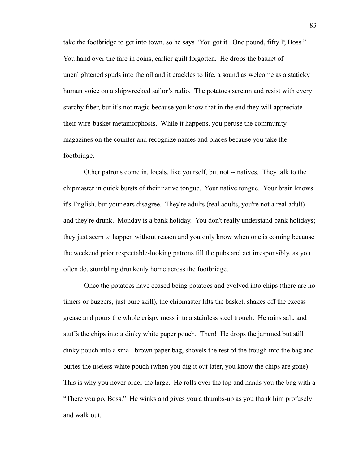take the footbridge to get into town, so he says "You got it. One pound, fifty P, Boss." You hand over the fare in coins, earlier guilt forgotten. He drops the basket of unenlightened spuds into the oil and it crackles to life, a sound as welcome as a staticky human voice on a shipwrecked sailor's radio. The potatoes scream and resist with every starchy fiber, but it's not tragic because you know that in the end they will appreciate their wire-basket metamorphosis. While it happens, you peruse the community magazines on the counter and recognize names and places because you take the footbridge.

Other patrons come in, locals, like yourself, but not -- natives. They talk to the chipmaster in quick bursts of their native tongue. Your native tongue. Your brain knows it's English, but your ears disagree. They're adults (real adults, you're not a real adult) and they're drunk. Monday is a bank holiday. You don't really understand bank holidays; they just seem to happen without reason and you only know when one is coming because the weekend prior respectable-looking patrons fill the pubs and act irresponsibly, as you often do, stumbling drunkenly home across the footbridge.

Once the potatoes have ceased being potatoes and evolved into chips (there are no timers or buzzers, just pure skill), the chipmaster lifts the basket, shakes off the excess grease and pours the whole crispy mess into a stainless steel trough. He rains salt, and stuffs the chips into a dinky white paper pouch. Then! He drops the jammed but still dinky pouch into a small brown paper bag, shovels the rest of the trough into the bag and buries the useless white pouch (when you dig it out later, you know the chips are gone). This is why you never order the large. He rolls over the top and hands you the bag with a "There you go, Boss." He winks and gives you a thumbs-up as you thank him profusely and walk out.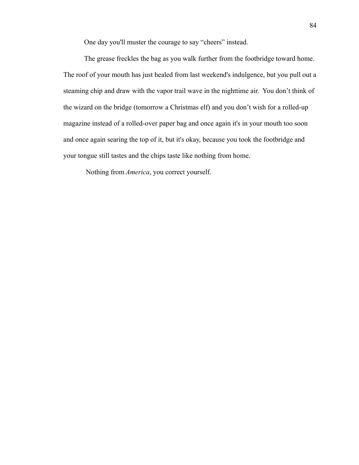One day you'll muster the courage to say "cheers" instead.

The grease freckles the bag as you walk further from the footbridge toward home. The roof of your mouth has just healed from last weekend's indulgence, but you pull out a steaming chip and draw with the vapor trail wave in the nighttime air. You don't think of the wizard on the bridge (tomorrow a Christmas elf) and you don't wish for a rolled-up magazine instead of a rolled-over paper bag and once again it's in your mouth too soon and once again searing the top of it, but it's okay, because you took the footbridge and your tongue still tastes and the chips taste like nothing from home.

Nothing from *America*, you correct yourself.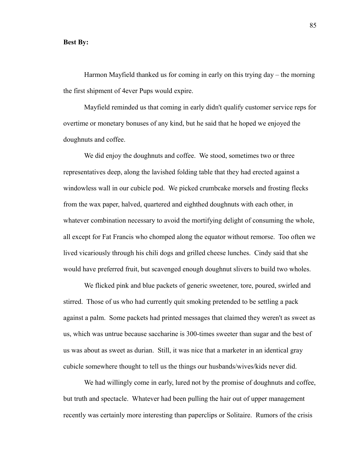#### **Best By:**

Harmon Mayfield thanked us for coming in early on this trying day – the morning the first shipment of 4ever Pups would expire.

Mayfield reminded us that coming in early didn't qualify customer service reps for overtime or monetary bonuses of any kind, but he said that he hoped we enjoyed the doughnuts and coffee.

We did enjoy the doughnuts and coffee. We stood, sometimes two or three representatives deep, along the lavished folding table that they had erected against a windowless wall in our cubicle pod. We picked crumbcake morsels and frosting flecks from the wax paper, halved, quartered and eighthed doughnuts with each other, in whatever combination necessary to avoid the mortifying delight of consuming the whole, all except for Fat Francis who chomped along the equator without remorse. Too often we lived vicariously through his chili dogs and grilled cheese lunches. Cindy said that she would have preferred fruit, but scavenged enough doughnut slivers to build two wholes.

We flicked pink and blue packets of generic sweetener, tore, poured, swirled and stirred. Those of us who had currently quit smoking pretended to be settling a pack against a palm. Some packets had printed messages that claimed they weren't as sweet as us, which was untrue because saccharine is 300-times sweeter than sugar and the best of us was about as sweet as durian. Still, it was nice that a marketer in an identical gray cubicle somewhere thought to tell us the things our husbands/wives/kids never did.

We had willingly come in early, lured not by the promise of doughnuts and coffee, but truth and spectacle. Whatever had been pulling the hair out of upper management recently was certainly more interesting than paperclips or Solitaire. Rumors of the crisis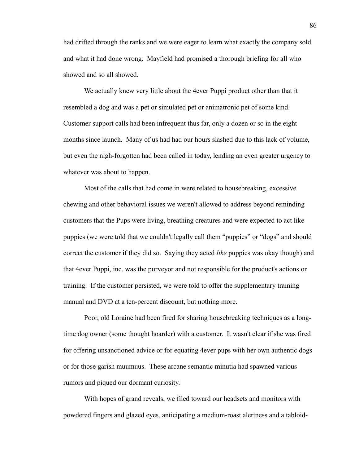had drifted through the ranks and we were eager to learn what exactly the company sold and what it had done wrong. Mayfield had promised a thorough briefing for all who showed and so all showed.

We actually knew very little about the 4ever Puppi product other than that it resembled a dog and was a pet or simulated pet or animatronic pet of some kind. Customer support calls had been infrequent thus far, only a dozen or so in the eight months since launch. Many of us had had our hours slashed due to this lack of volume, but even the nigh-forgotten had been called in today, lending an even greater urgency to whatever was about to happen.

Most of the calls that had come in were related to housebreaking, excessive chewing and other behavioral issues we weren't allowed to address beyond reminding customers that the Pups were living, breathing creatures and were expected to act like puppies (we were told that we couldn't legally call them "puppies" or "dogs" and should correct the customer if they did so. Saying they acted *like* puppies was okay though) and that 4ever Puppi, inc. was the purveyor and not responsible for the product's actions or training. If the customer persisted, we were told to offer the supplementary training manual and DVD at a ten-percent discount, but nothing more.

Poor, old Loraine had been fired for sharing housebreaking techniques as a longtime dog owner (some thought hoarder) with a customer. It wasn't clear if she was fired for offering unsanctioned advice or for equating 4ever pups with her own authentic dogs or for those garish muumuus. These arcane semantic minutia had spawned various rumors and piqued our dormant curiosity.

With hopes of grand reveals, we filed toward our headsets and monitors with powdered fingers and glazed eyes, anticipating a medium-roast alertness and a tabloid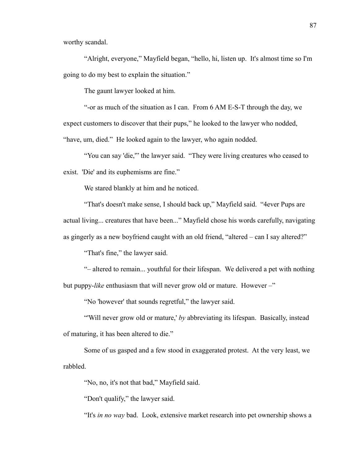worthy scandal.

"Alright, everyone," Mayfield began, "hello, hi, listen up. It's almost time so I'm going to do my best to explain the situation."

The gaunt lawyer looked at him.

"-or as much of the situation as I can. From 6 AM E-S-T through the day, we expect customers to discover that their pups," he looked to the lawyer who nodded,

"have, um, died." He looked again to the lawyer, who again nodded.

"You can say 'die,'" the lawyer said. "They were living creatures who ceased to exist. 'Die' and its euphemisms are fine."

We stared blankly at him and he noticed.

"That's doesn't make sense, I should back up," Mayfield said. "4ever Pups are

actual living... creatures that have been..." Mayfield chose his words carefully, navigating

as gingerly as a new boyfriend caught with an old friend, "altered – can I say altered?"

"That's fine," the lawyer said.

"– altered to remain... youthful for their lifespan. We delivered a pet with nothing but puppy-*like* enthusiasm that will never grow old or mature. However –"

"No 'however' that sounds regretful," the lawyer said.

"'Will never grow old or mature,' *by* abbreviating its lifespan. Basically, instead of maturing, it has been altered to die."

Some of us gasped and a few stood in exaggerated protest. At the very least, we rabbled.

"No, no, it's not that bad," Mayfield said.

"Don't qualify," the lawyer said.

"It's *in no way* bad. Look, extensive market research into pet ownership shows a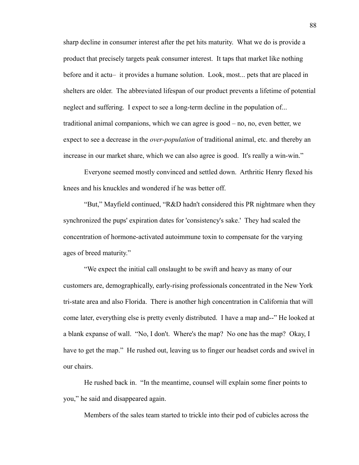sharp decline in consumer interest after the pet hits maturity. What we do is provide a product that precisely targets peak consumer interest. It taps that market like nothing before and it actu– it provides a humane solution. Look, most... pets that are placed in shelters are older. The abbreviated lifespan of our product prevents a lifetime of potential neglect and suffering. I expect to see a long-term decline in the population of... traditional animal companions, which we can agree is good – no, no, even better, we expect to see a decrease in the *over-population* of traditional animal, etc. and thereby an increase in our market share, which we can also agree is good. It's really a win-win."

Everyone seemed mostly convinced and settled down. Arthritic Henry flexed his knees and his knuckles and wondered if he was better off.

"But," Mayfield continued, "R&D hadn't considered this PR nightmare when they synchronized the pups' expiration dates for 'consistency's sake.' They had scaled the concentration of hormone-activated autoimmune toxin to compensate for the varying ages of breed maturity."

"We expect the initial call onslaught to be swift and heavy as many of our customers are, demographically, early-rising professionals concentrated in the New York tri-state area and also Florida. There is another high concentration in California that will come later, everything else is pretty evenly distributed. I have a map and--" He looked at a blank expanse of wall. "No, I don't. Where's the map? No one has the map? Okay, I have to get the map." He rushed out, leaving us to finger our headset cords and swivel in our chairs.

He rushed back in. "In the meantime, counsel will explain some finer points to you," he said and disappeared again.

Members of the sales team started to trickle into their pod of cubicles across the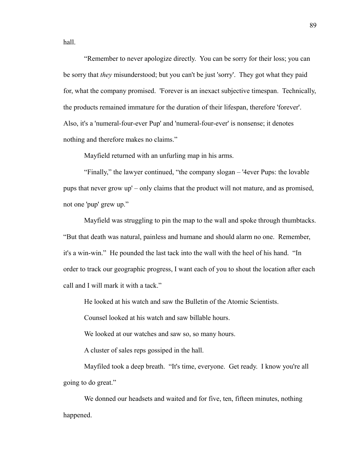hall.

"Remember to never apologize directly. You can be sorry for their loss; you can be sorry that *they* misunderstood; but you can't be just 'sorry'. They got what they paid for, what the company promised. 'Forever is an inexact subjective timespan. Technically, the products remained immature for the duration of their lifespan, therefore 'forever'. Also, it's a 'numeral-four-ever Pup' and 'numeral-four-ever' is nonsense; it denotes nothing and therefore makes no claims."

Mayfield returned with an unfurling map in his arms.

"Finally," the lawyer continued, "the company slogan – '4ever Pups: the lovable pups that never grow up' – only claims that the product will not mature, and as promised, not one 'pup' grew up."

Mayfield was struggling to pin the map to the wall and spoke through thumbtacks. "But that death was natural, painless and humane and should alarm no one. Remember, it's a win-win." He pounded the last tack into the wall with the heel of his hand. "In order to track our geographic progress, I want each of you to shout the location after each call and I will mark it with a tack."

He looked at his watch and saw the Bulletin of the Atomic Scientists.

Counsel looked at his watch and saw billable hours.

We looked at our watches and saw so, so many hours.

A cluster of sales reps gossiped in the hall.

Mayfiled took a deep breath. "It's time, everyone. Get ready. I know you're all going to do great."

We donned our headsets and waited and for five, ten, fifteen minutes, nothing happened.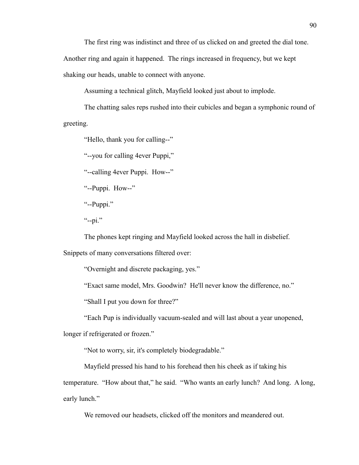The first ring was indistinct and three of us clicked on and greeted the dial tone.

Another ring and again it happened. The rings increased in frequency, but we kept shaking our heads, unable to connect with anyone.

Assuming a technical glitch, Mayfield looked just about to implode.

The chatting sales reps rushed into their cubicles and began a symphonic round of greeting.

"Hello, thank you for calling--"

"--you for calling 4ever Puppi,"

"--calling 4ever Puppi. How--"

"--Puppi. How--"

"--Puppi."

 $"$ --pi."

The phones kept ringing and Mayfield looked across the hall in disbelief.

Snippets of many conversations filtered over:

"Overnight and discrete packaging, yes."

"Exact same model, Mrs. Goodwin? He'll never know the difference, no."

"Shall I put you down for three?"

"Each Pup is individually vacuum-sealed and will last about a year unopened,

longer if refrigerated or frozen."

"Not to worry, sir, it's completely biodegradable."

Mayfield pressed his hand to his forehead then his cheek as if taking his temperature. "How about that," he said. "Who wants an early lunch? And long. A long, early lunch."

We removed our headsets, clicked off the monitors and meandered out.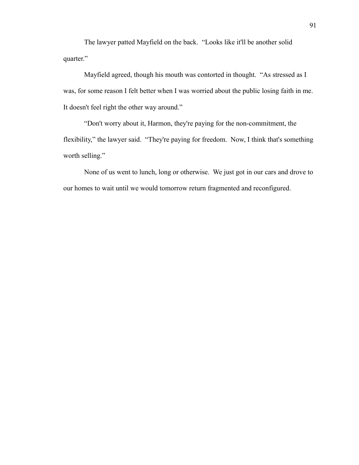The lawyer patted Mayfield on the back. "Looks like it'll be another solid quarter."

Mayfield agreed, though his mouth was contorted in thought. "As stressed as I was, for some reason I felt better when I was worried about the public losing faith in me. It doesn't feel right the other way around."

"Don't worry about it, Harmon, they're paying for the non-commitment, the flexibility," the lawyer said. "They're paying for freedom. Now, I think that's something worth selling."

None of us went to lunch, long or otherwise. We just got in our cars and drove to our homes to wait until we would tomorrow return fragmented and reconfigured.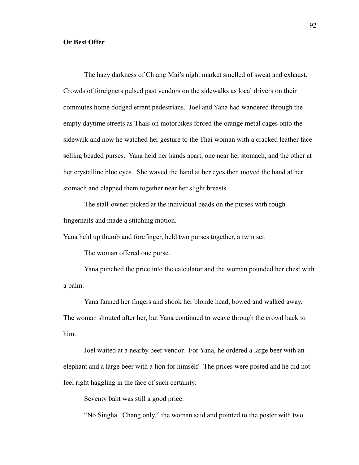## **Or Best Offer**

The hazy darkness of Chiang Mai's night market smelled of sweat and exhaust. Crowds of foreigners pulsed past vendors on the sidewalks as local drivers on their commutes home dodged errant pedestrians. Joel and Yana had wandered through the empty daytime streets as Thais on motorbikes forced the orange metal cages onto the sidewalk and now he watched her gesture to the Thai woman with a cracked leather face selling beaded purses. Yana held her hands apart, one near her stomach, and the other at her crystalline blue eyes. She waved the hand at her eyes then moved the hand at her stomach and clapped them together near her slight breasts.

The stall-owner picked at the individual beads on the purses with rough fingernails and made a stitching motion.

Yana held up thumb and forefinger, held two purses together, a twin set.

The woman offered one purse.

Yana punched the price into the calculator and the woman pounded her chest with a palm.

Yana fanned her fingers and shook her blonde head, bowed and walked away. The woman shouted after her, but Yana continued to weave through the crowd back to him.

Joel waited at a nearby beer vendor. For Yana, he ordered a large beer with an elephant and a large beer with a lion for himself. The prices were posted and he did not feel right haggling in the face of such certainty.

Seventy baht was still a good price.

"No Singha. Chang only," the woman said and pointed to the poster with two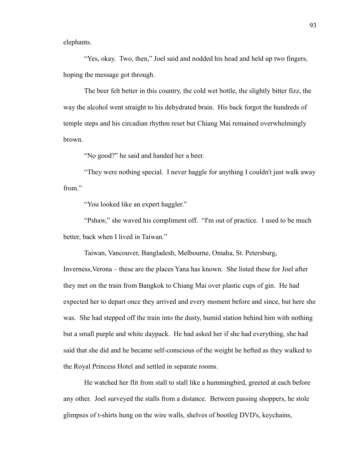elephants.

"Yes, okay. Two, then," Joel said and nodded his head and held up two fingers, hoping the message got through.

The beer felt better in this country, the cold wet bottle, the slightly bitter fizz, the way the alcohol went straight to his dehydrated brain. His back forgot the hundreds of temple steps and his circadian rhythm reset but Chiang Mai remained overwhelmingly brown.

"No good?" he said and handed her a beer.

"They were nothing special. I never haggle for anything I couldn't just walk away from."

"You looked like an expert haggler."

"Pshaw," she waved his compliment off. "I'm out of practice. I used to be much better, back when I lived in Taiwan."

Taiwan, Vancouver, Bangladesh, Melbourne, Omaha, St. Petersburg,

Inverness,Verona – these are the places Yana has known. She listed these for Joel after they met on the train from Bangkok to Chiang Mai over plastic cups of gin. He had expected her to depart once they arrived and every moment before and since, but here she was. She had stepped off the train into the dusty, humid station behind him with nothing but a small purple and white daypack. He had asked her if she had everything, she had said that she did and he became self-conscious of the weight he hefted as they walked to the Royal Princess Hotel and settled in separate rooms.

He watched her flit from stall to stall like a hummingbird, greeted at each before any other. Joel surveyed the stalls from a distance. Between passing shoppers, he stole glimpses of t-shirts hung on the wire walls, shelves of bootleg DVD's, keychains,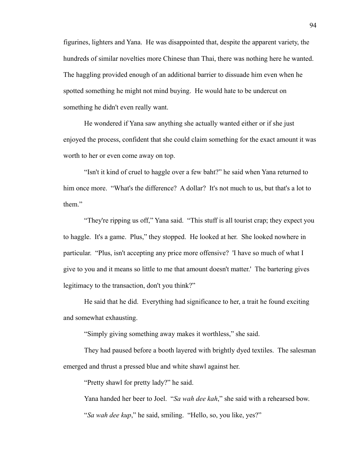figurines, lighters and Yana. He was disappointed that, despite the apparent variety, the hundreds of similar novelties more Chinese than Thai, there was nothing here he wanted. The haggling provided enough of an additional barrier to dissuade him even when he spotted something he might not mind buying. He would hate to be undercut on something he didn't even really want.

He wondered if Yana saw anything she actually wanted either or if she just enjoyed the process, confident that she could claim something for the exact amount it was worth to her or even come away on top.

"Isn't it kind of cruel to haggle over a few baht?" he said when Yana returned to him once more. "What's the difference? A dollar? It's not much to us, but that's a lot to them."

"They're ripping us off," Yana said. "This stuff is all tourist crap; they expect you to haggle. It's a game. Plus," they stopped. He looked at her. She looked nowhere in particular. "Plus, isn't accepting any price more offensive? 'I have so much of what I give to you and it means so little to me that amount doesn't matter.' The bartering gives legitimacy to the transaction, don't you think?"

He said that he did. Everything had significance to her, a trait he found exciting and somewhat exhausting.

"Simply giving something away makes it worthless," she said.

They had paused before a booth layered with brightly dyed textiles. The salesman emerged and thrust a pressed blue and white shawl against her.

"Pretty shawl for pretty lady?" he said.

Yana handed her beer to Joel. "*Sa wah dee kah*," she said with a rehearsed bow.

"*Sa wah dee kup*," he said, smiling. "Hello, so, you like, yes?"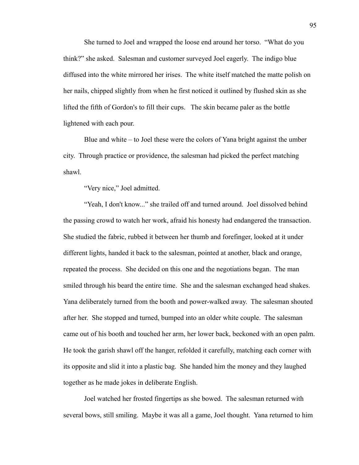She turned to Joel and wrapped the loose end around her torso. "What do you think?" she asked. Salesman and customer surveyed Joel eagerly. The indigo blue diffused into the white mirrored her irises. The white itself matched the matte polish on her nails, chipped slightly from when he first noticed it outlined by flushed skin as she lifted the fifth of Gordon's to fill their cups. The skin became paler as the bottle lightened with each pour.

Blue and white – to Joel these were the colors of Yana bright against the umber city. Through practice or providence, the salesman had picked the perfect matching shawl.

"Very nice," Joel admitted.

"Yeah, I don't know..." she trailed off and turned around. Joel dissolved behind the passing crowd to watch her work, afraid his honesty had endangered the transaction. She studied the fabric, rubbed it between her thumb and forefinger, looked at it under different lights, handed it back to the salesman, pointed at another, black and orange, repeated the process. She decided on this one and the negotiations began. The man smiled through his beard the entire time. She and the salesman exchanged head shakes. Yana deliberately turned from the booth and power-walked away. The salesman shouted after her. She stopped and turned, bumped into an older white couple. The salesman came out of his booth and touched her arm, her lower back, beckoned with an open palm. He took the garish shawl off the hanger, refolded it carefully, matching each corner with its opposite and slid it into a plastic bag. She handed him the money and they laughed together as he made jokes in deliberate English.

Joel watched her frosted fingertips as she bowed. The salesman returned with several bows, still smiling. Maybe it was all a game, Joel thought. Yana returned to him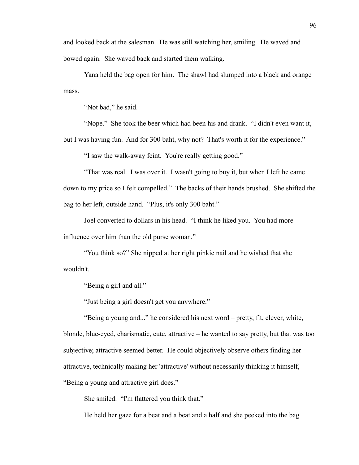and looked back at the salesman. He was still watching her, smiling. He waved and bowed again. She waved back and started them walking.

Yana held the bag open for him. The shawl had slumped into a black and orange mass.

"Not bad," he said.

"Nope." She took the beer which had been his and drank. "I didn't even want it, but I was having fun. And for 300 baht, why not? That's worth it for the experience."

"I saw the walk-away feint. You're really getting good."

"That was real. I was over it. I wasn't going to buy it, but when I left he came down to my price so I felt compelled." The backs of their hands brushed. She shifted the bag to her left, outside hand. "Plus, it's only 300 baht."

Joel converted to dollars in his head. "I think he liked you. You had more influence over him than the old purse woman."

"You think so?" She nipped at her right pinkie nail and he wished that she wouldn't.

"Being a girl and all."

"Just being a girl doesn't get you anywhere."

"Being a young and..." he considered his next word – pretty, fit, clever, white, blonde, blue-eyed, charismatic, cute, attractive – he wanted to say pretty, but that was too subjective; attractive seemed better. He could objectively observe others finding her attractive, technically making her 'attractive' without necessarily thinking it himself, "Being a young and attractive girl does."

She smiled. "I'm flattered you think that."

He held her gaze for a beat and a beat and a half and she peeked into the bag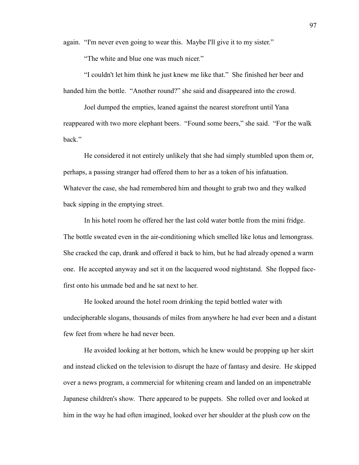again. "I'm never even going to wear this. Maybe I'll give it to my sister."

"The white and blue one was much nicer."

"I couldn't let him think he just knew me like that." She finished her beer and handed him the bottle. "Another round?" she said and disappeared into the crowd.

Joel dumped the empties, leaned against the nearest storefront until Yana reappeared with two more elephant beers. "Found some beers," she said. "For the walk back."

He considered it not entirely unlikely that she had simply stumbled upon them or, perhaps, a passing stranger had offered them to her as a token of his infatuation. Whatever the case, she had remembered him and thought to grab two and they walked back sipping in the emptying street.

In his hotel room he offered her the last cold water bottle from the mini fridge. The bottle sweated even in the air-conditioning which smelled like lotus and lemongrass. She cracked the cap, drank and offered it back to him, but he had already opened a warm one. He accepted anyway and set it on the lacquered wood nightstand. She flopped facefirst onto his unmade bed and he sat next to her.

He looked around the hotel room drinking the tepid bottled water with undecipherable slogans, thousands of miles from anywhere he had ever been and a distant few feet from where he had never been.

He avoided looking at her bottom, which he knew would be propping up her skirt and instead clicked on the television to disrupt the haze of fantasy and desire. He skipped over a news program, a commercial for whitening cream and landed on an impenetrable Japanese children's show. There appeared to be puppets. She rolled over and looked at him in the way he had often imagined, looked over her shoulder at the plush cow on the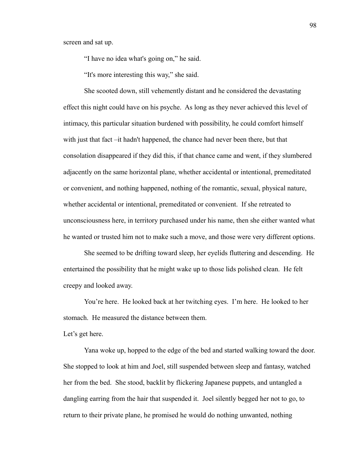screen and sat up.

"I have no idea what's going on," he said.

"It's more interesting this way," she said.

She scooted down, still vehemently distant and he considered the devastating effect this night could have on his psyche. As long as they never achieved this level of intimacy, this particular situation burdened with possibility, he could comfort himself with just that fact –it hadn't happened, the chance had never been there, but that consolation disappeared if they did this, if that chance came and went, if they slumbered adjacently on the same horizontal plane, whether accidental or intentional, premeditated or convenient, and nothing happened, nothing of the romantic, sexual, physical nature, whether accidental or intentional, premeditated or convenient. If she retreated to unconsciousness here, in territory purchased under his name, then she either wanted what he wanted or trusted him not to make such a move, and those were very different options.

She seemed to be drifting toward sleep, her eyelids fluttering and descending. He entertained the possibility that he might wake up to those lids polished clean. He felt creepy and looked away.

You're here. He looked back at her twitching eyes. I'm here. He looked to her stomach. He measured the distance between them.

Let's get here.

Yana woke up, hopped to the edge of the bed and started walking toward the door. She stopped to look at him and Joel, still suspended between sleep and fantasy, watched her from the bed. She stood, backlit by flickering Japanese puppets, and untangled a dangling earring from the hair that suspended it. Joel silently begged her not to go, to return to their private plane, he promised he would do nothing unwanted, nothing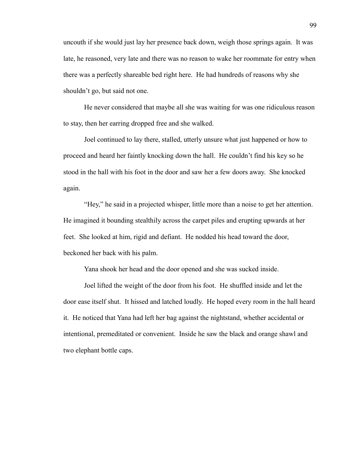uncouth if she would just lay her presence back down, weigh those springs again. It was late, he reasoned, very late and there was no reason to wake her roommate for entry when there was a perfectly shareable bed right here. He had hundreds of reasons why she shouldn't go, but said not one.

He never considered that maybe all she was waiting for was one ridiculous reason to stay, then her earring dropped free and she walked.

Joel continued to lay there, stalled, utterly unsure what just happened or how to proceed and heard her faintly knocking down the hall. He couldn't find his key so he stood in the hall with his foot in the door and saw her a few doors away. She knocked again.

"Hey," he said in a projected whisper, little more than a noise to get her attention. He imagined it bounding stealthily across the carpet piles and erupting upwards at her feet. She looked at him, rigid and defiant. He nodded his head toward the door, beckoned her back with his palm.

Yana shook her head and the door opened and she was sucked inside.

Joel lifted the weight of the door from his foot. He shuffled inside and let the door ease itself shut. It hissed and latched loudly. He hoped every room in the hall heard it. He noticed that Yana had left her bag against the nightstand, whether accidental or intentional, premeditated or convenient. Inside he saw the black and orange shawl and two elephant bottle caps.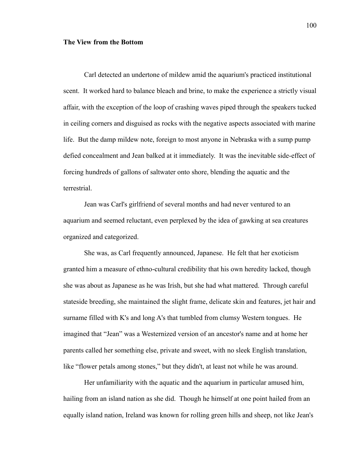#### **The View from the Bottom**

Carl detected an undertone of mildew amid the aquarium's practiced institutional scent. It worked hard to balance bleach and brine, to make the experience a strictly visual affair, with the exception of the loop of crashing waves piped through the speakers tucked in ceiling corners and disguised as rocks with the negative aspects associated with marine life. But the damp mildew note, foreign to most anyone in Nebraska with a sump pump defied concealment and Jean balked at it immediately. It was the inevitable side-effect of forcing hundreds of gallons of saltwater onto shore, blending the aquatic and the terrestrial.

Jean was Carl's girlfriend of several months and had never ventured to an aquarium and seemed reluctant, even perplexed by the idea of gawking at sea creatures organized and categorized.

She was, as Carl frequently announced, Japanese. He felt that her exoticism granted him a measure of ethno-cultural credibility that his own heredity lacked, though she was about as Japanese as he was Irish, but she had what mattered. Through careful stateside breeding, she maintained the slight frame, delicate skin and features, jet hair and surname filled with K's and long A's that tumbled from clumsy Western tongues. He imagined that "Jean" was a Westernized version of an ancestor's name and at home her parents called her something else, private and sweet, with no sleek English translation, like "flower petals among stones," but they didn't, at least not while he was around.

Her unfamiliarity with the aquatic and the aquarium in particular amused him, hailing from an island nation as she did. Though he himself at one point hailed from an equally island nation, Ireland was known for rolling green hills and sheep, not like Jean's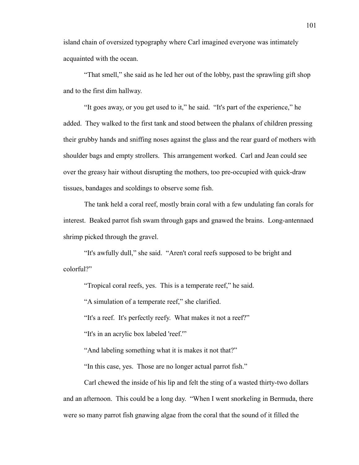island chain of oversized typography where Carl imagined everyone was intimately acquainted with the ocean.

"That smell," she said as he led her out of the lobby, past the sprawling gift shop and to the first dim hallway.

"It goes away, or you get used to it," he said. "It's part of the experience," he added. They walked to the first tank and stood between the phalanx of children pressing their grubby hands and sniffing noses against the glass and the rear guard of mothers with shoulder bags and empty strollers. This arrangement worked. Carl and Jean could see over the greasy hair without disrupting the mothers, too pre-occupied with quick-draw tissues, bandages and scoldings to observe some fish.

The tank held a coral reef, mostly brain coral with a few undulating fan corals for interest. Beaked parrot fish swam through gaps and gnawed the brains. Long-antennaed shrimp picked through the gravel.

"It's awfully dull," she said. "Aren't coral reefs supposed to be bright and colorful?"

"Tropical coral reefs, yes. This is a temperate reef," he said.

"A simulation of a temperate reef," she clarified.

"It's a reef. It's perfectly reefy. What makes it not a reef?"

"It's in an acrylic box labeled 'reef.'"

"And labeling something what it is makes it not that?"

"In this case, yes. Those are no longer actual parrot fish."

Carl chewed the inside of his lip and felt the sting of a wasted thirty-two dollars and an afternoon. This could be a long day. "When I went snorkeling in Bermuda, there were so many parrot fish gnawing algae from the coral that the sound of it filled the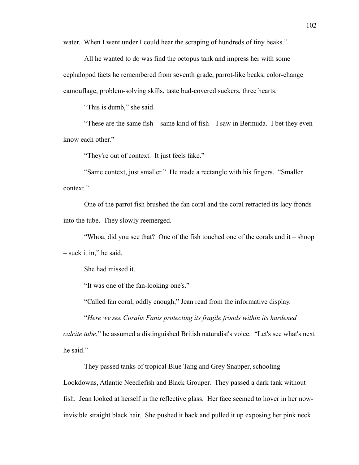water. When I went under I could hear the scraping of hundreds of tiny beaks."

All he wanted to do was find the octopus tank and impress her with some cephalopod facts he remembered from seventh grade, parrot-like beaks, color-change camouflage, problem-solving skills, taste bud-covered suckers, three hearts.

"This is dumb," she said.

"These are the same fish – same kind of fish – I saw in Bermuda. I bet they even know each other."

"They're out of context. It just feels fake."

"Same context, just smaller." He made a rectangle with his fingers. "Smaller context."

One of the parrot fish brushed the fan coral and the coral retracted its lacy fronds into the tube. They slowly reemerged.

"Whoa, did you see that? One of the fish touched one of the corals and it – shoop

– suck it in," he said.

She had missed it.

"It was one of the fan-looking one's."

"Called fan coral, oddly enough," Jean read from the informative display.

"*Here we see Coralis Fanis protecting its fragile fronds within its hardened* 

*calcite tube*," he assumed a distinguished British naturalist's voice. "Let's see what's next he said."

They passed tanks of tropical Blue Tang and Grey Snapper, schooling Lookdowns, Atlantic Needlefish and Black Grouper. They passed a dark tank without fish. Jean looked at herself in the reflective glass. Her face seemed to hover in her nowinvisible straight black hair. She pushed it back and pulled it up exposing her pink neck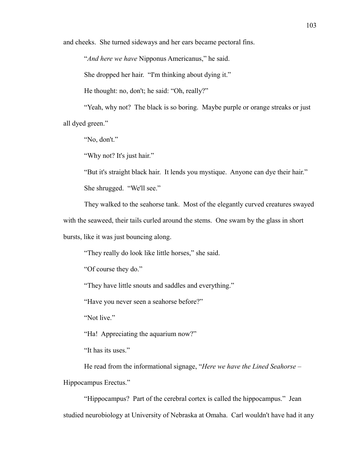and cheeks. She turned sideways and her ears became pectoral fins.

"*And here we have* Nipponus Americanus," he said.

She dropped her hair. "I'm thinking about dying it."

He thought: no, don't; he said: "Oh, really?"

"Yeah, why not? The black is so boring. Maybe purple or orange streaks or just all dyed green."

"No, don't."

"Why not? It's just hair."

"But it's straight black hair. It lends you mystique. Anyone can dye their hair."

She shrugged. "We'll see."

They walked to the seahorse tank. Most of the elegantly curved creatures swayed

with the seaweed, their tails curled around the stems. One swam by the glass in short

bursts, like it was just bouncing along.

"They really do look like little horses," she said.

"Of course they do."

"They have little snouts and saddles and everything."

"Have you never seen a seahorse before?"

"Not live."

"Ha! Appreciating the aquarium now?"

"It has its uses."

He read from the informational signage, "*Here we have the Lined Seahorse* –

Hippocampus Erectus."

"Hippocampus? Part of the cerebral cortex is called the hippocampus." Jean studied neurobiology at University of Nebraska at Omaha. Carl wouldn't have had it any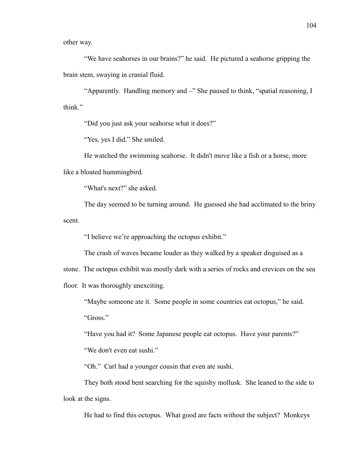other way.

"We have seahorses in our brains?" he said. He pictured a seahorse gripping the brain stem, swaying in cranial fluid.

"Apparently. Handling memory and –" She paused to think, "spatial reasoning, I think."

"Did you just ask your seahorse what it does?"

"Yes, yes I did." She smiled.

He watched the swimming seahorse. It didn't move like a fish or a horse, more like a bloated hummingbird.

"What's next?" she asked.

The day seemed to be turning around. He guessed she had acclimated to the briny scent.

"I believe we're approaching the octopus exhibit."

The crash of waves became louder as they walked by a speaker disguised as a

stone. The octopus exhibit was mostly dark with a series of rocks and crevices on the sea

floor. It was thoroughly unexciting.

"Maybe someone ate it. Some people in some countries eat octopus," he said.

"Gross."

"Have you had it? Some Japanese people eat octopus. Have your parents?"

"We don't even eat sushi."

"Oh." Carl had a younger cousin that even ate sushi.

They both stood bent searching for the squishy mollusk. She leaned to the side to look at the signs.

He had to find this octopus. What good are facts without the subject? Monkeys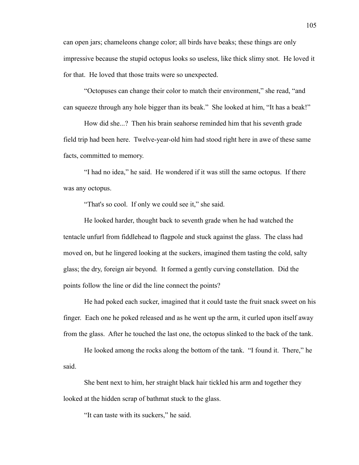can open jars; chameleons change color; all birds have beaks; these things are only impressive because the stupid octopus looks so useless, like thick slimy snot. He loved it for that. He loved that those traits were so unexpected.

"Octopuses can change their color to match their environment," she read, "and can squeeze through any hole bigger than its beak." She looked at him, "It has a beak!"

How did she...? Then his brain seahorse reminded him that his seventh grade field trip had been here. Twelve-year-old him had stood right here in awe of these same facts, committed to memory.

"I had no idea," he said. He wondered if it was still the same octopus. If there was any octopus.

"That's so cool. If only we could see it," she said.

He looked harder, thought back to seventh grade when he had watched the tentacle unfurl from fiddlehead to flagpole and stuck against the glass. The class had moved on, but he lingered looking at the suckers, imagined them tasting the cold, salty glass; the dry, foreign air beyond. It formed a gently curving constellation. Did the points follow the line or did the line connect the points?

He had poked each sucker, imagined that it could taste the fruit snack sweet on his finger. Each one he poked released and as he went up the arm, it curled upon itself away from the glass. After he touched the last one, the octopus slinked to the back of the tank.

He looked among the rocks along the bottom of the tank. "I found it. There," he said.

She bent next to him, her straight black hair tickled his arm and together they looked at the hidden scrap of bathmat stuck to the glass.

"It can taste with its suckers," he said.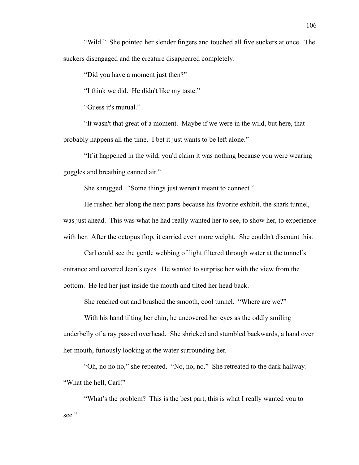"Wild." She pointed her slender fingers and touched all five suckers at once. The suckers disengaged and the creature disappeared completely.

"Did you have a moment just then?"

"I think we did. He didn't like my taste."

"Guess it's mutual."

"It wasn't that great of a moment. Maybe if we were in the wild, but here, that probably happens all the time. I bet it just wants to be left alone."

"If it happened in the wild, you'd claim it was nothing because you were wearing goggles and breathing canned air."

She shrugged. "Some things just weren't meant to connect."

He rushed her along the next parts because his favorite exhibit, the shark tunnel, was just ahead. This was what he had really wanted her to see, to show her, to experience with her. After the octopus flop, it carried even more weight. She couldn't discount this.

Carl could see the gentle webbing of light filtered through water at the tunnel's entrance and covered Jean's eyes. He wanted to surprise her with the view from the bottom. He led her just inside the mouth and tilted her head back.

She reached out and brushed the smooth, cool tunnel. "Where are we?"

With his hand tilting her chin, he uncovered her eyes as the oddly smiling underbelly of a ray passed overhead. She shrieked and stumbled backwards, a hand over her mouth, furiously looking at the water surrounding her.

"Oh, no no no," she repeated. "No, no, no." She retreated to the dark hallway. "What the hell, Carl!"

"What's the problem? This is the best part, this is what I really wanted you to see."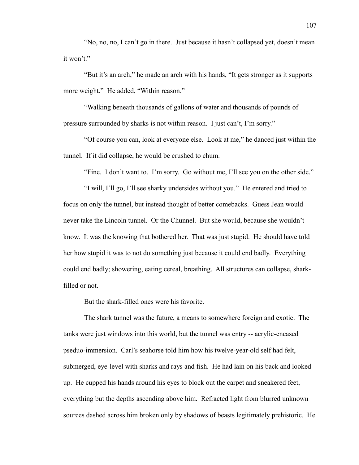"No, no, no, I can't go in there. Just because it hasn't collapsed yet, doesn't mean it won't."

"But it's an arch," he made an arch with his hands, "It gets stronger as it supports more weight." He added, "Within reason."

"Walking beneath thousands of gallons of water and thousands of pounds of pressure surrounded by sharks is not within reason. I just can't, I'm sorry."

"Of course you can, look at everyone else. Look at me," he danced just within the tunnel. If it did collapse, he would be crushed to chum.

"Fine. I don't want to. I'm sorry. Go without me, I'll see you on the other side."

"I will, I'll go, I'll see sharky undersides without you." He entered and tried to focus on only the tunnel, but instead thought of better comebacks. Guess Jean would never take the Lincoln tunnel. Or the Chunnel. But she would, because she wouldn't know. It was the knowing that bothered her. That was just stupid. He should have told her how stupid it was to not do something just because it could end badly. Everything could end badly; showering, eating cereal, breathing. All structures can collapse, sharkfilled or not.

But the shark-filled ones were his favorite.

The shark tunnel was the future, a means to somewhere foreign and exotic. The tanks were just windows into this world, but the tunnel was entry -- acrylic-encased pseduo-immersion. Carl's seahorse told him how his twelve-year-old self had felt, submerged, eye-level with sharks and rays and fish. He had lain on his back and looked up. He cupped his hands around his eyes to block out the carpet and sneakered feet, everything but the depths ascending above him. Refracted light from blurred unknown sources dashed across him broken only by shadows of beasts legitimately prehistoric. He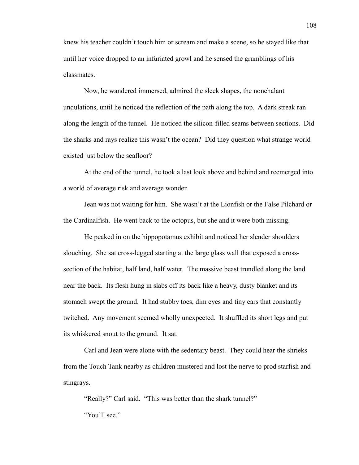knew his teacher couldn't touch him or scream and make a scene, so he stayed like that until her voice dropped to an infuriated growl and he sensed the grumblings of his classmates.

Now, he wandered immersed, admired the sleek shapes, the nonchalant undulations, until he noticed the reflection of the path along the top. A dark streak ran along the length of the tunnel. He noticed the silicon-filled seams between sections. Did the sharks and rays realize this wasn't the ocean? Did they question what strange world existed just below the seafloor?

At the end of the tunnel, he took a last look above and behind and reemerged into a world of average risk and average wonder.

Jean was not waiting for him. She wasn't at the Lionfish or the False Pilchard or the Cardinalfish. He went back to the octopus, but she and it were both missing.

He peaked in on the hippopotamus exhibit and noticed her slender shoulders slouching. She sat cross-legged starting at the large glass wall that exposed a crosssection of the habitat, half land, half water. The massive beast trundled along the land near the back. Its flesh hung in slabs off its back like a heavy, dusty blanket and its stomach swept the ground. It had stubby toes, dim eyes and tiny ears that constantly twitched. Any movement seemed wholly unexpected. It shuffled its short legs and put its whiskered snout to the ground. It sat.

Carl and Jean were alone with the sedentary beast. They could hear the shrieks from the Touch Tank nearby as children mustered and lost the nerve to prod starfish and stingrays.

"Really?" Carl said. "This was better than the shark tunnel?" "You'll see."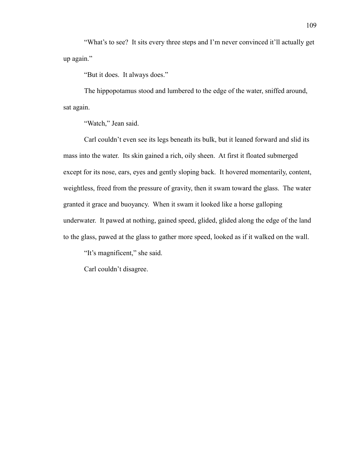"What's to see? It sits every three steps and I'm never convinced it'll actually get up again."

"But it does. It always does."

The hippopotamus stood and lumbered to the edge of the water, sniffed around, sat again.

"Watch," Jean said.

Carl couldn't even see its legs beneath its bulk, but it leaned forward and slid its mass into the water. Its skin gained a rich, oily sheen. At first it floated submerged except for its nose, ears, eyes and gently sloping back. It hovered momentarily, content, weightless, freed from the pressure of gravity, then it swam toward the glass. The water granted it grace and buoyancy. When it swam it looked like a horse galloping underwater. It pawed at nothing, gained speed, glided, glided along the edge of the land to the glass, pawed at the glass to gather more speed, looked as if it walked on the wall.

"It's magnificent," she said.

Carl couldn't disagree.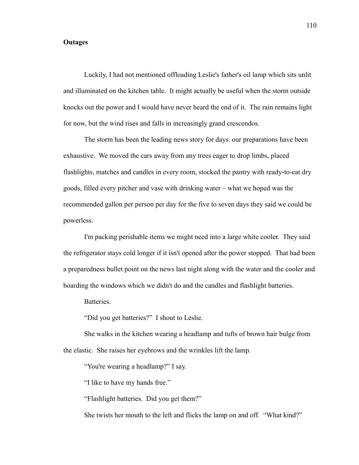## **Outages**

Luckily, I had not mentioned offloading Leslie's father's oil lamp which sits unlit and illuminated on the kitchen table. It might actually be useful when the storm outside knocks out the power and I would have never heard the end of it. The rain remains light for now, but the wind rises and falls in increasingly grand crescendos.

The storm has been the leading news story for days. our preparations have been exhaustive. We moved the cars away from any trees eager to drop limbs, placed flashlights, matches and candles in every room, stocked the pantry with ready-to-eat dry goods, filled every pitcher and vase with drinking water – what we hoped was the recommended gallon per person per day for the five to seven days they said we could be powerless.

I'm packing perishable items we might need into a large white cooler. They said the refrigerator stays cold longer if it isn't opened after the power stopped. That had been a preparedness bullet point on the news last night along with the water and the cooler and boarding the windows which we didn't do and the candles and flashlight batteries.

Batteries.

"Did you get batteries?" I shout to Leslie.

She walks in the kitchen wearing a headlamp and tufts of brown hair bulge from the elastic. She raises her eyebrows and the wrinkles lift the lamp.

"You're wearing a headlamp?" I say.

"I like to have my hands free."

"Flashlight batteries. Did you get them?"

She twists her mouth to the left and flicks the lamp on and off. "What kind?"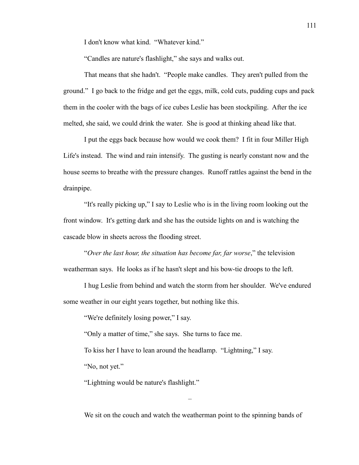I don't know what kind. "Whatever kind."

"Candles are nature's flashlight," she says and walks out.

That means that she hadn't. "People make candles. They aren't pulled from the ground." I go back to the fridge and get the eggs, milk, cold cuts, pudding cups and pack them in the cooler with the bags of ice cubes Leslie has been stockpiling. After the ice melted, she said, we could drink the water. She is good at thinking ahead like that.

I put the eggs back because how would we cook them? I fit in four Miller High Life's instead. The wind and rain intensify. The gusting is nearly constant now and the house seems to breathe with the pressure changes. Runoff rattles against the bend in the drainpipe.

"It's really picking up," I say to Leslie who is in the living room looking out the front window. It's getting dark and she has the outside lights on and is watching the cascade blow in sheets across the flooding street.

"*Over the last hour, the situation has become far, far worse*," the television weatherman says. He looks as if he hasn't slept and his bow-tie droops to the left.

I hug Leslie from behind and watch the storm from her shoulder. We've endured some weather in our eight years together, but nothing like this.

"We're definitely losing power," I say.

"Only a matter of time," she says. She turns to face me.

To kiss her I have to lean around the headlamp. "Lightning," I say.

"No, not yet."

"Lightning would be nature's flashlight."

We sit on the couch and watch the weatherman point to the spinning bands of

–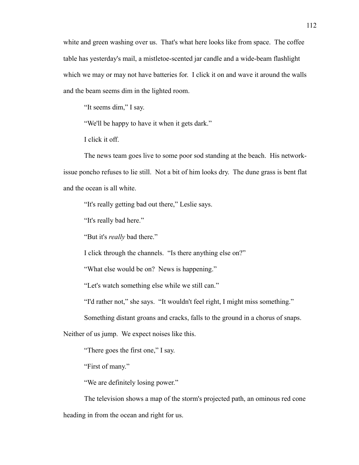white and green washing over us. That's what here looks like from space. The coffee table has yesterday's mail, a mistletoe-scented jar candle and a wide-beam flashlight which we may or may not have batteries for. I click it on and wave it around the walls and the beam seems dim in the lighted room.

"It seems dim," I say.

"We'll be happy to have it when it gets dark."

I click it off.

The news team goes live to some poor sod standing at the beach. His networkissue poncho refuses to lie still. Not a bit of him looks dry. The dune grass is bent flat and the ocean is all white.

"It's really getting bad out there," Leslie says.

"It's really bad here."

"But it's *really* bad there."

I click through the channels. "Is there anything else on?"

"What else would be on? News is happening."

"Let's watch something else while we still can."

"I'd rather not," she says. "It wouldn't feel right, I might miss something."

Something distant groans and cracks, falls to the ground in a chorus of snaps.

Neither of us jump. We expect noises like this.

"There goes the first one," I say.

"First of many."

"We are definitely losing power."

The television shows a map of the storm's projected path, an ominous red cone heading in from the ocean and right for us.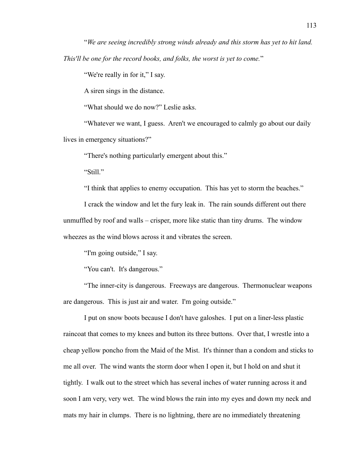"*We are seeing incredibly strong winds already and this storm has yet to hit land. This'll be one for the record books, and folks, the worst is yet to come.*"

"We're really in for it," I say.

A siren sings in the distance.

"What should we do now?" Leslie asks.

"Whatever we want, I guess. Aren't we encouraged to calmly go about our daily lives in emergency situations?"

"There's nothing particularly emergent about this."

"Still."

"I think that applies to enemy occupation. This has yet to storm the beaches."

I crack the window and let the fury leak in. The rain sounds different out there unmuffled by roof and walls – crisper, more like static than tiny drums. The window wheezes as the wind blows across it and vibrates the screen.

"I'm going outside," I say.

"You can't. It's dangerous."

"The inner-city is dangerous. Freeways are dangerous. Thermonuclear weapons are dangerous. This is just air and water. I'm going outside."

I put on snow boots because I don't have galoshes. I put on a liner-less plastic raincoat that comes to my knees and button its three buttons. Over that, I wrestle into a cheap yellow poncho from the Maid of the Mist. It's thinner than a condom and sticks to me all over. The wind wants the storm door when I open it, but I hold on and shut it tightly. I walk out to the street which has several inches of water running across it and soon I am very, very wet. The wind blows the rain into my eyes and down my neck and mats my hair in clumps. There is no lightning, there are no immediately threatening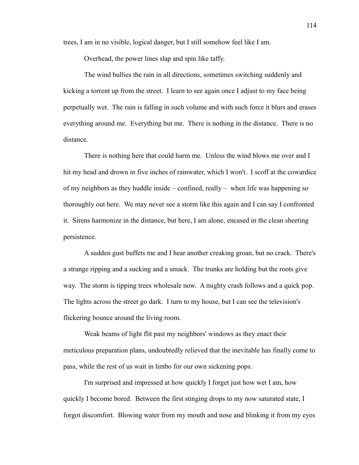trees, I am in no visible, logical danger, but I still somehow feel like I am.

Overhead, the power lines slap and spin like taffy.

The wind bullies the rain in all directions, sometimes switching suddenly and kicking a torrent up from the street. I learn to see again once I adjust to my face being perpetually wet. The rain is falling in such volume and with such force it blurs and erases everything around me. Everything but me. There is nothing in the distance. There is no distance.

There is nothing here that could harm me. Unless the wind blows me over and I hit my head and drown in five inches of rainwater, which I won't. I scoff at the cowardice of my neighbors as they huddle inside – confined, really – when life was happening so thoroughly out here. We may never see a storm like this again and I can say I confronted it. Sirens harmonize in the distance, but here, I am alone, encased in the clean sheeting persistence.

A sudden gust buffets me and I hear another creaking groan, but no crack. There's a strange ripping and a sucking and a smack. The trunks are holding but the roots give way. The storm is tipping trees wholesale now. A mighty crash follows and a quick pop. The lights across the street go dark. I turn to my house, but I can see the television's flickering bounce around the living room.

Weak beams of light flit past my neighbors' windows as they enact their meticulous preparation plans, undoubtedly relieved that the inevitable has finally come to pass, while the rest of us wait in limbo for our own sickening pops.

I'm surprised and impressed at how quickly I forget just how wet I am, how quickly I become bored. Between the first stinging drops to my now saturated state, I forgot discomfort. Blowing water from my mouth and nose and blinking it from my eyes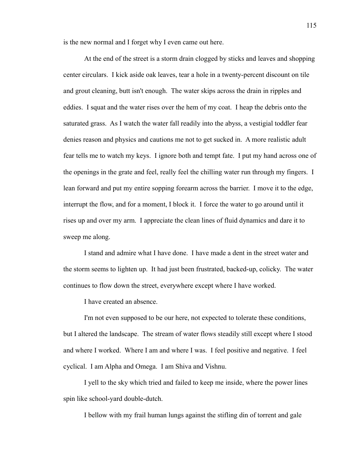is the new normal and I forget why I even came out here.

At the end of the street is a storm drain clogged by sticks and leaves and shopping center circulars. I kick aside oak leaves, tear a hole in a twenty-percent discount on tile and grout cleaning, butt isn't enough. The water skips across the drain in ripples and eddies. I squat and the water rises over the hem of my coat. I heap the debris onto the saturated grass. As I watch the water fall readily into the abyss, a vestigial toddler fear denies reason and physics and cautions me not to get sucked in. A more realistic adult fear tells me to watch my keys. I ignore both and tempt fate. I put my hand across one of the openings in the grate and feel, really feel the chilling water run through my fingers. I lean forward and put my entire sopping forearm across the barrier. I move it to the edge, interrupt the flow, and for a moment, I block it. I force the water to go around until it rises up and over my arm. I appreciate the clean lines of fluid dynamics and dare it to sweep me along.

I stand and admire what I have done. I have made a dent in the street water and the storm seems to lighten up. It had just been frustrated, backed-up, colicky. The water continues to flow down the street, everywhere except where I have worked.

I have created an absence.

I'm not even supposed to be our here, not expected to tolerate these conditions, but I altered the landscape. The stream of water flows steadily still except where I stood and where I worked. Where I am and where I was. I feel positive and negative. I feel cyclical. I am Alpha and Omega. I am Shiva and Vishnu.

I yell to the sky which tried and failed to keep me inside, where the power lines spin like school-yard double-dutch.

I bellow with my frail human lungs against the stifling din of torrent and gale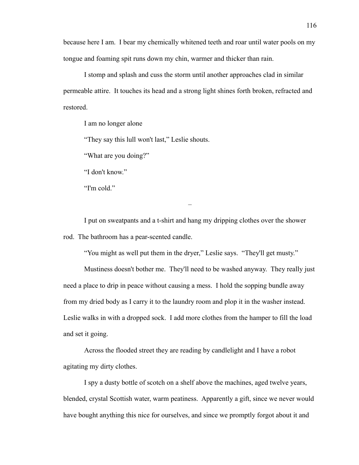because here I am. I bear my chemically whitened teeth and roar until water pools on my tongue and foaming spit runs down my chin, warmer and thicker than rain.

I stomp and splash and cuss the storm until another approaches clad in similar permeable attire. It touches its head and a strong light shines forth broken, refracted and restored.

I am no longer alone

"They say this lull won't last," Leslie shouts.

"What are you doing?"

"I don't know."

"I'm cold."

I put on sweatpants and a t-shirt and hang my dripping clothes over the shower rod. The bathroom has a pear-scented candle.

"You might as well put them in the dryer," Leslie says. "They'll get musty."

–

Mustiness doesn't bother me. They'll need to be washed anyway. They really just need a place to drip in peace without causing a mess. I hold the sopping bundle away from my dried body as I carry it to the laundry room and plop it in the washer instead. Leslie walks in with a dropped sock. I add more clothes from the hamper to fill the load and set it going.

Across the flooded street they are reading by candlelight and I have a robot agitating my dirty clothes.

I spy a dusty bottle of scotch on a shelf above the machines, aged twelve years, blended, crystal Scottish water, warm peatiness. Apparently a gift, since we never would have bought anything this nice for ourselves, and since we promptly forgot about it and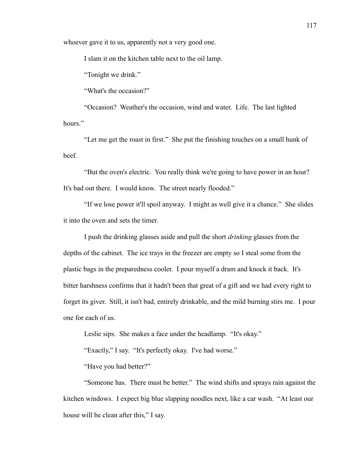whoever gave it to us, apparently not a very good one.

I slam it on the kitchen table next to the oil lamp.

"Tonight we drink."

"What's the occasion?"

"Occasion? Weather's the occasion, wind and water. Life. The last lighted hours."

"Let me get the roast in first." She put the finishing touches on a small hunk of beef.

"But the oven's electric. You really think we're going to have power in an hour? It's bad out there. I would know. The street nearly flooded."

"If we lose power it'll spoil anyway. I might as well give it a chance." She slides it into the oven and sets the timer.

I push the drinking glasses aside and pull the short *drinking* glasses from the depths of the cabinet. The ice trays in the freezer are empty so I steal some from the plastic bags in the preparedness cooler. I pour myself a dram and knock it back. It's bitter harshness confirms that it hadn't been that great of a gift and we had every right to forget its giver. Still, it isn't bad, entirely drinkable, and the mild burning stirs me. I pour one for each of us.

Leslie sips. She makes a face under the headlamp. "It's okay."

"Exactly," I say. "It's perfectly okay. I've had worse."

"Have you had better?"

"Someone has. There must be better." The wind shifts and sprays rain against the kitchen windows. I expect big blue slapping noodles next, like a car wash. "At least our house will be clean after this," I say.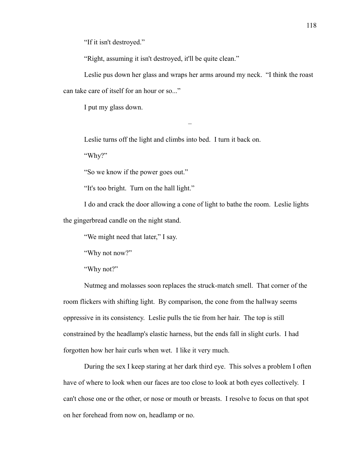"If it isn't destroyed."

"Right, assuming it isn't destroyed, it'll be quite clean."

Leslie pus down her glass and wraps her arms around my neck. "I think the roast can take care of itself for an hour or so..."

–

I put my glass down.

Leslie turns off the light and climbs into bed. I turn it back on.

"Why?"

"So we know if the power goes out."

"It's too bright. Turn on the hall light."

I do and crack the door allowing a cone of light to bathe the room. Leslie lights the gingerbread candle on the night stand.

"We might need that later," I say.

"Why not now?"

"Why not?"

Nutmeg and molasses soon replaces the struck-match smell. That corner of the room flickers with shifting light. By comparison, the cone from the hallway seems oppressive in its consistency. Leslie pulls the tie from her hair. The top is still constrained by the headlamp's elastic harness, but the ends fall in slight curls. I had forgotten how her hair curls when wet. I like it very much.

During the sex I keep staring at her dark third eye. This solves a problem I often have of where to look when our faces are too close to look at both eyes collectively. I can't chose one or the other, or nose or mouth or breasts. I resolve to focus on that spot on her forehead from now on, headlamp or no.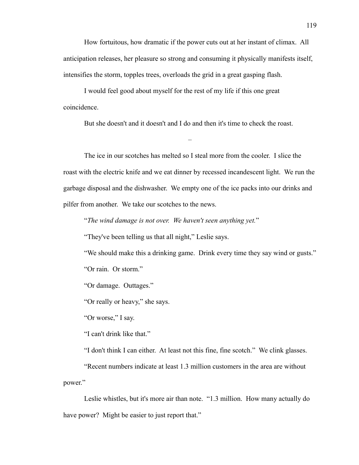How fortuitous, how dramatic if the power cuts out at her instant of climax. All anticipation releases, her pleasure so strong and consuming it physically manifests itself, intensifies the storm, topples trees, overloads the grid in a great gasping flash.

I would feel good about myself for the rest of my life if this one great coincidence.

But she doesn't and it doesn't and I do and then it's time to check the roast.

–

The ice in our scotches has melted so I steal more from the cooler. I slice the roast with the electric knife and we eat dinner by recessed incandescent light. We run the garbage disposal and the dishwasher. We empty one of the ice packs into our drinks and pilfer from another. We take our scotches to the news.

"*The wind damage is not over. We haven't seen anything yet.*"

"They've been telling us that all night," Leslie says.

"We should make this a drinking game. Drink every time they say wind or gusts."

"Or rain. Or storm."

"Or damage. Outtages."

"Or really or heavy," she says.

"Or worse," I say.

"I can't drink like that."

"I don't think I can either. At least not this fine, fine scotch." We clink glasses.

"Recent numbers indicate at least 1.3 million customers in the area are without power."

Leslie whistles, but it's more air than note. "1.3 million. How many actually do have power? Might be easier to just report that."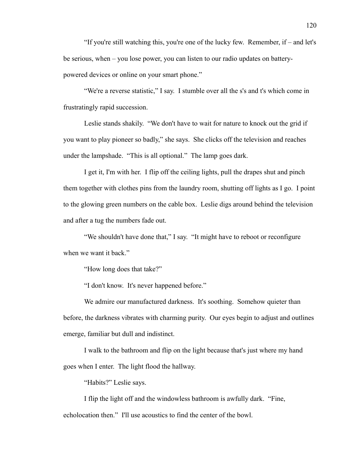"If you're still watching this, you're one of the lucky few. Remember, if – and let's be serious, when – you lose power, you can listen to our radio updates on batterypowered devices or online on your smart phone."

"We're a reverse statistic," I say. I stumble over all the s's and t's which come in frustratingly rapid succession.

Leslie stands shakily. "We don't have to wait for nature to knock out the grid if you want to play pioneer so badly," she says. She clicks off the television and reaches under the lampshade. "This is all optional." The lamp goes dark.

I get it, I'm with her. I flip off the ceiling lights, pull the drapes shut and pinch them together with clothes pins from the laundry room, shutting off lights as I go. I point to the glowing green numbers on the cable box. Leslie digs around behind the television and after a tug the numbers fade out.

"We shouldn't have done that," I say. "It might have to reboot or reconfigure when we want it back."

"How long does that take?"

"I don't know. It's never happened before."

We admire our manufactured darkness. It's soothing. Somehow quieter than before, the darkness vibrates with charming purity. Our eyes begin to adjust and outlines emerge, familiar but dull and indistinct.

I walk to the bathroom and flip on the light because that's just where my hand goes when I enter. The light flood the hallway.

"Habits?" Leslie says.

I flip the light off and the windowless bathroom is awfully dark. "Fine, echolocation then." I'll use acoustics to find the center of the bowl.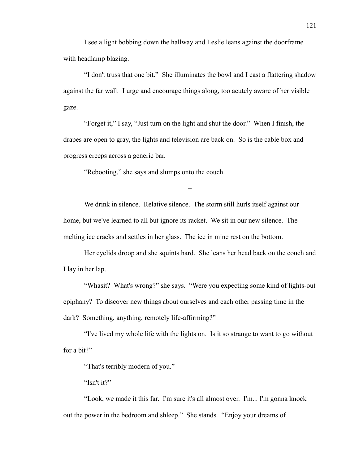I see a light bobbing down the hallway and Leslie leans against the doorframe with headlamp blazing.

"I don't truss that one bit." She illuminates the bowl and I cast a flattering shadow against the far wall. I urge and encourage things along, too acutely aware of her visible gaze.

"Forget it," I say, "Just turn on the light and shut the door." When I finish, the drapes are open to gray, the lights and television are back on. So is the cable box and progress creeps across a generic bar.

"Rebooting," she says and slumps onto the couch.

We drink in silence. Relative silence. The storm still hurls itself against our home, but we've learned to all but ignore its racket. We sit in our new silence. The melting ice cracks and settles in her glass. The ice in mine rest on the bottom.

–

Her eyelids droop and she squints hard. She leans her head back on the couch and I lay in her lap.

"Whasit? What's wrong?" she says. "Were you expecting some kind of lights-out epiphany? To discover new things about ourselves and each other passing time in the dark? Something, anything, remotely life-affirming?"

"I've lived my whole life with the lights on. Is it so strange to want to go without for a bit?"

"That's terribly modern of you."

"Isn't it?"

"Look, we made it this far. I'm sure it's all almost over. I'm... I'm gonna knock out the power in the bedroom and shleep." She stands. "Enjoy your dreams of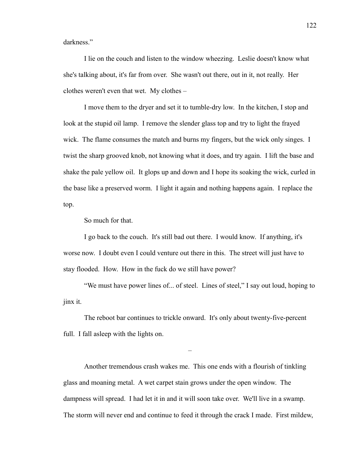darkness."

I lie on the couch and listen to the window wheezing. Leslie doesn't know what she's talking about, it's far from over. She wasn't out there, out in it, not really. Her clothes weren't even that wet. My clothes –

I move them to the dryer and set it to tumble-dry low. In the kitchen, I stop and look at the stupid oil lamp. I remove the slender glass top and try to light the frayed wick. The flame consumes the match and burns my fingers, but the wick only singes. I twist the sharp grooved knob, not knowing what it does, and try again. I lift the base and shake the pale yellow oil. It glops up and down and I hope its soaking the wick, curled in the base like a preserved worm. I light it again and nothing happens again. I replace the top.

So much for that.

I go back to the couch. It's still bad out there. I would know. If anything, it's worse now. I doubt even I could venture out there in this. The street will just have to stay flooded. How. How in the fuck do we still have power?

"We must have power lines of... of steel. Lines of steel," I say out loud, hoping to jinx it.

The reboot bar continues to trickle onward. It's only about twenty-five-percent full. I fall asleep with the lights on.

–

Another tremendous crash wakes me. This one ends with a flourish of tinkling glass and moaning metal. A wet carpet stain grows under the open window. The dampness will spread. I had let it in and it will soon take over. We'll live in a swamp. The storm will never end and continue to feed it through the crack I made. First mildew,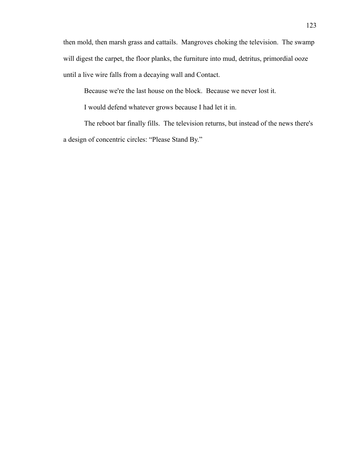then mold, then marsh grass and cattails. Mangroves choking the television. The swamp will digest the carpet, the floor planks, the furniture into mud, detritus, primordial ooze until a live wire falls from a decaying wall and Contact.

Because we're the last house on the block. Because we never lost it.

I would defend whatever grows because I had let it in.

The reboot bar finally fills. The television returns, but instead of the news there's a design of concentric circles: "Please Stand By."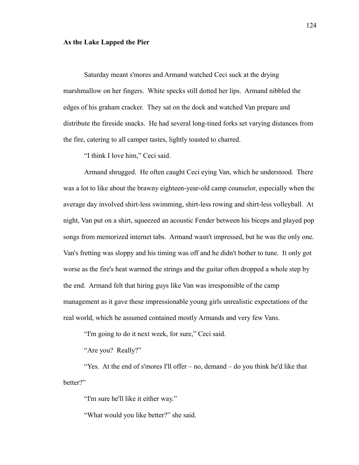## **As the Lake Lapped the Pier**

Saturday meant s'mores and Armand watched Ceci suck at the drying marshmallow on her fingers. White specks still dotted her lips. Armand nibbled the edges of his graham cracker. They sat on the dock and watched Van prepare and distribute the fireside snacks. He had several long-tined forks set varying distances from the fire, catering to all camper tastes, lightly toasted to charred.

"I think I love him," Ceci said.

Armand shrugged. He often caught Ceci eying Van, which he understood. There was a lot to like about the brawny eighteen-year-old camp counselor, especially when the average day involved shirt-less swimming, shirt-less rowing and shirt-less volleyball. At night, Van put on a shirt, squeezed an acoustic Fender between his biceps and played pop songs from memorized internet tabs. Armand wasn't impressed, but he was the only one. Van's fretting was sloppy and his timing was off and he didn't bother to tune. It only got worse as the fire's heat warmed the strings and the guitar often dropped a whole step by the end. Armand felt that hiring guys like Van was irresponsible of the camp management as it gave these impressionable young girls unrealistic expectations of the real world, which he assumed contained mostly Armands and very few Vans.

"I'm going to do it next week, for sure," Ceci said.

"Are you? Really?"

"Yes. At the end of s'mores I'll offer – no, demand – do you think he'd like that better?"

"I'm sure he'll like it either way."

"What would you like better?" she said.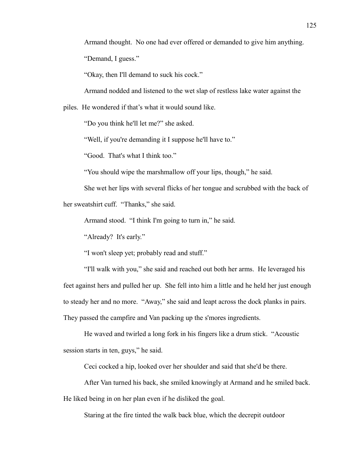Armand thought. No one had ever offered or demanded to give him anything.

"Demand, I guess."

"Okay, then I'll demand to suck his cock."

Armand nodded and listened to the wet slap of restless lake water against the

piles. He wondered if that's what it would sound like.

"Do you think he'll let me?" she asked.

"Well, if you're demanding it I suppose he'll have to."

"Good. That's what I think too."

"You should wipe the marshmallow off your lips, though," he said.

She wet her lips with several flicks of her tongue and scrubbed with the back of her sweatshirt cuff. "Thanks," she said.

Armand stood. "I think I'm going to turn in," he said.

"Already? It's early."

"I won't sleep yet; probably read and stuff."

"I'll walk with you," she said and reached out both her arms. He leveraged his feet against hers and pulled her up. She fell into him a little and he held her just enough to steady her and no more. "Away," she said and leapt across the dock planks in pairs. They passed the campfire and Van packing up the s'mores ingredients.

He waved and twirled a long fork in his fingers like a drum stick. "Acoustic session starts in ten, guys," he said.

Ceci cocked a hip, looked over her shoulder and said that she'd be there.

After Van turned his back, she smiled knowingly at Armand and he smiled back. He liked being in on her plan even if he disliked the goal.

Staring at the fire tinted the walk back blue, which the decrepit outdoor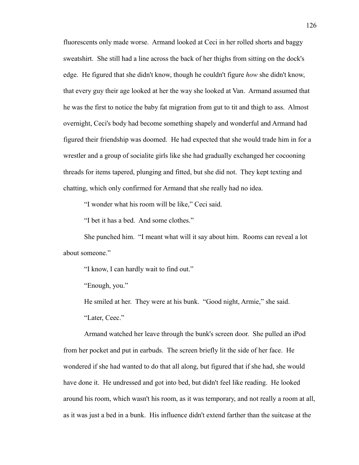fluorescents only made worse. Armand looked at Ceci in her rolled shorts and baggy sweatshirt. She still had a line across the back of her thighs from sitting on the dock's edge. He figured that she didn't know, though he couldn't figure *how* she didn't know, that every guy their age looked at her the way she looked at Van. Armand assumed that he was the first to notice the baby fat migration from gut to tit and thigh to ass. Almost overnight, Ceci's body had become something shapely and wonderful and Armand had figured their friendship was doomed. He had expected that she would trade him in for a wrestler and a group of socialite girls like she had gradually exchanged her cocooning threads for items tapered, plunging and fitted, but she did not. They kept texting and chatting, which only confirmed for Armand that she really had no idea.

"I wonder what his room will be like," Ceci said.

"I bet it has a bed. And some clothes."

She punched him. "I meant what will it say about him. Rooms can reveal a lot about someone."

"I know, I can hardly wait to find out."

"Enough, you."

He smiled at her. They were at his bunk. "Good night, Armie," she said.

"Later, Ceec."

Armand watched her leave through the bunk's screen door. She pulled an iPod from her pocket and put in earbuds. The screen briefly lit the side of her face. He wondered if she had wanted to do that all along, but figured that if she had, she would have done it. He undressed and got into bed, but didn't feel like reading. He looked around his room, which wasn't his room, as it was temporary, and not really a room at all, as it was just a bed in a bunk. His influence didn't extend farther than the suitcase at the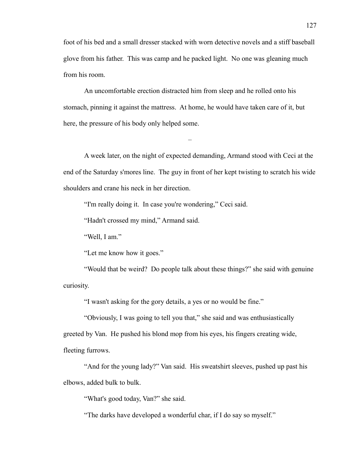foot of his bed and a small dresser stacked with worn detective novels and a stiff baseball glove from his father. This was camp and he packed light. No one was gleaning much from his room.

An uncomfortable erection distracted him from sleep and he rolled onto his stomach, pinning it against the mattress. At home, he would have taken care of it, but here, the pressure of his body only helped some.

A week later, on the night of expected demanding, Armand stood with Ceci at the end of the Saturday s'mores line. The guy in front of her kept twisting to scratch his wide shoulders and crane his neck in her direction.

–

"I'm really doing it. In case you're wondering," Ceci said.

"Hadn't crossed my mind," Armand said.

"Well, I am."

"Let me know how it goes."

"Would that be weird? Do people talk about these things?" she said with genuine curiosity.

"I wasn't asking for the gory details, a yes or no would be fine."

"Obviously, I was going to tell you that," she said and was enthusiastically greeted by Van. He pushed his blond mop from his eyes, his fingers creating wide, fleeting furrows.

"And for the young lady?" Van said. His sweatshirt sleeves, pushed up past his elbows, added bulk to bulk.

"What's good today, Van?" she said.

"The darks have developed a wonderful char, if I do say so myself."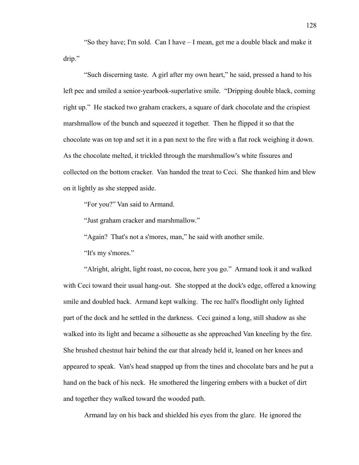"So they have; I'm sold. Can I have – I mean, get me a double black and make it drip."

"Such discerning taste. A girl after my own heart," he said, pressed a hand to his left pec and smiled a senior-yearbook-superlative smile. "Dripping double black, coming right up." He stacked two graham crackers, a square of dark chocolate and the crispiest marshmallow of the bunch and squeezed it together. Then he flipped it so that the chocolate was on top and set it in a pan next to the fire with a flat rock weighing it down. As the chocolate melted, it trickled through the marshmallow's white fissures and collected on the bottom cracker. Van handed the treat to Ceci. She thanked him and blew on it lightly as she stepped aside.

"For you?" Van said to Armand.

"Just graham cracker and marshmallow."

"Again? That's not a s'mores, man," he said with another smile.

"It's my s'mores."

"Alright, alright, light roast, no cocoa, here you go." Armand took it and walked with Ceci toward their usual hang-out. She stopped at the dock's edge, offered a knowing smile and doubled back. Armand kept walking. The rec hall's floodlight only lighted part of the dock and he settled in the darkness. Ceci gained a long, still shadow as she walked into its light and became a silhouette as she approached Van kneeling by the fire. She brushed chestnut hair behind the ear that already held it, leaned on her knees and appeared to speak. Van's head snapped up from the tines and chocolate bars and he put a hand on the back of his neck. He smothered the lingering embers with a bucket of dirt and together they walked toward the wooded path.

Armand lay on his back and shielded his eyes from the glare. He ignored the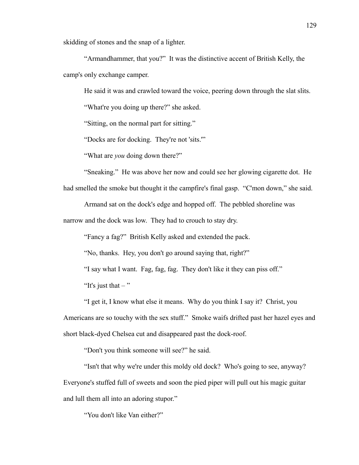skidding of stones and the snap of a lighter.

"Armandhammer, that you?" It was the distinctive accent of British Kelly, the camp's only exchange camper.

He said it was and crawled toward the voice, peering down through the slat slits.

"What're you doing up there?" she asked.

"Sitting, on the normal part for sitting."

"Docks are for docking. They're not 'sits.'"

"What are *you* doing down there?"

"Sneaking." He was above her now and could see her glowing cigarette dot. He

had smelled the smoke but thought it the campfire's final gasp. "C'mon down," she said.

Armand sat on the dock's edge and hopped off. The pebbled shoreline was

narrow and the dock was low. They had to crouch to stay dry.

"Fancy a fag?" British Kelly asked and extended the pack.

"No, thanks. Hey, you don't go around saying that, right?"

"I say what I want. Fag, fag, fag. They don't like it they can piss off."

"It's just that  $-$ "

"I get it, I know what else it means. Why do you think I say it? Christ, you Americans are so touchy with the sex stuff." Smoke waifs drifted past her hazel eyes and short black-dyed Chelsea cut and disappeared past the dock-roof.

"Don't you think someone will see?" he said.

"Isn't that why we're under this moldy old dock? Who's going to see, anyway? Everyone's stuffed full of sweets and soon the pied piper will pull out his magic guitar and lull them all into an adoring stupor."

"You don't like Van either?"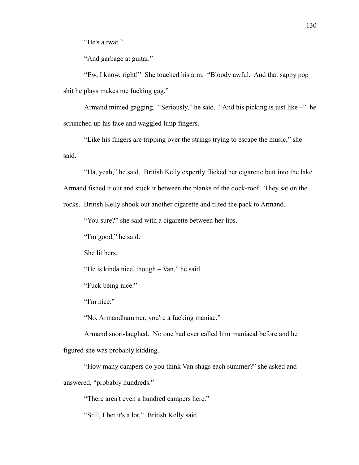"He's a twat."

"And garbage at guitar."

"Ew, I know, right!" She touched his arm. "Bloody awful. And that sappy pop shit he plays makes me fucking gag."

Armand mimed gagging. "Seriously," he said. "And his picking is just like –" he scrunched up his face and waggled limp fingers.

"Like his fingers are tripping over the strings trying to escape the music," she said.

"Ha, yeah," he said. British Kelly expertly flicked her cigarette butt into the lake.

Armand fished it out and stuck it between the planks of the dock-roof. They sat on the

rocks. British Kelly shook out another cigarette and tilted the pack to Armand.

"You sure?" she said with a cigarette between her lips.

"I'm good," he said.

She lit hers.

"He is kinda nice, though – Van," he said.

"Fuck being nice."

"I'm nice."

"No, Armandhammer, you're a fucking maniac."

Armand snort-laughed. No one had ever called him maniacal before and he figured she was probably kidding.

"How many campers do you think Van shags each summer?" she asked and answered, "probably hundreds."

"There aren't even a hundred campers here."

"Still, I bet it's a lot," British Kelly said.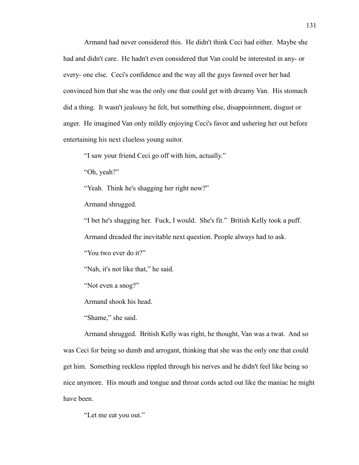Armand had never considered this. He didn't think Ceci had either. Maybe she had and didn't care. He hadn't even considered that Van could be interested in any- or every- one else. Ceci's confidence and the way all the guys fawned over her had convinced him that she was the only one that could get with dreamy Van. His stomach did a thing. It wasn't jealousy he felt, but something else, disappointment, disgust or anger. He imagined Van only mildly enjoying Ceci's favor and ushering her out before entertaining his next clueless young suitor.

"I saw your friend Ceci go off with him, actually."

"Oh, yeah?"

"Yeah. Think he's shagging her right now?"

Armand shrugged.

"I bet he's shagging her. Fuck, I would. She's fit." British Kelly took a puff.

Armand dreaded the inevitable next question. People always had to ask.

"You two ever do it?"

"Nah, it's not like that," he said.

"Not even a snog?"

Armand shook his head.

"Shame," she said.

Armand shrugged. British Kelly was right, he thought, Van was a twat. And so was Ceci for being so dumb and arrogant, thinking that she was the only one that could get him. Something reckless rippled through his nerves and he didn't feel like being so nice anymore. His mouth and tongue and throat cords acted out like the maniac he might have been.

"Let me eat you out."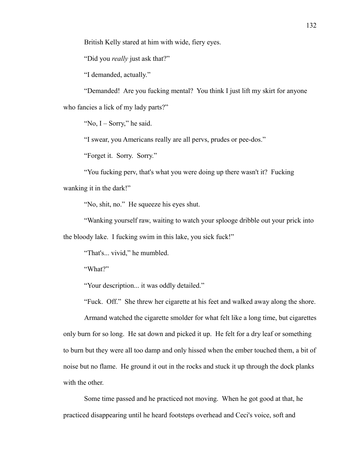British Kelly stared at him with wide, fiery eyes.

"Did you *really* just ask that?"

"I demanded, actually."

"Demanded! Are you fucking mental? You think I just lift my skirt for anyone who fancies a lick of my lady parts?"

"No,  $I -$  Sorry," he said.

"I swear, you Americans really are all pervs, prudes or pee-dos."

"Forget it. Sorry. Sorry."

"You fucking perv, that's what you were doing up there wasn't it? Fucking wanking it in the dark!"

"No, shit, no." He squeeze his eyes shut.

"Wanking yourself raw, waiting to watch your splooge dribble out your prick into the bloody lake. I fucking swim in this lake, you sick fuck!"

"That's... vivid," he mumbled.

"What?"

"Your description... it was oddly detailed."

"Fuck. Off." She threw her cigarette at his feet and walked away along the shore.

Armand watched the cigarette smolder for what felt like a long time, but cigarettes only burn for so long. He sat down and picked it up. He felt for a dry leaf or something to burn but they were all too damp and only hissed when the ember touched them, a bit of noise but no flame. He ground it out in the rocks and stuck it up through the dock planks with the other.

Some time passed and he practiced not moving. When he got good at that, he practiced disappearing until he heard footsteps overhead and Ceci's voice, soft and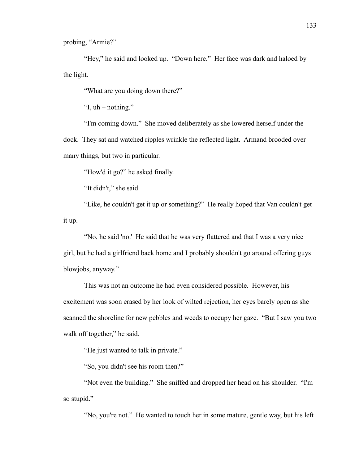probing, "Armie?"

"Hey," he said and looked up. "Down here." Her face was dark and haloed by the light.

"What are you doing down there?"

"I,  $uh$  – nothing."

"I'm coming down." She moved deliberately as she lowered herself under the dock. They sat and watched ripples wrinkle the reflected light. Armand brooded over many things, but two in particular.

"How'd it go?" he asked finally.

"It didn't," she said.

"Like, he couldn't get it up or something?" He really hoped that Van couldn't get it up.

"No, he said 'no.' He said that he was very flattered and that I was a very nice girl, but he had a girlfriend back home and I probably shouldn't go around offering guys blowjobs, anyway."

This was not an outcome he had even considered possible. However, his excitement was soon erased by her look of wilted rejection, her eyes barely open as she scanned the shoreline for new pebbles and weeds to occupy her gaze. "But I saw you two walk off together," he said.

"He just wanted to talk in private."

"So, you didn't see his room then?"

"Not even the building." She sniffed and dropped her head on his shoulder. "I'm so stupid."

"No, you're not." He wanted to touch her in some mature, gentle way, but his left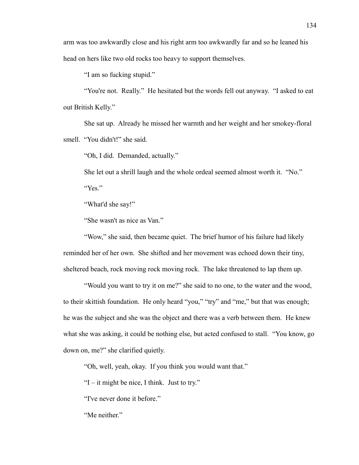arm was too awkwardly close and his right arm too awkwardly far and so he leaned his head on hers like two old rocks too heavy to support themselves.

"I am so fucking stupid."

"You're not. Really." He hesitated but the words fell out anyway. "I asked to eat out British Kelly."

She sat up. Already he missed her warmth and her weight and her smokey-floral smell. "You didn't!" she said.

"Oh, I did. Demanded, actually."

She let out a shrill laugh and the whole ordeal seemed almost worth it. "No." "Yes."

"What'd she say!"

"She wasn't as nice as Van."

"Wow," she said, then became quiet. The brief humor of his failure had likely reminded her of her own. She shifted and her movement was echoed down their tiny, sheltered beach, rock moving rock moving rock. The lake threatened to lap them up.

"Would you want to try it on me?" she said to no one, to the water and the wood, to their skittish foundation. He only heard "you," "try" and "me," but that was enough; he was the subject and she was the object and there was a verb between them. He knew what she was asking, it could be nothing else, but acted confused to stall. "You know, go down on, me?" she clarified quietly.

"Oh, well, yeah, okay. If you think you would want that."

"I – it might be nice, I think. Just to try."

"I've never done it before."

"Me neither."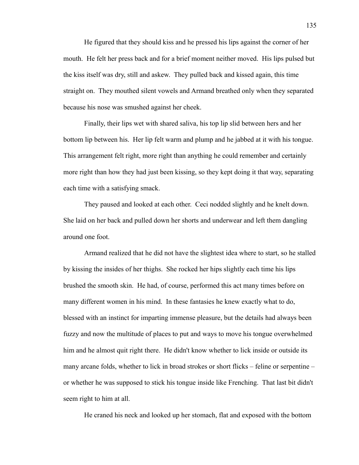He figured that they should kiss and he pressed his lips against the corner of her mouth. He felt her press back and for a brief moment neither moved. His lips pulsed but the kiss itself was dry, still and askew. They pulled back and kissed again, this time straight on. They mouthed silent vowels and Armand breathed only when they separated because his nose was smushed against her cheek.

Finally, their lips wet with shared saliva, his top lip slid between hers and her bottom lip between his. Her lip felt warm and plump and he jabbed at it with his tongue. This arrangement felt right, more right than anything he could remember and certainly more right than how they had just been kissing, so they kept doing it that way, separating each time with a satisfying smack.

They paused and looked at each other. Ceci nodded slightly and he knelt down. She laid on her back and pulled down her shorts and underwear and left them dangling around one foot.

Armand realized that he did not have the slightest idea where to start, so he stalled by kissing the insides of her thighs. She rocked her hips slightly each time his lips brushed the smooth skin. He had, of course, performed this act many times before on many different women in his mind. In these fantasies he knew exactly what to do, blessed with an instinct for imparting immense pleasure, but the details had always been fuzzy and now the multitude of places to put and ways to move his tongue overwhelmed him and he almost quit right there. He didn't know whether to lick inside or outside its many arcane folds, whether to lick in broad strokes or short flicks – feline or serpentine – or whether he was supposed to stick his tongue inside like Frenching. That last bit didn't seem right to him at all.

He craned his neck and looked up her stomach, flat and exposed with the bottom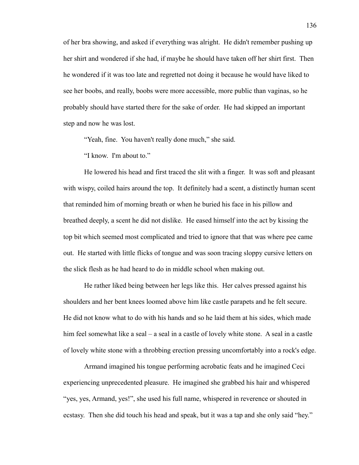of her bra showing, and asked if everything was alright. He didn't remember pushing up her shirt and wondered if she had, if maybe he should have taken off her shirt first. Then he wondered if it was too late and regretted not doing it because he would have liked to see her boobs, and really, boobs were more accessible, more public than vaginas, so he probably should have started there for the sake of order. He had skipped an important step and now he was lost.

"Yeah, fine. You haven't really done much," she said.

"I know. I'm about to."

He lowered his head and first traced the slit with a finger. It was soft and pleasant with wispy, coiled hairs around the top. It definitely had a scent, a distinctly human scent that reminded him of morning breath or when he buried his face in his pillow and breathed deeply, a scent he did not dislike. He eased himself into the act by kissing the top bit which seemed most complicated and tried to ignore that that was where pee came out. He started with little flicks of tongue and was soon tracing sloppy cursive letters on the slick flesh as he had heard to do in middle school when making out.

He rather liked being between her legs like this. Her calves pressed against his shoulders and her bent knees loomed above him like castle parapets and he felt secure. He did not know what to do with his hands and so he laid them at his sides, which made him feel somewhat like a seal – a seal in a castle of lovely white stone. A seal in a castle of lovely white stone with a throbbing erection pressing uncomfortably into a rock's edge.

Armand imagined his tongue performing acrobatic feats and he imagined Ceci experiencing unprecedented pleasure. He imagined she grabbed his hair and whispered "yes, yes, Armand, yes!", she used his full name, whispered in reverence or shouted in ecstasy. Then she did touch his head and speak, but it was a tap and she only said "hey."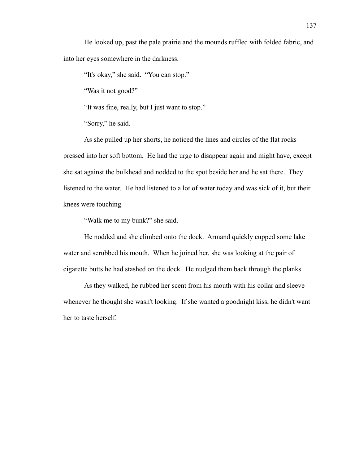He looked up, past the pale prairie and the mounds ruffled with folded fabric, and into her eyes somewhere in the darkness.

"It's okay," she said. "You can stop."

"Was it not good?"

"It was fine, really, but I just want to stop."

"Sorry," he said.

As she pulled up her shorts, he noticed the lines and circles of the flat rocks pressed into her soft bottom. He had the urge to disappear again and might have, except she sat against the bulkhead and nodded to the spot beside her and he sat there. They listened to the water. He had listened to a lot of water today and was sick of it, but their knees were touching.

"Walk me to my bunk?" she said.

He nodded and she climbed onto the dock. Armand quickly cupped some lake water and scrubbed his mouth. When he joined her, she was looking at the pair of cigarette butts he had stashed on the dock. He nudged them back through the planks.

As they walked, he rubbed her scent from his mouth with his collar and sleeve whenever he thought she wasn't looking. If she wanted a goodnight kiss, he didn't want her to taste herself.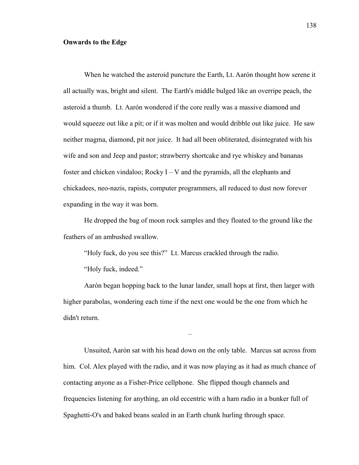## **Onwards to the Edge**

When he watched the asteroid puncture the Earth, Lt. Aarón thought how serene it all actually was, bright and silent. The Earth's middle bulged like an overripe peach, the asteroid a thumb. Lt. Aarón wondered if the core really was a massive diamond and would squeeze out like a pit; or if it was molten and would dribble out like juice. He saw neither magma, diamond, pit nor juice. It had all been obliterated, disintegrated with his wife and son and Jeep and pastor; strawberry shortcake and rye whiskey and bananas foster and chicken vindaloo; Rocky  $I - V$  and the pyramids, all the elephants and chickadees, neo-nazis, rapists, computer programmers, all reduced to dust now forever expanding in the way it was born.

He dropped the bag of moon rock samples and they floated to the ground like the feathers of an ambushed swallow.

"Holy fuck, do you see this?" Lt. Marcus crackled through the radio.

"Holy fuck, indeed."

Aarón began hopping back to the lunar lander, small hops at first, then larger with higher parabolas, wondering each time if the next one would be the one from which he didn't return.

–

Unsuited, Aarón sat with his head down on the only table. Marcus sat across from him. Col. Alex played with the radio, and it was now playing as it had as much chance of contacting anyone as a Fisher-Price cellphone. She flipped though channels and frequencies listening for anything, an old eccentric with a ham radio in a bunker full of Spaghetti-O's and baked beans sealed in an Earth chunk hurling through space.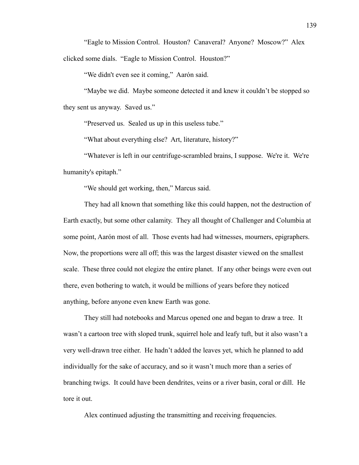"Eagle to Mission Control. Houston? Canaveral? Anyone? Moscow?" Alex clicked some dials. "Eagle to Mission Control. Houston?"

"We didn't even see it coming," Aarón said.

"Maybe we did. Maybe someone detected it and knew it couldn't be stopped so they sent us anyway. Saved us."

"Preserved us. Sealed us up in this useless tube."

"What about everything else? Art, literature, history?"

"Whatever is left in our centrifuge-scrambled brains, I suppose. We're it. We're humanity's epitaph."

"We should get working, then," Marcus said.

They had all known that something like this could happen, not the destruction of Earth exactly, but some other calamity. They all thought of Challenger and Columbia at some point, Aarón most of all. Those events had had witnesses, mourners, epigraphers. Now, the proportions were all off; this was the largest disaster viewed on the smallest scale. These three could not elegize the entire planet. If any other beings were even out there, even bothering to watch, it would be millions of years before they noticed anything, before anyone even knew Earth was gone.

They still had notebooks and Marcus opened one and began to draw a tree. It wasn't a cartoon tree with sloped trunk, squirrel hole and leafy tuft, but it also wasn't a very well-drawn tree either. He hadn't added the leaves yet, which he planned to add individually for the sake of accuracy, and so it wasn't much more than a series of branching twigs. It could have been dendrites, veins or a river basin, coral or dill. He tore it out.

Alex continued adjusting the transmitting and receiving frequencies.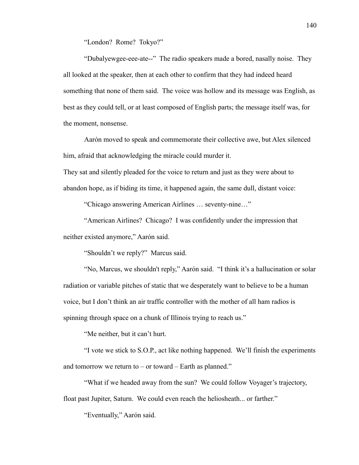"London? Rome? Tokyo?"

"Dubalyewgee-eee-ate--" The radio speakers made a bored, nasally noise. They all looked at the speaker, then at each other to confirm that they had indeed heard something that none of them said. The voice was hollow and its message was English, as best as they could tell, or at least composed of English parts; the message itself was, for the moment, nonsense.

Aarón moved to speak and commemorate their collective awe, but Alex silenced him, afraid that acknowledging the miracle could murder it.

They sat and silently pleaded for the voice to return and just as they were about to abandon hope, as if biding its time, it happened again, the same dull, distant voice:

"Chicago answering American Airlines … seventy-nine…"

"American Airlines? Chicago? I was confidently under the impression that neither existed anymore," Aarón said.

"Shouldn't we reply?" Marcus said.

"No, Marcus, we shouldn't reply," Aarón said. "I think it's a hallucination or solar radiation or variable pitches of static that we desperately want to believe to be a human voice, but I don't think an air traffic controller with the mother of all ham radios is spinning through space on a chunk of Illinois trying to reach us."

"Me neither, but it can't hurt.

"I vote we stick to S.O.P., act like nothing happened. We'll finish the experiments and tomorrow we return to  $-$  or toward  $-$  Earth as planned."

"What if we headed away from the sun? We could follow Voyager's trajectory, float past Jupiter, Saturn. We could even reach the heliosheath... or farther."

"Eventually," Aarón said.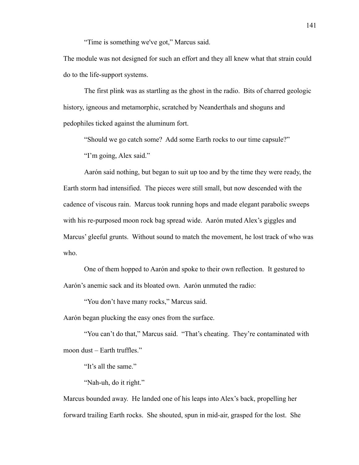"Time is something we've got," Marcus said.

The module was not designed for such an effort and they all knew what that strain could do to the life-support systems.

The first plink was as startling as the ghost in the radio. Bits of charred geologic history, igneous and metamorphic, scratched by Neanderthals and shoguns and pedophiles ticked against the aluminum fort.

"Should we go catch some? Add some Earth rocks to our time capsule?"

"I'm going, Alex said."

Aarón said nothing, but began to suit up too and by the time they were ready, the Earth storm had intensified. The pieces were still small, but now descended with the cadence of viscous rain. Marcus took running hops and made elegant parabolic sweeps with his re-purposed moon rock bag spread wide. Aarón muted Alex's giggles and Marcus' gleeful grunts. Without sound to match the movement, he lost track of who was who.

One of them hopped to Aarón and spoke to their own reflection. It gestured to Aarón's anemic sack and its bloated own. Aarón unmuted the radio:

"You don't have many rocks," Marcus said.

Aarón began plucking the easy ones from the surface.

"You can't do that," Marcus said. "That's cheating. They're contaminated with moon dust – Earth truffles."

"It's all the same."

"Nah-uh, do it right."

Marcus bounded away. He landed one of his leaps into Alex's back, propelling her forward trailing Earth rocks. She shouted, spun in mid-air, grasped for the lost. She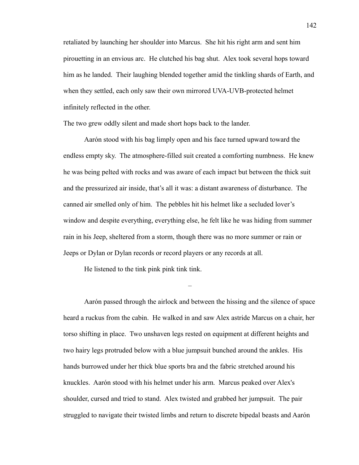retaliated by launching her shoulder into Marcus. She hit his right arm and sent him pirouetting in an envious arc. He clutched his bag shut. Alex took several hops toward him as he landed. Their laughing blended together amid the tinkling shards of Earth, and when they settled, each only saw their own mirrored UVA-UVB-protected helmet infinitely reflected in the other.

The two grew oddly silent and made short hops back to the lander.

Aarón stood with his bag limply open and his face turned upward toward the endless empty sky. The atmosphere-filled suit created a comforting numbness. He knew he was being pelted with rocks and was aware of each impact but between the thick suit and the pressurized air inside, that's all it was: a distant awareness of disturbance. The canned air smelled only of him. The pebbles hit his helmet like a secluded lover's window and despite everything, everything else, he felt like he was hiding from summer rain in his Jeep, sheltered from a storm, though there was no more summer or rain or Jeeps or Dylan or Dylan records or record players or any records at all.

He listened to the tink pink pink tink tink.

Aarón passed through the airlock and between the hissing and the silence of space heard a ruckus from the cabin. He walked in and saw Alex astride Marcus on a chair, her torso shifting in place. Two unshaven legs rested on equipment at different heights and two hairy legs protruded below with a blue jumpsuit bunched around the ankles. His hands burrowed under her thick blue sports bra and the fabric stretched around his knuckles. Aarón stood with his helmet under his arm. Marcus peaked over Alex's shoulder, cursed and tried to stand. Alex twisted and grabbed her jumpsuit. The pair struggled to navigate their twisted limbs and return to discrete bipedal beasts and Aarón

–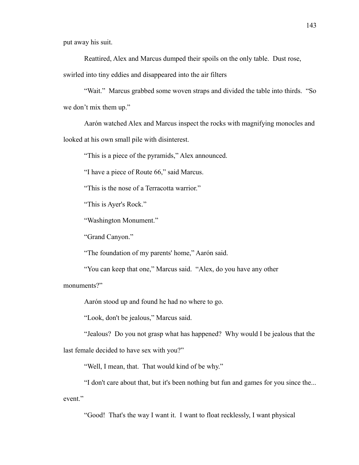put away his suit.

Reattired, Alex and Marcus dumped their spoils on the only table. Dust rose,

swirled into tiny eddies and disappeared into the air filters

"Wait." Marcus grabbed some woven straps and divided the table into thirds. "So we don't mix them up."

Aarón watched Alex and Marcus inspect the rocks with magnifying monocles and looked at his own small pile with disinterest.

"This is a piece of the pyramids," Alex announced.

"I have a piece of Route 66," said Marcus.

"This is the nose of a Terracotta warrior."

"This is Ayer's Rock."

"Washington Monument."

"Grand Canyon."

"The foundation of my parents' home," Aarón said.

"You can keep that one," Marcus said. "Alex, do you have any other

monuments?"

Aarón stood up and found he had no where to go.

"Look, don't be jealous," Marcus said.

"Jealous? Do you not grasp what has happened? Why would I be jealous that the last female decided to have sex with you?"

"Well, I mean, that. That would kind of be why."

"I don't care about that, but it's been nothing but fun and games for you since the... event."

"Good! That's the way I want it. I want to float recklessly, I want physical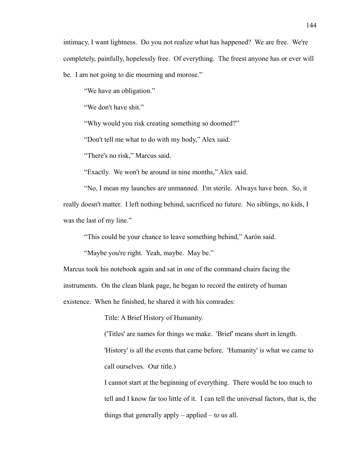intimacy, I want lightness. Do you not realize what has happened? We are free. We're completely, painfully, hopelessly free. Of everything. The freest anyone has or ever will be. I am not going to die mourning and morose."

"We have an obligation."

"We don't have shit."

"Why would you risk creating something so doomed?"

"Don't tell me what to do with my body," Alex said.

"There's no risk," Marcus said.

"Exactly. We won't be around in nine months," Alex said.

"No, I mean my launches are unmanned. I'm sterile. Always have been. So, it really doesn't matter. I left nothing behind, sacrificed no future. No siblings, no kids, I was the last of my line."

"This could be your chance to leave something behind," Aarón said.

"Maybe you're right. Yeah, maybe. May be."

Marcus took his notebook again and sat in one of the command chairs facing the instruments. On the clean blank page, he began to record the entirety of human existence. When he finished, he shared it with his comrades:

Title: A Brief History of Humanity.

('Titles' are names for things we make. 'Brief' means short in length. 'History' is all the events that came before. 'Humanity' is what we came to call ourselves. Our title.)

I cannot start at the beginning of everything. There would be too much to tell and I know far too little of it. I can tell the universal factors, that is, the things that generally apply – applied – to us all.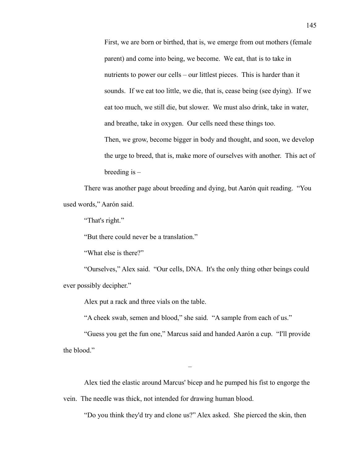First, we are born or birthed, that is, we emerge from out mothers (female parent) and come into being, we become. We eat, that is to take in nutrients to power our cells – our littlest pieces. This is harder than it sounds. If we eat too little, we die, that is, cease being (see dying). If we eat too much, we still die, but slower. We must also drink, take in water, and breathe, take in oxygen. Our cells need these things too. Then, we grow, become bigger in body and thought, and soon, we develop the urge to breed, that is, make more of ourselves with another. This act of

There was another page about breeding and dying, but Aarón quit reading. "You used words," Aarón said.

"That's right."

"But there could never be a translation."

"What else is there?"

breeding is –

"Ourselves," Alex said. "Our cells, DNA. It's the only thing other beings could ever possibly decipher."

Alex put a rack and three vials on the table.

"A cheek swab, semen and blood," she said. "A sample from each of us."

"Guess you get the fun one," Marcus said and handed Aarón a cup. "I'll provide the blood."

–

Alex tied the elastic around Marcus' bicep and he pumped his fist to engorge the vein. The needle was thick, not intended for drawing human blood.

"Do you think they'd try and clone us?" Alex asked. She pierced the skin, then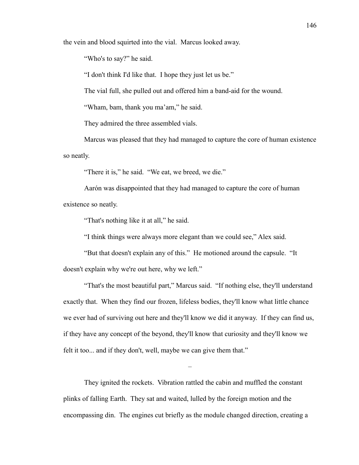the vein and blood squirted into the vial. Marcus looked away.

"Who's to say?" he said.

"I don't think I'd like that. I hope they just let us be."

The vial full, she pulled out and offered him a band-aid for the wound.

"Wham, bam, thank you ma'am," he said.

They admired the three assembled vials.

Marcus was pleased that they had managed to capture the core of human existence so neatly.

"There it is," he said. "We eat, we breed, we die."

Aarón was disappointed that they had managed to capture the core of human existence so neatly.

"That's nothing like it at all," he said.

"I think things were always more elegant than we could see," Alex said.

"But that doesn't explain any of this." He motioned around the capsule. "It doesn't explain why we're out here, why we left."

"That's the most beautiful part," Marcus said. "If nothing else, they'll understand exactly that. When they find our frozen, lifeless bodies, they'll know what little chance we ever had of surviving out here and they'll know we did it anyway. If they can find us, if they have any concept of the beyond, they'll know that curiosity and they'll know we felt it too... and if they don't, well, maybe we can give them that."

They ignited the rockets. Vibration rattled the cabin and muffled the constant plinks of falling Earth. They sat and waited, lulled by the foreign motion and the encompassing din. The engines cut briefly as the module changed direction, creating a

–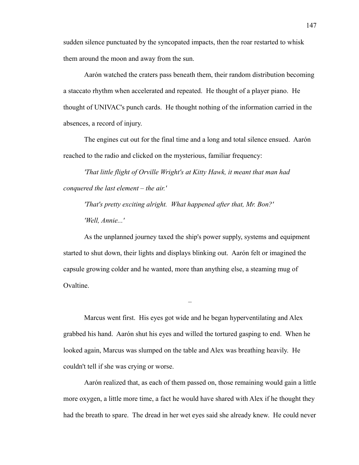sudden silence punctuated by the syncopated impacts, then the roar restarted to whisk them around the moon and away from the sun.

Aarón watched the craters pass beneath them, their random distribution becoming a staccato rhythm when accelerated and repeated. He thought of a player piano. He thought of UNIVAC's punch cards. He thought nothing of the information carried in the absences, a record of injury.

The engines cut out for the final time and a long and total silence ensued. Aarón reached to the radio and clicked on the mysterious, familiar frequency:

*'That little flight of Orville Wright's at Kitty Hawk, it meant that man had conquered the last element – the air.'*

*'That's pretty exciting alright. What happened after that, Mr. Bon?' 'Well, Annie...'*

As the unplanned journey taxed the ship's power supply, systems and equipment started to shut down, their lights and displays blinking out. Aarón felt or imagined the capsule growing colder and he wanted, more than anything else, a steaming mug of Ovaltine.

Marcus went first. His eyes got wide and he began hyperventilating and Alex grabbed his hand. Aarón shut his eyes and willed the tortured gasping to end. When he looked again, Marcus was slumped on the table and Alex was breathing heavily. He couldn't tell if she was crying or worse.

–

Aarón realized that, as each of them passed on, those remaining would gain a little more oxygen, a little more time, a fact he would have shared with Alex if he thought they had the breath to spare. The dread in her wet eyes said she already knew. He could never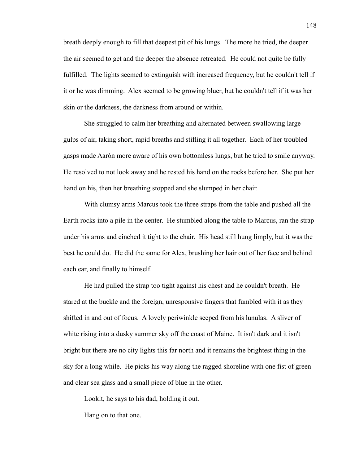breath deeply enough to fill that deepest pit of his lungs. The more he tried, the deeper the air seemed to get and the deeper the absence retreated. He could not quite be fully fulfilled. The lights seemed to extinguish with increased frequency, but he couldn't tell if it or he was dimming. Alex seemed to be growing bluer, but he couldn't tell if it was her skin or the darkness, the darkness from around or within.

She struggled to calm her breathing and alternated between swallowing large gulps of air, taking short, rapid breaths and stifling it all together. Each of her troubled gasps made Aarón more aware of his own bottomless lungs, but he tried to smile anyway. He resolved to not look away and he rested his hand on the rocks before her. She put her hand on his, then her breathing stopped and she slumped in her chair.

With clumsy arms Marcus took the three straps from the table and pushed all the Earth rocks into a pile in the center. He stumbled along the table to Marcus, ran the strap under his arms and cinched it tight to the chair. His head still hung limply, but it was the best he could do. He did the same for Alex, brushing her hair out of her face and behind each ear, and finally to himself.

He had pulled the strap too tight against his chest and he couldn't breath. He stared at the buckle and the foreign, unresponsive fingers that fumbled with it as they shifted in and out of focus. A lovely periwinkle seeped from his lunulas. A sliver of white rising into a dusky summer sky off the coast of Maine. It isn't dark and it isn't bright but there are no city lights this far north and it remains the brightest thing in the sky for a long while. He picks his way along the ragged shoreline with one fist of green and clear sea glass and a small piece of blue in the other.

Lookit, he says to his dad, holding it out.

Hang on to that one.